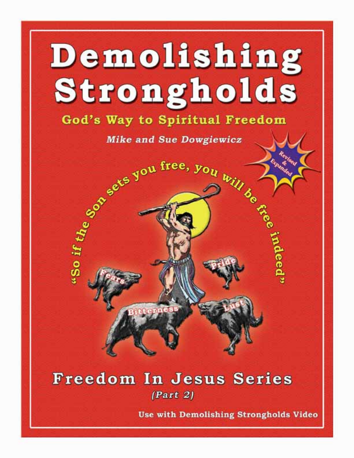

 $(Part 2)$ 

**Use with Demolishing Strongholds Video**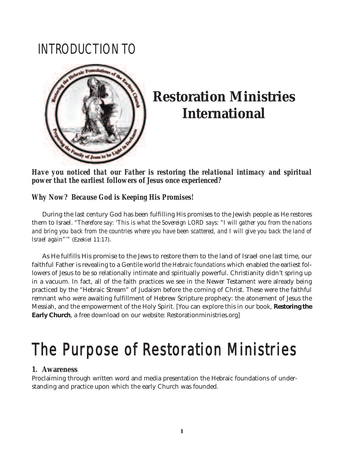## *INTRODUCTION TO*



## **Restoration Ministries International**

*Have you noticed that our Father is restoring the relational intimacy and spiritual power that the earliest followers of Jesus once experienced?* 

*Why Now? Because God is Keeping His Promises!*

During the last century God has been fulfilling His promises to the Jewish people as He restores them to Israel. *"Therefore say: 'This is what the Sovereign LORD says: "I will gather you from the nations and bring you back from the countries where you have been scattered, and I will give you back the land of Israel again"'"* (Ezekiel 11:17).

As He fulfills His promise to the Jews to restore them to the land of Israel one last time, our faithful Father is revealing to a Gentile world the *Hebraic foundations* which enabled the earliest followers of Jesus to be so relationally intimate and spiritually powerful. Christianity didn't spring up in a vacuum. In fact, all of the faith practices we see in the Newer Testament were already being practiced by the "Hebraic Stream" of Judaism before the coming of Christ. These were the faithful remnant who were awaiting fulfillment of Hebrew Scripture prophecy: the atonement of Jesus the Messiah, and the empowerment of the Holy Spirit. [You can explore this in our book, *Restoring the* **Early Church**, a free download on our website: Restorationministries.org

# The Purpose of Restoration Ministries

#### **1. Awareness**

Proclaiming through written word and media presentation the Hebraic foundations of understanding and practice upon which the early Church was founded.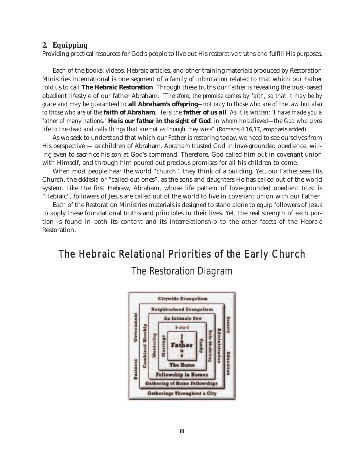#### **2. Equipping**

Providing practical resources for God's people to live out His restorative truths and fulfill His purposes.

Each of the books, videos, Hebraic articles, and other training materials produced by Restoration Ministries International is one segment of a *family of information* related to that which our Father told us to call **The Hebraic Restoration**. Through these truths our Father is revealing the trust-based obedient lifestyle of our father Abraham. *"Therefore, the promise comes by faith, so that it may be by grace and may be guaranteed to all Abraham's offspring—not only to those who are of the law but also to those who are of the faith of Abraham. He is the father of us all. As it is written: 'I have made you a father of many nations.' He is our father in the sight of God, in whom he believed—the God who gives life to the dead and calls things that are not as though they were"* (Romans 4:16,17, emphasis added).

As we seek to understand that which our Father is restoring today, we need to see ourselves from His perspective — as children of Abraham. Abraham trusted God in love-grounded obedience, willing even to sacrifice his son at God's command. Therefore, God called him out in covenant union with Himself, and through him poured out precious promises for all his children to come.

When most people hear the world "church", they think of a building. Yet, our Father sees His Church, the *ekklesia* or "called-out ones", as the sons and daughters He has called out of the world system. Like the first Hebrew, Abraham, whose life pattern of love-grounded obedient trust is "Hebraic", followers of Jesus are called out of the world to live in covenant union with our Father.

Each of the Restoration Ministries materials is designed to stand alone to equip followers of Jesus to apply these foundational truths and principles to their lives. Yet, the real strength of each portion is found in both its content and its interrelationship to the other facets of the Hebraic Restoration.

## The Hebraic Relational Priorities of the Early Church

**Citywide Evangelism Neighborhood Evangelism** Government **An Intimate Few** Society  $1$ -on-1 **Combined Worship** Litministration Role Mentoring Warriag Mode Education **Business The Home Fellowship in Homes Gathering of Home Fellowships Gatherings Throughout a City** 

The Restoration Diagram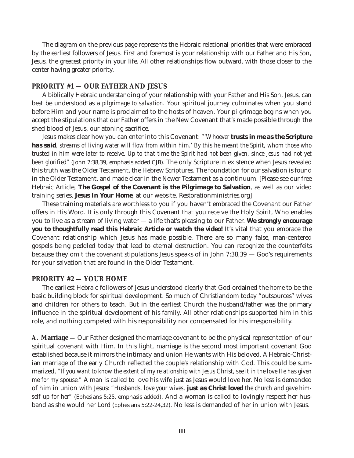The diagram on the previous page represents the Hebraic relational priorities that were embraced by the earliest followers of Jesus. First and foremost is your relationship with our Father and His Son, Jesus, the greatest priority in your life. All other relationships flow outward, with those closer to the center having greater priority.

#### **PRIORITY #1 — OUR FATHER AND JESUS**

A biblically Hebraic understanding of your relationship with your Father and His Son, Jesus, can best be understood as a *pilgrimage to salvation.* Your spiritual journey culminates when you stand before Him and your name is proclaimed to the hosts of heaven. Your pilgrimage begins when you accept the stipulations that our Father offers in the New Covenant that's made possible through the shed blood of Jesus, our atoning sacrifice.

Jesus makes clear how you can enter into this Covenant: *"'Whoever trusts in me as the Scripture has said, streams of living water will flow from within him.' By this he meant the Spirit, whom those who trusted in him were later to receive. Up to that time the Spirit had not been given, since Jesus had not yet been glorified"* (John 7:38,39, emphasis added CJB). The only Scripture in existence when Jesus revealed this truth was the Older Testament, the Hebrew Scriptures. The foundation for our salvation is found in the Older Testament, and made clear in the Newer Testament as a continuum. [Please see our free Hebraic Article, *The Gospel of the Covenant is the Pilgrimage to Salvation*, as well as our video training series, *Jesus In Your Home,* at our website, Restorationministries.org]

These training materials are worthless to you if you haven't embraced the Covenant our Father offers in His Word. It is only through this Covenant that you receive the Holy Spirit, Who enables you to live as a stream of living water — a life that's pleasing to our Father. *We strongly encourage you to thoughtfully read this Hebraic Article or watch the video!* It's vital that you embrace the Covenant relationship which Jesus has made possible. There are so many false, man-centered gospels being peddled today that lead to eternal destruction. You can recognize the counterfeits because they omit the covenant stipulations Jesus speaks of in John 7:38,39 — God's requirements for your salvation that are found in the Older Testament.

#### **PRIORITY #2 — YOUR HOME**

The earliest Hebraic followers of Jesus understood clearly that God ordained the *home* to be the basic building block for spiritual development. So much of Christiandom today "outsources" wives and children for others to teach. But in the earliest Church the husband/father was the primary influence in the spiritual development of his family. All other relationships supported him in this role, and nothing competed with his responsibility nor compensated for his irresponsibility.

**A. Marriage —** Our Father designed the marriage covenant to be the physical representation of our spiritual covenant with Him. In this light, marriage is the second most important covenant God established because it mirrors the intimacy and union He wants with His beloved. A Hebraic-Christian marriage of the early Church reflected the couple's relationship with God. This could be summarized, *"If you want to know the extent of my relationship with Jesus Christ, see it in the love He has given me for my spouse."* A man is called to love his wife just as Jesus would love her. No less is demanded of him in union with Jesus: *"Husbands, love your wives, just as Christ loved the church and gave himself up for her"* (Ephesians 5:25, emphasis added). And a woman is called to lovingly respect her husband as she would her Lord (Ephesians 5:22-24,32). No less is demanded of her in union with Jesus.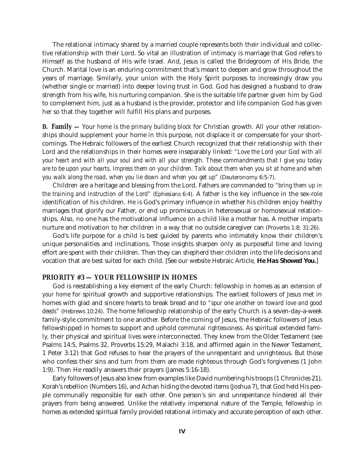The relational intimacy shared by a married couple represents both their individual and collective relationship with their Lord. So vital an illustration of intimacy is marriage that God refers to Himself as the husband of His wife Israel. And, Jesus is called the Bridegroom of His Bride, the Church. Marital love is an enduring commitment that's meant to deepen and grow throughout the years of marriage. Similarly, your union with the Holy Spirit purposes to increasingly draw you (whether single or married) into deeper loving trust in God. God has designed a husband to draw strength from his wife, his nurturing companion. She is the suitable life partner given him by God to complement him, just as a husband is the provider, protector and life companion God has given her so that they together will fulfill His plans and purposes.

**B. Family —** Your *home* is the *primary building block* for Christian growth. All your other relationships should supplement your home in this purpose, not displace it or compensate for your shortcomings. The Hebraic followers of the earliest Church recognized that their relationship with their Lord and the relationships in their homes were inseparably linked: *"Love the Lord your God with all your heart and with all your soul and with all your strength. These commandments that I give you today are to be upon your hearts. Impress them on your children. Talk about them when you sit at home and when you walk along the road, when you lie down and when you get up"* (Deuteronomy 6:5-7).

Children are a heritage and blessing from the Lord. Fathers are commanded to *"bring them up in the training and instruction of the Lord"* (Ephesians 6:4). A father is the key influence in the sex-role identification of his children. He is God's primary influence in whether his children enjoy healthy marriages that glorify our Father, or end up promiscuous in heterosexual or homosexual relationships. Also, no one has the motivational influence on a child like a mother has. A mother imparts nurture and motivation to her children in a way that no outside caregiver can (Proverbs 1:8; 31:26).

God's life purpose for a child is best guided by parents who intimately know their children's unique personalities and inclinations. Those insights sharpen only as purposeful time and loving effort are spent with their children. Then they can shepherd their children into the life decisions and vocation that are best suited for each child. [See our website Hebraic Article, *He Has Showed You.*]

#### **PRIORITY #3 — YOUR FELLOWSHIP IN HOMES**

God is reestablishing a key element of the early Church: fellowship in homes as an *extension of your home* for spiritual growth and supportive relationships. The earliest followers of Jesus met in homes with glad and sincere hearts to break bread and to *"spur one another on toward love and good deeds"* (Hebrews 10:24). The home fellowship relationship of the early Church is a seven-day-a-week family-style commitment to one another. Before the coming of Jesus, the Hebraic followers of Jesus fellowshipped in homes to support and uphold *communal righteousness*. As spiritual extended family, their physical and spiritual lives were interconnected. They knew from the Older Testament (see Psalms 14:5, Psalms 32, Proverbs 15:29, Malachi 3:18, and affirmed again in the Newer Testament, 1 Peter 3:12) that God refuses to hear the prayers of the unrepentant and unrighteous. But those who confess their sins and turn from them are made righteous through God's forgiveness (1 John 1:9). Then He readily answers their prayers (James 5:16-18).

Early followers of Jesus also knew from examples like David numbering his troops (1 Chronicles 21), Korah's rebellion (Numbers 16), and Achan hiding the devoted items (Joshua 7), that God held His people communally responsible for each other. One person's sin and unrepentance hindered all their prayers from being answered. Unlike the relatively impersonal nature of the Temple, fellowship in homes as extended spiritual family provided relational intimacy and accurate perception of each other.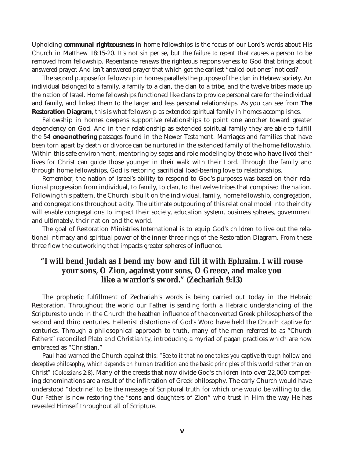Upholding *communal righteousness* in home fellowships is the focus of our Lord's words about His Church in Matthew 18:15-20. It's not *sin* per se, but the *failure to repent* that causes a person to be removed from fellowship. Repentance renews the righteous responsiveness to God that brings about answered prayer. And isn't answered prayer that which got the earliest "called-out ones" noticed?

The second purpose for fellowship in homes parallels the purpose of the clan in Hebrew society. An individual belonged to a family, a family to a clan, the clan to a tribe, and the twelve tribes made up the nation of Israel. Home fellowships functioned like clans to provide personal care for the individual and family, and linked them to the larger and less personal relationships. As you can see from **The Restoration Diagram**, this is what fellowship as extended spiritual family in homes accomplishes.

Fellowship in homes deepens supportive relationships to point one another toward greater dependency on God. And in their relationship as extended spiritual family they are able to fulfill the 54 *one-anothering* passages found in the Newer Testament. Marriages and families that have been torn apart by death or divorce can be nurtured in the extended family of the home fellowship. Within this safe environment, mentoring by sages and role modeling by those who have lived their lives for Christ can guide those younger in their walk with their Lord. Through the family and through home fellowships, God is restoring sacrificial load-bearing love to relationships.

Remember, the nation of Israel's ability to respond to God's purposes was based on their relational progression from individual, to family, to clan, to the twelve tribes that comprised the nation. Following this pattern, the Church is built on the individual, family, home fellowship, congregation, and congregations throughout a city. The ultimate outpouring of this relational model into their city will enable congregations to impact their society, education system, business spheres, government and ultimately, their nation and the world.

The goal of Restoration Ministries International is to equip God's children to live out the relational intimacy and spiritual power of the inner three rings of the Restoration Diagram. From these three flow the outworking that impacts greater spheres of influence.

#### **"I will bend Judah as I bend my bow and fill it with Ephraim. I will rouse your sons, O Zion, against your sons, O Greece, and make you like a warrior's sword." (Zechariah 9:13)**

The prophetic fulfillment of Zechariah's words is being carried out today in the Hebraic Restoration. Throughout the world our Father is sending forth a Hebraic understanding of the Scriptures to undo in the Church the heathen influence of the converted Greek philosophers of the second and third centuries. Hellenist distortions of God's Word have held the Church captive for centuries. Through a philosophical approach to truth, many of the men referred to as "Church Fathers" reconciled Plato and Christianity, introducing a myriad of pagan practices which are now embraced as "Christian."

Paul had warned the Church against this: *"See to it that no one takes you captive through hollow and deceptive philosophy, which depends on human tradition and the basic principles of this world rather than on Christ"* (Colossians 2:8). Many of the creeds that now divide God's children into over 22,000 competing denominations are a result of the infiltration of Greek philosophy. The early Church would have understood "doctrine" to be the message of Scriptural truth for which one would be willing to die. Our Father is now restoring the "sons and daughters of Zion" who trust in Him the way He has revealed Himself throughout all of Scripture.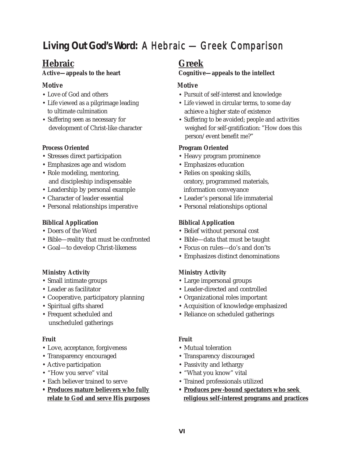## **Living Out God's Word:** A Hebraic — Greek Comparison

**Hebraic**<br>Active—appeals to the heart Cognitive

#### Motive Motive Motive Motive Motive Motive Motive Motive Motive Motive Motive Motive Motive Motive Motive Motive  $M$

- 
- to ultimate culmination achieve a higher state of existence
- 

- 
- Emphasizes age and wisdom Emphasizes education
- Role modeling, mentoring, example  $\bullet$  Relies on speaking skills,
- Leadership by personal example information conveyance
- 
- Personal relationships imperative Personal relationships optional

- 
- Bible—reality that must be confronted Bible—data that must be taught
- Goal—to develop Christ-likeness Focus on rules—do's and don'ts

#### **Ministry Activity Ministry Activity**

- 
- 
- Cooperative, participatory planning Organizational roles important
- 
- unscheduled gatherings

#### **Fruit Fruit**

- Love, acceptance, forgiveness Mutual toleration
- 
- 
- 
- Each believer trained to serve Trained professionals utilized
- 

Cognitive—appeals to the intellect

- Love of God and others Pursuit of self-interest and knowledge
- Life viewed as a pilgrimage leading Life viewed in circular terms, to some day
- Suffering seen as necessary for • Suffering to be avoided; people and activities development of Christ-like character weighed for self-gratification: "How does this person/event benefit me?"

#### Process Oriented **Program Oriented**

- Stresses direct participation Heavy program prominence
	-
	- and discipleship indispensable oratory, programmed materials,
- Character of leader essential Leader's personal life immaterial
	-

#### **Biblical Application Biblical Application**

- Doers of the Word Belief without personal cost
	-
	-
	- Emphasizes distinct denominations

- Small intimate groups Large impersonal groups
- Leader as facilitator Leader-directed and controlled
	-
- Spiritual gifts shared Acquisition of knowledge emphasized
- Frequent scheduled and Reliance on scheduled gatherings

- 
- Transparency encouraged Transparency discouraged
- Active participation Passivity and lethargy
- "How you serve" vital "What you know" vital
	-
- **Produces mature believers who fully Produces pew-bound spectators who seek relate to God and serve His purposes religious self-interest programs and practices**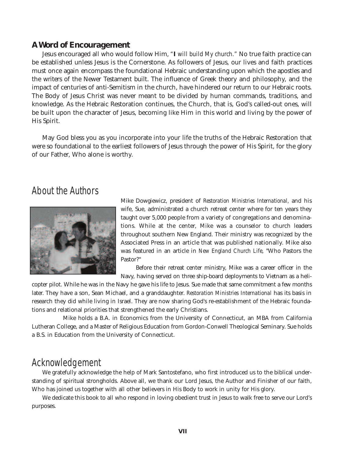#### **A Word of Encouragement**

Jesus encouraged all who would follow Him, *"I will build My church."* No true faith practice can be established unless Jesus is the Cornerstone. As followers of Jesus, our lives and faith practices must once again encompass the foundational Hebraic understanding upon which the apostles and the writers of the Newer Testament built. The influence of Greek theory and philosophy, and the impact of centuries of anti-Semitism in the church, have hindered our return to our Hebraic roots. The Body of Jesus Christ was never meant to be divided by human commands, traditions, and knowledge. As the Hebraic Restoration continues, the Church, that is, God's called-out ones, will be built upon the character of Jesus, becoming like Him in this world and living by the power of His Spirit.

May God bless you as you incorporate into your life the truths of the Hebraic Restoration that were so foundational to the earliest followers of Jesus through the power of His Spirit, for the glory of our Father, Who alone is worthy.

#### *About the Authors*



Mike Dowgiewicz, president of *Restoration Ministries International,* and his wife, Sue, administrated a church retreat center where for ten years they taught over 5,000 people from a variety of congregations and denominations. While at the center, Mike was a counselor to church leaders throughout southern New England. Their ministry was recognized by the Associated Press in an article that was published nationally. Mike also was featured in an article in *New England Church Life*, "Who Pastors the Pastor?"

Before their retreat center ministry, Mike was a career officer in the Navy, having served on three ship-board deployments to Vietnam as a heli-

copter pilot. While he was in the Navy he gave his life to Jesus. Sue made that same commitment a few months later. They have a son, Sean Michael, and a granddaughter. *Restoration Ministries International* has its basis in research they did while living in Israel. They are now sharing God's re-establishment of the Hebraic foundations and relational priorities that strengthened the early Christians.

Mike holds a B.A. in Economics from the University of Connecticut, an MBA from California Lutheran College, and a Master of Religious Education from Gordon-Conwell Theological Seminary. Sue holds a B.S. in Education from the University of Connecticut.

## *Acknowledgement*

We gratefully acknowledge the help of Mark Santostefano, who first introduced us to the biblical understanding of spiritual strongholds. Above all, we thank our Lord Jesus, the Author and Finisher of our faith, Who has joined us together with all other believers in His Body to work in unity for His glory.

We dedicate this book to all who respond in loving obedient trust in Jesus to walk free to serve our Lord's purposes.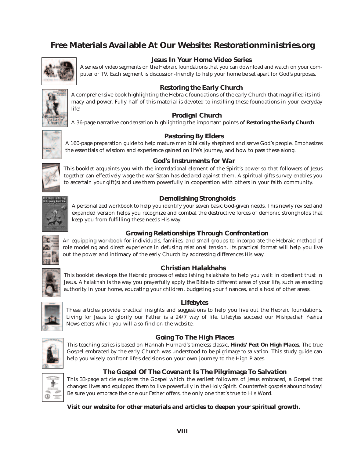### **Free Materials Available At Our Website: Restorationministries.org**



#### *Jesus In Your Home* **Video Series**

A series of video segments on the Hebraic foundations that you can download and watch on your computer or TV. Each segment is discussion-friendly to help your home be set apart for God's purposes.

#### *Restoring the Early Church*



A comprehensive book highlighting the Hebraic foundations of the early Church that magnified its intimacy and power. Fully half of this material is devoted to instilling these foundations in your everyday life!

#### *Prodigal Church*

A 36-page narrative condensation highlighting the important points of *Restoring the Early Church.*

#### *Pastoring By Elders*

A 160-page preparation guide to help mature men biblically shepherd and serve God's people. Emphasizes the essentials of wisdom and experience gained on life's journey, and how to pass these along.

#### *God's Instruments for War*



This booklet acquaints you with the *interrelational* element of the Spirit's power so that followers of Jesus together can effectively wage the war Satan has declared against them. A spiritual gifts survey enables you to ascertain your gift(s) and use them powerfully in cooperation with others in your faith community.

#### *Demolishing Strongholds*

A personalized workbook to help you identify your seven basic God-given needs. This newly revised and expanded version helps you recognize and combat the destructive forces of demonic strongholds that keep you from fulfilling these needs His way.

#### *Growing Relationships Through Confrontation*



An equipping workbook for individuals, families, and small groups to incorporate the Hebraic method of role modeling and direct experience in defusing relational tension. Its practical format will help you live out the power and intimacy of the early Church by addressing differences *His* way.



#### *Christian Halakhah***s**

This booklet develops the Hebraic process of establishing *halakhahs* to help you walk in obedient trust in Jesus. A *halakhah* is the way you prayerfully apply the Bible to different areas of your life, such as enacting authority in your home, educating your children, budgeting your finances, and a host of other areas.

#### *Lifebytes*

These articles provide practical insights and suggestions to help you live out the Hebraic foundations. Living for Jesus to glorify our Father is a 24/7 way of life. *Lifebytes* succeed our *Mishpachah Yeshua* Newsletters which you will also find on the website.



#### *Going To The High Places*

This teaching series is based on Hannah Hurnard's timeless classic, *Hinds' Feet On High Places*. The true Gospel embraced by the early Church was understood to be *pilgrimage to salvation*. This study guide can help you wisely confront life's decisions on your own journey to the High Places.



#### *The Gospel Of The Covenant Is The Pilgrimage To Salvation*

This 33-page article explores the Gospel which the earliest followers of Jesus embraced, a Gospel that changed lives and equipped them to live powerfully in the Holy Spirit. Counterfeit gospels abound today! Be sure you embrace the one our Father offers, the only one that's true to His Word.

#### **Visit our website for other materials and articles to deepen your spiritual growth.**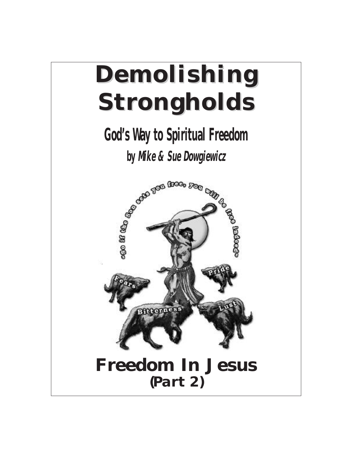# **Demolishing Demolishing Strongholds ongholds**

**God's Way to Spiritual Freedom**



*(Part 2)*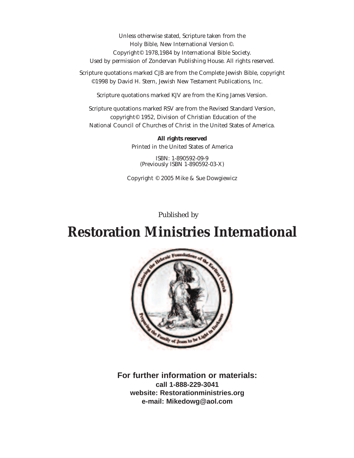Unless otherwise stated, Scripture taken from the Holy Bible, New International Version©. Copyright© 1978,1984 by International Bible Society. Used by permission of Zondervan Publishing House. All rights reserved.

Scripture quotations marked CJB are from the Complete Jewish Bible, copyright ©1998 by David H. Stern, Jewish New Testament Publications, Inc.

Scripture quotations marked KJV are from the King James Version.

Scripture quotations marked RSV are from the Revised Standard Version, copyright© 1952, Division of Christian Education of the National Council of Churches of Christ in the United States of America.

> **All rights reserved** Printed in the United States of America

ISBN: 1-890592-09-9 (Previously ISBN 1-890592-03-X)

Copyright © 2005 Mike & Sue Dowgiewicz

Published by

## **Restoration Ministries International**



**For further information or materials: call 1-888-229-3041 website: Restorationministries.org e-mail: Mikedowg@aol.com**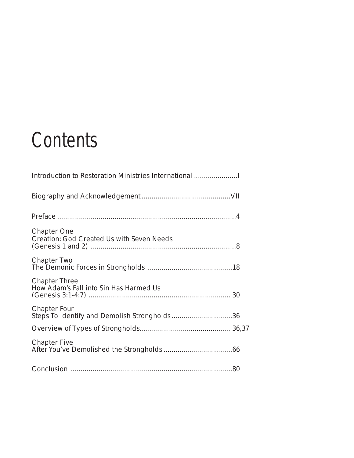# *Contents*

| <b>Chapter One</b><br><b>Creation: God Created Us with Seven Needs</b> |
|------------------------------------------------------------------------|
| <b>Chapter Two</b>                                                     |
| <b>Chapter Three</b><br>How Adam's Fall into Sin Has Harmed Us         |
| <b>Chapter Four</b><br>Steps To Identify and Demolish Strongholds36    |
|                                                                        |
| <b>Chapter Five</b>                                                    |
|                                                                        |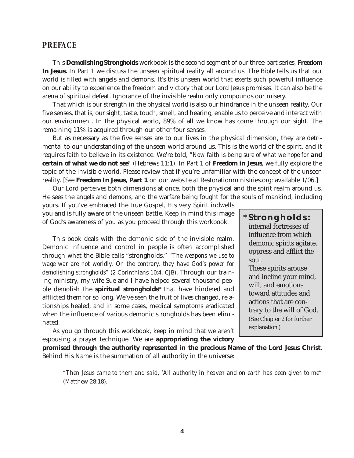#### *PREFACE*

This *Demolishing Strongholds* workbook is the second segment of our three-part series, *Freedom* In Jesus. In Part 1 we discuss the unseen spiritual reality all around us. The Bible tells us that our world is filled with angels and demons. It's this unseen world that exerts such powerful influence on our ability to experience the freedom and victory that our Lord Jesus promises. It can also be the arena of spiritual defeat. Ignorance of the invisible realm only compounds our misery.

That which is our strength in the physical world is also our hindrance in the unseen reality. Our five senses, that is, our sight, taste, touch, smell, and hearing, enable us to perceive and interact with our environment. In the physical world, 89% of all we know has come through our sight. The remaining 11% is acquired through our other four senses.

But as necessary as the five senses are to our lives in the physical dimension, they are detrimental to our understanding of the unseen world around us. This is the world of the spirit, and it requires *faith* to believe in its existence. We're told, *"Now faith is being sure of what we hope for and certain of what we do not see"* (Hebrews 11:1). In Part 1 of *Freedom in Jesus*, we fully explore the topic of the invisible world. Please review that if you're unfamiliar with the concept of the unseen reality. [See *Freedom In Jesus, Part 1* on our website at Restorationministries.org: available 1/06.]

Our Lord perceives both dimensions at once, both the physical and the spirit realm around us. He sees the angels and demons, and the warfare being fought for the souls of mankind, including

yours. If you've embraced the true Gospel, His very Spirit indwells you and is fully aware of the unseen battle. Keep in mind this image of God's awareness of you as you proceed through this workbook.

This book deals with the demonic side of the invisible realm. Demonic influence and control in people is often accomplished through what the Bible calls "strongholds." *"The weapons we use to wage war are not worldly. On the contrary, they have God's power for demolishing strongholds"* (2 Corinthians 10:4, CJB). Through our training ministry, my wife Sue and I have helped several thousand people demolish the **spiritual strongholds\*** that have hindered and afflicted them for so long. We've seen the fruit of lives changed, relationships healed, and in some cases, medical symptoms eradicated when the influence of various demonic strongholds has been eliminated.

As you go through this workbook, keep in mind that we aren't espousing a prayer technique. We are **appropriating the victory**

**\*Strongholds:** internal fortresses of influence from which demonic spirits agitate, oppress and afflict the soul. These spirits arouse and incline your mind, will, and emotions toward attitudes and actions that are contrary to the will of God. (See Chapter 2 for further explanation.)

**promised through the authority represented in the precious Name of the Lord Jesus Christ.** Behind His Name is the summation of all authority in the universe:

*"Then Jesus came to them and said, 'All authority in heaven and on earth has been given to me"* (Matthew 28:18).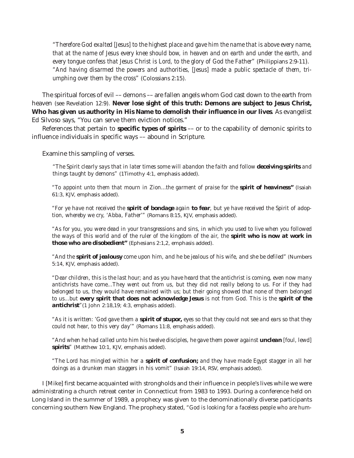*"Therefore God exalted [Jesus] to the highest place and gave him the name that is above every name, that at the name of Jesus every knee should bow, in heaven and on earth and under the earth, and every tongue confess that Jesus Christ is Lord, to the glory of God the Father"* (Philippians 2:9-11). *"And having disarmed the powers and authorities, [Jesus] made a public spectacle of them, triumphing over them by the cross"* (Colossians 2:15).

The spiritual forces of evil –– demons –– are fallen angels whom God cast down to the earth from heaven (see Revelation 12:9). **Never lose sight of this truth: Demons are subject to Jesus Christ, Who has given us authority in His Name to demolish their influence in our lives**. As evangelist Ed Silvoso says, "You can serve them eviction notices."

References that pertain to **specific types of spirits** –– or to the capability of demonic spirits to influence individuals in specific ways –– abound in Scripture.

Examine this sampling of verses.

*"The Spirit clearly says that in later times some will abandon the faith and follow deceiving spirits and things taught by demons"* (1Timothy 4:1, emphasis added).

*"To appoint unto them that mourn in Zion...the garment of praise for the spirit of heaviness"* (Isaiah 61:3, KJV, emphasis added).

*"For ye have not received the spirit of bondage again to fear, but ye have received the Spirit of adoption, whereby we cry, 'Abba, Father'"* (Romans 8:15, KJV, emphasis added).

*"As for you, you were dead in your transgressions and sins, in which you used to live when you followed the ways of this world and of the ruler of the kingdom of the air, the spirit who is now at work in those who are disobedient"* (Ephesians 2:1,2, emphasis added).

*"And the spirit of jealousy come upon him, and he be jealous of his wife, and she be defiled" (*Numbers 5:14, KJV, emphasis added).

*"Dear children, this is the last hour; and as you have heard that the antichrist is coming, even now many antichrists have come...They went out from us, but they did not really belong to us. For if they had belonged to us, they would have remained with us; but their going showed that none of them belonged to us...but every spirit that does not acknowledge Jesus is not from God. This is the spirit of the antichrist"*(1 John 2:18,19; 4:3, emphasis added).

*"As it is written: 'God gave them a spirit of stupor, eyes so that they could not see and ears so that they could not hear, to this very day'"* (Romans 11:8, emphasis added).

*"And when he had called unto him his twelve disciples, he gave them power against unclean [foul, lewd] spirits"* (Matthew 10:1, KJV, emphasis added).

*"The Lord has mingled within her a spirit of confusion; and they have made Egypt stagger in all her doings as a drunken man staggers in his vomit"* (Isaiah 19:14, RSV, emphasis added).

I [Mike] first became acquainted with strongholds and their influence in people's lives while we were administrating a church retreat center in Connecticut from 1983 to 1993. During a conference held on Long Island in the summer of 1989, a prophecy was given to the denominationally diverse participants concerning southern New England. The prophecy stated, *"God is looking for a faceless people who are hum-*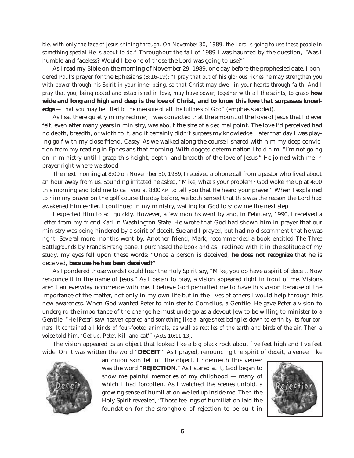*ble, with only the face of Jesus shining through. On November 30, 1989, the Lord is going to use these people in something special He is about to do."* Throughout the fall of 1989 I was haunted by the question, "Was *I* humble and faceless? Would *I* be one of those the Lord was going to use?"

As I read my Bible on the morning of November 29, 1989, one day before the prophesied date, I pondered Paul's prayer for the Ephesians (3:16-19): *"I pray that out of his glorious riches he may strengthen you with power through his Spirit in your inner being, so that Christ may dwell in your hearts through faith. And I pray that you, being rooted and established in love, may have power, together with all the saints, to grasp how wide and long and high and deep is the love of Christ, and to know this love that surpasses knowledge — that you may be filled to the measure of all the fullness of God"* (emphasis added).

As I sat there quietly in my recliner, I was convicted that the amount of the love of Jesus that I'd ever felt, even after many years in ministry, was about the size of a decimal point. The love I'd perceived had no depth, breadth, or width to it, and it certainly didn't surpass my knowledge. Later that day I was playing golf with my close friend, Casey. As we walked along the course I shared with him my deep conviction from my reading in Ephesians that morning. With dogged determination I told him, "I'm not going on in ministry until I grasp this height, depth, and breadth of the love of Jesus." He joined with me in prayer right where we stood.

The next morning at 8:00 on November 30, 1989, I received a phone call from a pastor who lived about an hour away from us. Sounding irritated he asked, "Mike, what's your problem? God woke me up at 4:00 this morning and told me to call you at 8:00 AM to tell you that He heard your prayer." When I explained to him my prayer on the golf course the day before, we both sensed that this was the reason the Lord had awakened him earlier. I continued in my ministry, waiting for God to show me the next step.

I expected Him to act quickly. However, a few months went by and, in February, 1990, I received a letter from my friend Karl in Washington State. He wrote that God had shown him in prayer that our ministry was being hindered by a spirit of deceit. Sue and I prayed, but had no discernment that he was right. Several more months went by. Another friend, Mark, recommended a book entitled *The Three Battlegrounds* by Francis Frangipane. I purchased the book and as I reclined with it in the solitude of my study, my eyes fell upon these words: "Once a person is deceived, *he does not recognize* that he is deceived, *because he has been deceived!"*

As I pondered those words I could hear the Holy Spirit say, "Mike, you do have a spirit of deceit. Now renounce it in the name of Jesus." As I began to pray, a vision appeared right in front of me. Visions aren't an everyday occurrence with me. I believe God permitted me to have this vision because of the importance of the matter, not only in my own life but in the lives of others I would help through this new awareness. When God wanted Peter to minister to Cornelius, a Gentile, He gave Peter a vision to undergird the importance of the change he must undergo as a devout Jew to be willing to minister to a Gentile: *"He [Peter] saw heaven opened and something like a large sheet being let down to earth by its four corners. It contained all kinds of four-footed animals, as well as reptiles of the earth and birds of the air. Then a voice told him, 'Get up, Peter. Kill and eat'"* (Acts 10:11-13).

The vision appeared as an object that looked like a big black rock about five feet high and five feet wide. On it was written the word "**DECEIT**." As I prayed, renouncing the spirit of deceit, a veneer like



an onion skin fell off the object. Underneath this veneer was the word "**REJECTION**." As I stared at it, God began to show me painful memories of my childhood — many of which I had forgotten. As I watched the scenes unfold, a growing sense of humiliation welled up inside me. Then the Holy Spirit revealed, "Those feelings of humiliation laid the foundation for the stronghold of rejection to be built in

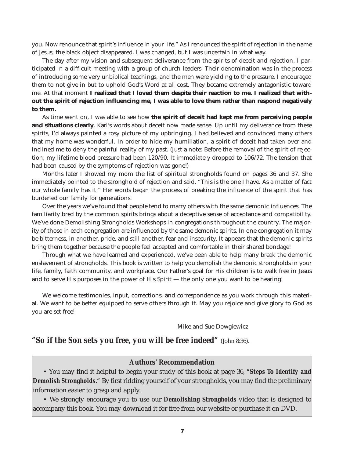you. Now renounce that spirit's influence in your life." As I renounced the spirit of rejection in the name of Jesus, the black object disappeared. I was changed, but I was uncertain in what way.

The day after my vision and subsequent deliverance from the spirits of deceit and rejection, I participated in a difficult meeting with a group of church leaders. Their denomination was in the process of introducing some very unbiblical teachings, and the men were yielding to the pressure. I encouraged them to not give in but to uphold God's Word at all cost. They became extremely antagonistic toward me. At that moment **I realized that I loved them** *despite* **their reaction to me. I realized that without the spirit of rejection influencing me, I was able to love them rather than respond negatively to them.**

As time went on, I was able to see how **the spirit of deceit had kept me from perceiving people and situations clearly**. Karl's words about deceit now made sense. Up until my deliverance from these spirits, I'd always painted a rosy picture of my upbringing. I had believed and convinced many others that my home was wonderful. In order to hide my humiliation, a spirit of deceit had taken over and inclined me to deny the painful reality of my past. (Just a note: Before the removal of the spirit of rejection, my lifetime blood pressure had been 120/90. It immediately dropped to 106/72. The tension that had been caused by the symptoms of rejection was gone!)

Months later I showed my mom the list of spiritual strongholds found on pages 36 and 37. She immediately pointed to the stronghold of rejection and said, "This is the one I have. As a matter of fact our whole family has it." Her words began the process of breaking the influence of the spirit that has burdened our family for generations.

Over the years we've found that people tend to marry others with the same demonic influences. The familiarity bred by the common spirits brings about a deceptive sense of acceptance and compatibility. We've done Demolishing Strongholds Workshops in congregations throughout the country. The majority of those in each congregation are influenced by the same demonic spirits. In one congregation it may be bitterness, in another, pride, and still another, fear and insecurity. It appears that the demonic spirits bring them together because the people feel accepted and comfortable in their shared bondage!

Through what we have learned and experienced, we've been able to help many break the demonic enslavement of strongholds. This book is written to help you demolish the demonic strongholds in your life, family, faith community, and workplace. Our Father's goal for His children is to walk free in Jesus and to serve His purposes in the power of His Spirit — the only one you want to be hearing!

We welcome testimonies, input, corrections, and correspondence as you work through this material. We want to be better equipped to serve others through it. May you rejoice and give glory to God as you are set free!

Mike and Sue Dowgiewicz

*"So if the Son sets you free, you will be free indeed"* (John 8:36).

**Authors' Recommendation**

• You may find it helpful to begin your study of this book at page 36, *"Steps To Identify and Demolish Strongholds."* By first ridding yourself of your strongholds, you may find the preliminary information easier to grasp and apply.

• We strongly encourage you to use our *Demolishing Strongholds* video that is designed to accompany this book. You may download it for free from our website or purchase it on DVD.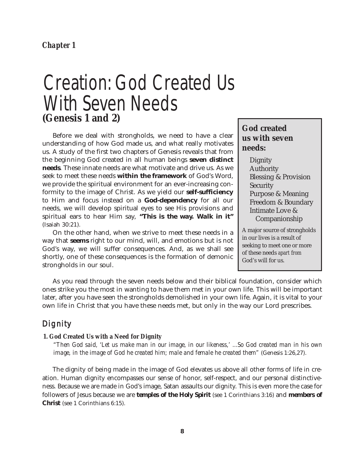# *Creation: God Created Us With Seven Needs*  **(Genesis 1 and 2)**

Before we deal with strongholds, we need to have a clear understanding of how God made us, and what really motivates us. A study of the first two chapters of Genesis reveals that from the beginning God created in all human beings **seven distinct needs**. These innate needs are what motivate and drive us. As we seek to meet these needs **within the framework** of God's Word, we provide the spiritual environment for an ever-increasing conformity to the image of Christ. As we yield our **self-sufficiency** to Him and focus instead on a **God-dependency** for all our needs, we will develop spiritual eyes to see His provisions and spiritual ears to hear Him say, *"This is the way. Walk in it"* (Isaiah 30:21).

On the other hand, when we strive to meet these needs in a way that **seems** right to our mind, will, and emotions but is not God's way, we will suffer consequences. And, as we shall see shortly, one of these consequences is the formation of demonic strongholds in our soul.

**God created us with seven needs:**

> **Dignity** Authority Blessing & Provision **Security** Purpose & Meaning Freedom & Boundary Intimate Love & Companionship

A major source of strongholds in our lives is a result of seeking to meet one or more of these needs *apart from* God's will for us.

As you read through the seven needs below and their biblical foundation, consider which ones strike you the most in wanting to have them met in your own life. This will be important later, after you have seen the strongholds demolished in your own life. Again, it is vital to your own life in Christ that you have these needs met, but only in the way our Lord prescribes.

## Dignity

**1. God Created Us with a Need for Dignity** 

*"Then God said, 'Let us make man in our image, in our likeness,' ...So God created man in his own image, in the image of God he created him; male and female he created them"* (Genesis 1:26,27).

The dignity of being made in the image of God elevates us above all other forms of life in creation. Human dignity encompasses our sense of honor, self-respect, and our personal distinctiveness. Because we are made in God's image, Satan assaults our dignity. This is even more the case for followers of Jesus because we are *temples of the Holy Spirit* (see 1 Corinthians 3:16) and *members of Christ* (see 1 Corinthians 6:15).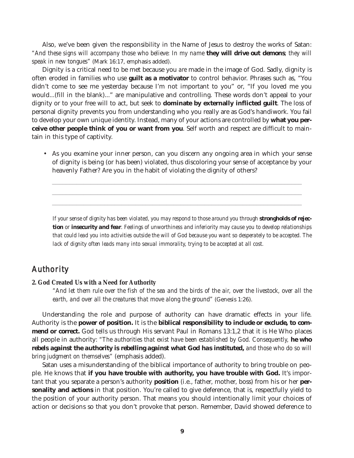Also, we've been given the responsibility in the Name of Jesus to destroy the works of Satan: *"And these signs will accompany those who believe: In my name they will drive out demons; they will speak in new tongues"* (Mark 16:17, emphasis added).

Dignity is a critical need to be met because you *are* made in the image of God. Sadly, dignity is often eroded in families who use **guilt as a motivator** to control behavior. Phrases such as, "You didn't come to see me yesterday because I'm not important to you" or, "If you loved me you would...(fill in the blank)..." are manipulative and controlling. These words don't appeal to your dignity or to your free will to act, but seek to **dominate by externally inflicted guilt**. The loss of personal dignity prevents you from understanding who you really are as God's handiwork. You fail to develop your own unique identity. Instead, many of your actions are controlled by **what you perceive other people think of you or want from you**. Self worth and respect are difficult to maintain in this type of captivity.

• As you examine your inner person, can you discern any ongoing area in which your sense of dignity is being (or has been) violated, thus discoloring your sense of acceptance by your heavenly Father? Are you in the habit of violating the dignity of others?

\_\_\_\_\_\_\_\_\_\_\_\_\_\_\_\_\_\_\_\_\_\_\_\_\_\_\_\_\_\_\_\_\_\_\_\_\_\_\_\_\_\_\_\_\_\_\_\_\_\_\_\_\_\_\_\_\_\_\_\_\_\_\_\_\_\_\_\_\_\_\_\_ \_\_\_\_\_\_\_\_\_\_\_\_\_\_\_\_\_\_\_\_\_\_\_\_\_\_\_\_\_\_\_\_\_\_\_\_\_\_\_\_\_\_\_\_\_\_\_\_\_\_\_\_\_\_\_\_\_\_\_\_\_\_\_\_\_\_\_\_\_\_\_\_ \_\_\_\_\_\_\_\_\_\_\_\_\_\_\_\_\_\_\_\_\_\_\_\_\_\_\_\_\_\_\_\_\_\_\_\_\_\_\_\_\_\_\_\_\_\_\_\_\_\_\_\_\_\_\_\_\_\_\_\_\_\_\_\_\_\_\_\_\_\_\_\_

If your sense of dignity has been violated, you may respond to those around you through **strongholds of rejec***tion or insecurity and fear. Feelings of unworthiness and inferiority may cause you to develop relationships that could lead you into activities outside the will of God because you want so desperately to be accepted. The lack of dignity often leads many into sexual immorality, trying to be accepted at all cost.*

#### Authority

**2. God Created Us with a Need for Authority** 

*"And let them rule over the fish of the sea and the birds of the air, over the livestock, over all the earth, and over all the creatures that move along the ground"* (Genesis 1:26).

Understanding the role and purpose of authority can have dramatic effects in your life. Authority is the **power of position.** It is the **biblical responsibility to** *include* **or** *exclude***, to** *commend* **or** *correct***.** God tells us through His servant Paul in Romans 13:1,2 that it is He Who places all people in authority: *"The authorities that exist have been established by God. Consequently, he who rebels against the authority is rebelling against what God has instituted, and those who do so will bring judgment on themselves"* (emphasis added).

Satan uses a misunderstanding of the biblical importance of authority to bring trouble on people. He knows that **if you have trouble with authority, you have trouble with God.** It's important that you separate a person's authority **position** (i.e., father, mother, boss) from his or her **personality and actions** in that position. You're called to give deference, that is, respectfully yield to the position of your authority person. That means you should intentionally limit your choices of action or decisions so that you don't provoke that person. Remember, David showed deference to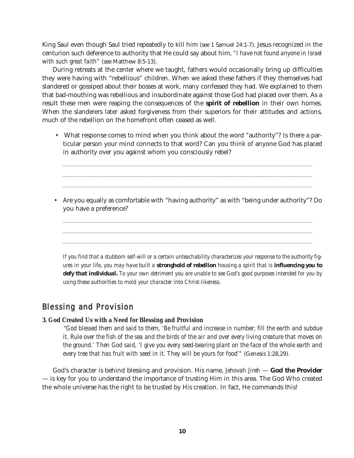King Saul even though Saul tried repeatedly to kill him (see 1 Samuel 24:1-7). Jesus recognized in the centurion such deference to authority that He could say about him, *"I have not found anyone in Israel with such great faith"* (see Matthew 8:5-13).

During retreats at the center where we taught, fathers would occasionally bring up difficulties they were having with "rebellious" children. When we asked these fathers if they themselves had slandered or gossiped about their bosses at work, many confessed they had. We explained to them that bad-mouthing was rebellious and insubordinate against those God had placed over them. As a result these men were reaping the consequences of the **spirit of rebellion** in their own homes. When the slanderers later asked forgiveness from their superiors for their attitudes and actions, much of the rebellion on the homefront often ceased as well.

• What response comes to mind when you think about the word "authority"? Is there a particular person your mind connects to that word? Can you think of anyone God has placed in authority over you against whom you consciously rebel?

\_\_\_\_\_\_\_\_\_\_\_\_\_\_\_\_\_\_\_\_\_\_\_\_\_\_\_\_\_\_\_\_\_\_\_\_\_\_\_\_\_\_\_\_\_\_\_\_\_\_\_\_\_\_\_\_\_\_\_\_\_\_\_\_\_\_\_\_\_\_\_\_ \_\_\_\_\_\_\_\_\_\_\_\_\_\_\_\_\_\_\_\_\_\_\_\_\_\_\_\_\_\_\_\_\_\_\_\_\_\_\_\_\_\_\_\_\_\_\_\_\_\_\_\_\_\_\_\_\_\_\_\_\_\_\_\_\_\_\_\_\_\_\_\_ \_\_\_\_\_\_\_\_\_\_\_\_\_\_\_\_\_\_\_\_\_\_\_\_\_\_\_\_\_\_\_\_\_\_\_\_\_\_\_\_\_\_\_\_\_\_\_\_\_\_\_\_\_\_\_\_\_\_\_\_\_\_\_\_\_\_\_\_\_\_\_\_

• Are you equally as comfortable with "having authority" as with "being under authority"? Do you have a preference?

\_\_\_\_\_\_\_\_\_\_\_\_\_\_\_\_\_\_\_\_\_\_\_\_\_\_\_\_\_\_\_\_\_\_\_\_\_\_\_\_\_\_\_\_\_\_\_\_\_\_\_\_\_\_\_\_\_\_\_\_\_\_\_\_\_\_\_\_\_\_\_\_ \_\_\_\_\_\_\_\_\_\_\_\_\_\_\_\_\_\_\_\_\_\_\_\_\_\_\_\_\_\_\_\_\_\_\_\_\_\_\_\_\_\_\_\_\_\_\_\_\_\_\_\_\_\_\_\_\_\_\_\_\_\_\_\_\_\_\_\_\_\_\_\_ \_\_\_\_\_\_\_\_\_\_\_\_\_\_\_\_\_\_\_\_\_\_\_\_\_\_\_\_\_\_\_\_\_\_\_\_\_\_\_\_\_\_\_\_\_\_\_\_\_\_\_\_\_\_\_\_\_\_\_\_\_\_\_\_\_\_\_\_\_\_\_\_

*If you find that a stubborn self-will or a certain unteachability characterizes your response to the authority figures in your life, you may have built a stronghold of rebellion housing a spirit that is influencing you to defy that individual. To your own detriment you are unable to see God's good purposes intended for you by using these authorities to mold your character into Christ-likeness.*

### Blessing and Provision

**3. God Created Us with a Need for Blessing and Provision** 

*"God blessed them and said to them, 'Be fruitful and increase in number; fill the earth and subdue it. Rule over the fish of the sea and the birds of the air and over every living creature that moves on the ground.' Then God said, 'I give you every seed-bearing plant on the face of the whole earth and every tree that has fruit with seed in it. They will be yours for food'"* (Genesis 1:28,29).

God's character is behind blessing and provision. His name, *Jehovah Jireh* — **God the Provider** — is key for you to understand the importance of trusting Him in this area. The God Who created the whole universe has the right to be trusted by His creation. In fact, He commands this!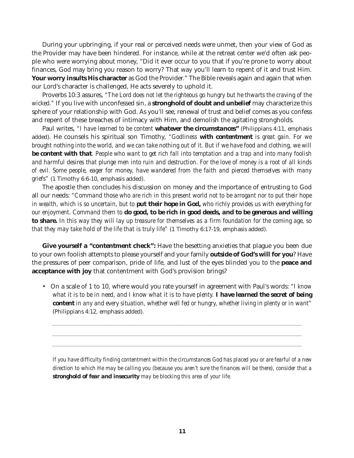During your upbringing, if your real or perceived needs were unmet, then your view of God as the Provider may have been hindered. For instance, while at the retreat center we'd often ask people who were worrying about money, "Did it ever occur to you that if you're prone to worry about finances, God may bring you reason to worry? That way you'll learn to repent of it and trust Him. **Your worry insults His character** as God the Provider." The Bible reveals again and again that when our Lord's character is challenged, He acts severely to uphold it.

Proverbs 10:3 assures, *"The Lord does not let the righteous go hungry but he thwarts the craving of the wicked."* If you live with unconfessed sin, a **stronghold of doubt and unbelief** may characterize this sphere of your relationship with God. As you'll see, renewal of trust and belief comes as you confess and repent of these breaches of intimacy with Him, and demolish the agitating strongholds.

Paul writes, *"I have learned to be content whatever the circumstances"* (Philippians 4:11, emphasis added). He counsels his spiritual son Timothy, *"Godliness with contentment is great gain. For we brought nothing into the world, and we can take nothing out of it. But if we have food and clothing, we will be content with that. People who want to get rich fall into temptation and a trap and into many foolish and harmful desires that plunge men into ruin and destruction. For the love of money is a root of all kinds of evil. Some people, eager for money, have wandered from the faith and pierced themselves with many griefs"* (1 Timothy 6:6-10, emphasis added).

The apostle then concludes his discussion on money and the importance of entrusting to God all our needs: *"Command those who are rich in this present world not to be arrogant nor to put their hope in wealth, which is so uncertain, but to put their hope in God, who richly provides us with everything for our enjoyment. Command them to do good, to be rich in good deeds, and to be generous and willing to share. In this way they will lay up treasure for themselves as a firm foundation for the coming age, so that they may take hold of the life that is truly life"* (1 Timothy 6:17-19, emphasis added).

**Give yourself a "contentment check":** Have the besetting anxieties that plague you been due to your own foolish attempts to please yourself and your family **outside of God's will for you**? Have the pressures of peer comparison, pride of life, and lust of the eyes blinded you to the **peace and acceptance with joy** that contentment with God's provision brings?

• On a scale of 1 to 10, where would you rate yourself in agreement with Paul's words: *"I know what it is to be in need, and I know what it is to have plenty. I have learned the secret of being content in any and every situation, whether well fed or hungry, whether living in plenty or in want"* (Philippians 4:12, emphasis added).

\_\_\_\_\_\_\_\_\_\_\_\_\_\_\_\_\_\_\_\_\_\_\_\_\_\_\_\_\_\_\_\_\_\_\_\_\_\_\_\_\_\_\_\_\_\_\_\_\_\_\_\_\_\_\_\_\_\_\_\_\_\_\_\_\_\_\_\_\_\_\_\_ \_\_\_\_\_\_\_\_\_\_\_\_\_\_\_\_\_\_\_\_\_\_\_\_\_\_\_\_\_\_\_\_\_\_\_\_\_\_\_\_\_\_\_\_\_\_\_\_\_\_\_\_\_\_\_\_\_\_\_\_\_\_\_\_\_\_\_\_\_\_\_\_ \_\_\_\_\_\_\_\_\_\_\_\_\_\_\_\_\_\_\_\_\_\_\_\_\_\_\_\_\_\_\_\_\_\_\_\_\_\_\_\_\_\_\_\_\_\_\_\_\_\_\_\_\_\_\_\_\_\_\_\_\_\_\_\_\_\_\_\_\_\_\_\_

*If you have difficulty finding contentment within the circumstances God has placed you or are fearful of a new direction to which He may be calling you (because you aren't sure the finances will be there), consider that a stronghold of fear and insecurity may be blocking this area of your life.*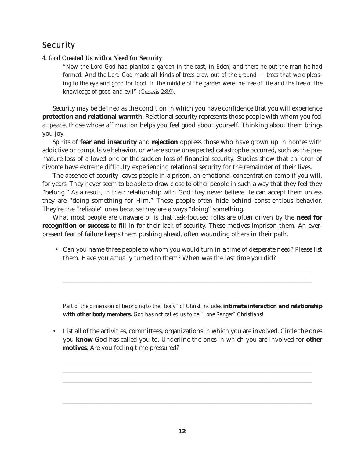## Security

**4. God Created Us with a Need for Security** 

*"Now the Lord God had planted a garden in the east, in Eden; and there he put the man he had formed. And the Lord God made all kinds of trees grow out of the ground — trees that were pleasing to the eye and good for food. In the middle of the garden were the tree of life and the tree of the knowledge of good and evil"* (Genesis 2:8,9).

Security may be defined as the condition in which you have confidence that you will experience **protection and relational warmth**. Relational security represents those people with whom you feel at peace, those whose affirmation helps you feel good about yourself. Thinking about them brings you joy.

Spirits of **fear and insecurity** and **rejection** oppress those who have grown up in homes with addictive or compulsive behavior, or where some unexpected catastrophe occurred, such as the premature loss of a loved one or the sudden loss of financial security. Studies show that children of divorce have extreme difficulty experiencing relational security for the remainder of their lives.

The absence of security leaves people in a prison, an emotional concentration camp if you will, for years. They never seem to be able to draw close to other people in such a way that they feel they "belong." As a result, in their relationship with God they never believe He can accept them unless they are "doing something for Him." These people often hide behind conscientious behavior. They're the "reliable" ones because they are always "doing" something.

What most people are unaware of is that task-focused folks are often driven by the **need for recognition or success** to fill in for their lack of security. These motives imprison them. An everpresent fear of failure keeps them pushing ahead, often wounding others in their path.

• Can you name three people to whom you would turn in a time of desperate need? Please list them. Have you actually turned to them? When was the last time you did?

\_\_\_\_\_\_\_\_\_\_\_\_\_\_\_\_\_\_\_\_\_\_\_\_\_\_\_\_\_\_\_\_\_\_\_\_\_\_\_\_\_\_\_\_\_\_\_\_\_\_\_\_\_\_\_\_\_\_\_\_\_\_\_\_\_\_\_\_\_\_\_\_ \_\_\_\_\_\_\_\_\_\_\_\_\_\_\_\_\_\_\_\_\_\_\_\_\_\_\_\_\_\_\_\_\_\_\_\_\_\_\_\_\_\_\_\_\_\_\_\_\_\_\_\_\_\_\_\_\_\_\_\_\_\_\_\_\_\_\_\_\_\_\_\_ \_\_\_\_\_\_\_\_\_\_\_\_\_\_\_\_\_\_\_\_\_\_\_\_\_\_\_\_\_\_\_\_\_\_\_\_\_\_\_\_\_\_\_\_\_\_\_\_\_\_\_\_\_\_\_\_\_\_\_\_\_\_\_\_\_\_\_\_\_\_\_\_

*Part of the dimension of belonging to the "body" of Christ includes intimate interaction and relationship with other body members. God has not called us to be "Lone Ranger" Christians!*

• List all of the activities, committees, organizations in which you are involved. Circle the ones you **know** God has called you to. Underline the ones in which you are involved for **other motives**. Are you feeling time-pressured?

\_\_\_\_\_\_\_\_\_\_\_\_\_\_\_\_\_\_\_\_\_\_\_\_\_\_\_\_\_\_\_\_\_\_\_\_\_\_\_\_\_\_\_\_\_\_\_\_\_\_\_\_\_\_\_\_\_\_\_\_\_\_\_\_\_\_\_\_\_\_\_\_ \_\_\_\_\_\_\_\_\_\_\_\_\_\_\_\_\_\_\_\_\_\_\_\_\_\_\_\_\_\_\_\_\_\_\_\_\_\_\_\_\_\_\_\_\_\_\_\_\_\_\_\_\_\_\_\_\_\_\_\_\_\_\_\_\_\_\_\_\_\_\_\_ \_\_\_\_\_\_\_\_\_\_\_\_\_\_\_\_\_\_\_\_\_\_\_\_\_\_\_\_\_\_\_\_\_\_\_\_\_\_\_\_\_\_\_\_\_\_\_\_\_\_\_\_\_\_\_\_\_\_\_\_\_\_\_\_\_\_\_\_\_\_\_\_ \_\_\_\_\_\_\_\_\_\_\_\_\_\_\_\_\_\_\_\_\_\_\_\_\_\_\_\_\_\_\_\_\_\_\_\_\_\_\_\_\_\_\_\_\_\_\_\_\_\_\_\_\_\_\_\_\_\_\_\_\_\_\_\_\_\_\_\_\_\_\_\_ \_\_\_\_\_\_\_\_\_\_\_\_\_\_\_\_\_\_\_\_\_\_\_\_\_\_\_\_\_\_\_\_\_\_\_\_\_\_\_\_\_\_\_\_\_\_\_\_\_\_\_\_\_\_\_\_\_\_\_\_\_\_\_\_\_\_\_\_\_\_\_\_ \_\_\_\_\_\_\_\_\_\_\_\_\_\_\_\_\_\_\_\_\_\_\_\_\_\_\_\_\_\_\_\_\_\_\_\_\_\_\_\_\_\_\_\_\_\_\_\_\_\_\_\_\_\_\_\_\_\_\_\_\_\_\_\_\_\_\_\_\_\_\_\_

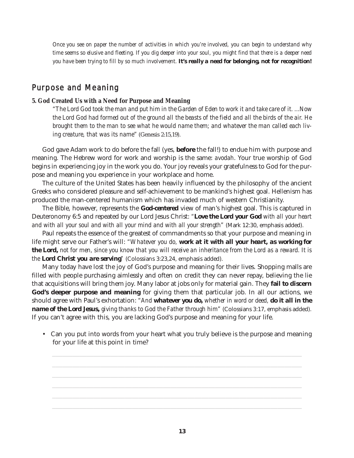*Once you see on paper the number of activities in which you're involved, you can begin to understand why time seems so elusive and fleeting. If you dig deeper into your soul, you might find that there is a deeper need you have been trying to fill by so much involvement. It's really a need for belonging, not for recognition!*

### Purpose and Meaning

#### **5. God Created Us with a Need for Purpose and Meaning**

*"The Lord God took the man and put him in the Garden of Eden to work it and take care of it. ...Now the Lord God had formed out of the ground all the beasts of the field and all the birds of the air. He brought them to the man to see what he would name them; and whatever the man called each living creature, that was its name"* (Genesis 2:15,19).

God gave Adam work to do before the fall (yes, **before** the fall!) to endue him with purpose and meaning. The Hebrew word for work and worship is the same: *avodah*. Your true worship of God begins in experiencing joy in the work you do. Your joy reveals your gratefulness to God for the purpose and meaning you experience in your workplace and home.

The culture of the United States has been heavily influenced by the philosophy of the ancient Greeks who considered pleasure and self-achievement to be mankind's highest goal. Hellenism has produced the man-centered humanism which has invaded much of western Christianity.

The Bible, however, represents the *God-centered* view of man's highest goal. This is captured in Deuteronomy 6:5 and repeated by our Lord Jesus Christ: *"Love the Lord your God with all your heart and with all your soul and with all your mind and with all your strength"* (Mark 12:30, emphasis added).

Paul repeats the essence of the greatest of commandments so that your purpose and meaning in life might serve our Father's will: *"Whatever you do, work at it with all your heart, as working for the Lord, not for men, since you know that you will receive an inheritance from the Lord as a reward. It is the Lord Christ you are serving"* (Colossians 3:23,24, emphasis added).

Many today have lost the joy of God's purpose and meaning for their lives. Shopping malls are filled with people purchasing aimlessly and often on credit they can never repay, believing the lie that acquisitions will bring them joy. Many labor at jobs only for material gain. They **fail to discern God's deeper purpose and meaning** for giving them that particular job. In all our actions, we should agree with Paul's exhortation: *"And whatever you do, whether in word or deed, do it all in the name of the Lord Jesus, giving thanks to God the Father through him"* (Colossians 3:17, emphasis added). If you can't agree with this, you are lacking God's purpose and meaning for your life.

• Can you put into words from your heart what you truly believe is the purpose and meaning for your life at this point in time?

\_\_\_\_\_\_\_\_\_\_\_\_\_\_\_\_\_\_\_\_\_\_\_\_\_\_\_\_\_\_\_\_\_\_\_\_\_\_\_\_\_\_\_\_\_\_\_\_\_\_\_\_\_\_\_\_\_\_\_\_\_\_\_\_\_\_\_\_\_\_\_\_ \_\_\_\_\_\_\_\_\_\_\_\_\_\_\_\_\_\_\_\_\_\_\_\_\_\_\_\_\_\_\_\_\_\_\_\_\_\_\_\_\_\_\_\_\_\_\_\_\_\_\_\_\_\_\_\_\_\_\_\_\_\_\_\_\_\_\_\_\_\_\_\_ \_\_\_\_\_\_\_\_\_\_\_\_\_\_\_\_\_\_\_\_\_\_\_\_\_\_\_\_\_\_\_\_\_\_\_\_\_\_\_\_\_\_\_\_\_\_\_\_\_\_\_\_\_\_\_\_\_\_\_\_\_\_\_\_\_\_\_\_\_\_\_\_ \_\_\_\_\_\_\_\_\_\_\_\_\_\_\_\_\_\_\_\_\_\_\_\_\_\_\_\_\_\_\_\_\_\_\_\_\_\_\_\_\_\_\_\_\_\_\_\_\_\_\_\_\_\_\_\_\_\_\_\_\_\_\_\_\_\_\_\_\_\_\_\_ \_\_\_\_\_\_\_\_\_\_\_\_\_\_\_\_\_\_\_\_\_\_\_\_\_\_\_\_\_\_\_\_\_\_\_\_\_\_\_\_\_\_\_\_\_\_\_\_\_\_\_\_\_\_\_\_\_\_\_\_\_\_\_\_\_\_\_\_\_\_\_\_ \_\_\_\_\_\_\_\_\_\_\_\_\_\_\_\_\_\_\_\_\_\_\_\_\_\_\_\_\_\_\_\_\_\_\_\_\_\_\_\_\_\_\_\_\_\_\_\_\_\_\_\_\_\_\_\_\_\_\_\_\_\_\_\_\_\_\_\_\_\_\_\_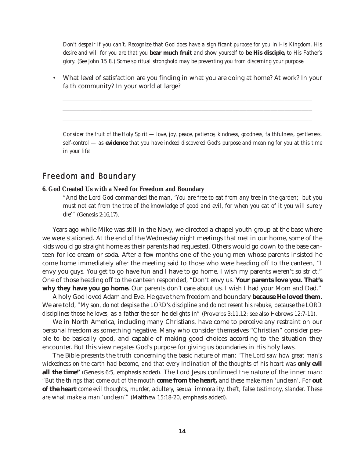*Don't despair if you can't. Recognize that God does have a significant purpose for you in His Kingdom. His desire and will for you are that you bear much fruit and show yourself to be His disciple, to His Father's glory. (See John 15:8.) Some spiritual stronghold may be preventing you from discerning your purpose.* 

• What level of satisfaction are you finding in what you are doing at home? At work? In your faith community? In your world at large?

\_\_\_\_\_\_\_\_\_\_\_\_\_\_\_\_\_\_\_\_\_\_\_\_\_\_\_\_\_\_\_\_\_\_\_\_\_\_\_\_\_\_\_\_\_\_\_\_\_\_\_\_\_\_\_\_\_\_\_\_\_\_\_\_\_\_\_\_\_\_\_\_ \_\_\_\_\_\_\_\_\_\_\_\_\_\_\_\_\_\_\_\_\_\_\_\_\_\_\_\_\_\_\_\_\_\_\_\_\_\_\_\_\_\_\_\_\_\_\_\_\_\_\_\_\_\_\_\_\_\_\_\_\_\_\_\_\_\_\_\_\_\_\_\_ \_\_\_\_\_\_\_\_\_\_\_\_\_\_\_\_\_\_\_\_\_\_\_\_\_\_\_\_\_\_\_\_\_\_\_\_\_\_\_\_\_\_\_\_\_\_\_\_\_\_\_\_\_\_\_\_\_\_\_\_\_\_\_\_\_\_\_\_\_\_\_\_

*Consider the fruit of the Holy Spirit — love, joy, peace, patience, kindness, goodness, faithfulness, gentleness, self-control — as evidence that you have indeed discovered God's purpose and meaning for you at this time in your life!*

#### Freedom and Boundary

**6. God Created Us with a Need for Freedom and Boundary** 

*"And the Lord God commanded the man, 'You are free to eat from any tree in the garden; but you must not eat from the tree of the knowledge of good and evil, for when you eat of it you will surely die'"* (Genesis 2:16,17).

Years ago while Mike was still in the Navy, we directed a chapel youth group at the base where we were stationed. At the end of the Wednesday night meetings that met in our home, some of the kids would go straight home as their parents had requested. Others would go down to the base canteen for ice cream or soda. After a few months one of the young men whose parents insisted he come home immediately after the meeting said to those who were heading off to the canteen, "I envy you guys. You get to go have fun and I have to go home. I wish my parents weren't so strict." One of those heading off to the canteen responded, "Don't envy us. **Your parents love you. That's** why they have you go home. Our parents don't care about us. I wish I had your Mom and Dad."

A holy God loved Adam and Eve. He gave them freedom and boundary **because He loved them.** We are told, *"My son, do not despise the LORD's discipline and do not resent his rebuke, because the LORD disciplines those he loves, as a father the son he delights in"* (Proverbs 3:11,12; see also Hebrews 12:7-11).

We in North America, including many Christians, have come to perceive any restraint on our personal freedom as something negative. Many who consider themselves "Christian" consider people to be basically good, and capable of making good choices according to the situation they encounter. But this view negates God's purpose for giving us boundaries in His holy laws.

The Bible presents the truth concerning the basic nature of man: *"The Lord saw how great man's wickedness on the earth had become, and that every inclination of the thoughts of his heart was only evil all the time"* (Genesis 6:5, emphasis added). The Lord Jesus confirmed the nature of the inner man: *"But the things that come out of the mouth come from the heart, and these make man 'unclean'. For out of the heart come evil thoughts, murder, adultery, sexual immorality, theft, false testimony, slander. These are what make a man 'unclean'"* (Matthew 15:18-20, emphasis added).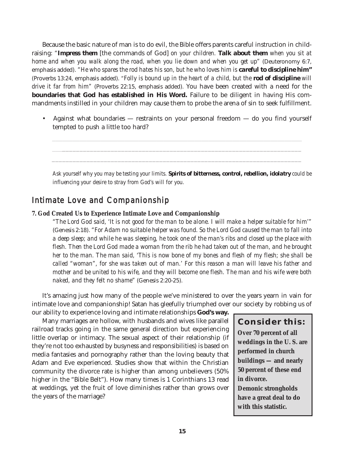Because the basic nature of man is to do evil, the Bible offers parents careful instruction in childraising: *"Impress them* [the commands of God] *on your children. Talk about them when you sit at home and when you walk along the road, when you lie down and when you get up"* (Deuteronomy 6:7, emphasis added). *"He who spares the rod hates his son, but he who loves him is careful to discipline him"* (Proverbs 13:24, emphasis added). *"Folly is bound up in the heart of a child, but the rod of discipline will drive it far from him"* (Proverbs 22:15, emphasis added). You have been created with a need for the **boundaries that God has established in His Word.** Failure to be diligent in having His commandments instilled in your children may cause them to probe the arena of sin to seek fulfillment.

Against what boundaries  $-$  restraints on your personal freedom  $-$  do you find yourself tempted to push a little too hard?



## Intimate Love and Companionship

**7. God Created Us to Experience Intimate Love and Companionship**

*"The Lord God said, 'It is not good for the man to be alone. I will make a helper suitable for him'"* (Genesis 2:18). *"For Adam no suitable helper was found. So the Lord God caused the man to fall into a deep sleep; and while he was sleeping, he took one of the man's ribs and closed up the place with flesh. Then the Lord God made a woman from the rib he had taken out of the man, and he brought her to the man. The man said, 'This is now bone of my bones and flesh of my flesh; she shall be called "woman", for she was taken out of man.' For this reason a man will leave his father and mother and be united to his wife, and they will become one flesh. The man and his wife were both naked, and they felt no shame"* (Genesis 2:20-25).

It's amazing just how many of the people we've ministered to over the years yearn in vain for intimate love and companionship! Satan has gleefully triumphed over our society by robbing us of our ability to experience loving and intimate relationships **God's way.**

Many marriages are hollow, with husbands and wives like parallel railroad tracks going in the same general direction but experiencing little overlap or intimacy. The sexual aspect of their relationship (if they're not too exhausted by busyness and responsibilities) is based on media fantasies and pornography rather than the loving beauty that Adam and Eve experienced. Studies show that within the Christian community the divorce rate is higher than among unbelievers (50% higher in the "Bible Belt"). How many times is 1 Corinthians 13 read at weddings, yet the fruit of love diminishes rather than grows over the years of the marriage?

**Consider this: Over 70 percent of all weddings in the U. S. are performed in church buildings — and nearly 50 percent of these end in divorce. Demonic strongholds have a great deal to do with this statistic.**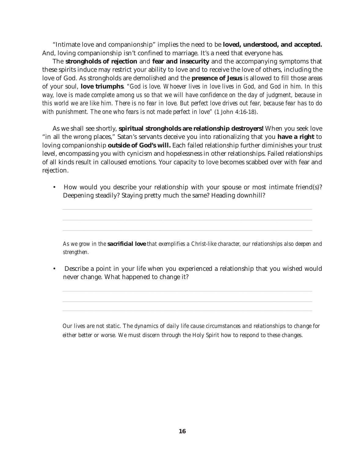"Intimate love and companionship" implies the need to be **loved, understood, and accepted.** And, loving companionship isn't confined to marriage. It's a need that everyone has.

The **strongholds of rejection** and **fear and insecurity** and the accompanying symptoms that these spirits induce may restrict your ability to love and to receive the love of others, including the love of God. As strongholds are demolished and the **presence of Jesus** is allowed to fill those areas of your soul, **love triumphs**. *"God is love. Whoever lives in love lives in God, and God in him. In this way, love is made complete among us so that we will have confidence on the day of judgment, because in this world we are like him. There is no fear in love. But perfect love drives out fear, because fear has to do with punishment. The one who fears is not made perfect in love"* (1 John 4:16-18).

As we shall see shortly, **spiritual strongholds are relationship destroyers!** When you seek love "in all the wrong places," Satan's servants deceive you into rationalizing that you **have a right** to loving companionship **outside of God's will.** Each failed relationship further diminishes your trust level, encompassing you with cynicism and hopelessness in other relationships. Failed relationships of all kinds result in calloused emotions. Your capacity to love becomes scabbed over with fear and rejection.

• How would you describe your relationship with your spouse or most intimate friend(s)? Deepening steadily? Staying pretty much the same? Heading downhill?

\_\_\_\_\_\_\_\_\_\_\_\_\_\_\_\_\_\_\_\_\_\_\_\_\_\_\_\_\_\_\_\_\_\_\_\_\_\_\_\_\_\_\_\_\_\_\_\_\_\_\_\_\_\_\_\_\_\_\_\_\_\_\_\_\_\_\_\_\_\_\_\_ \_\_\_\_\_\_\_\_\_\_\_\_\_\_\_\_\_\_\_\_\_\_\_\_\_\_\_\_\_\_\_\_\_\_\_\_\_\_\_\_\_\_\_\_\_\_\_\_\_\_\_\_\_\_\_\_\_\_\_\_\_\_\_\_\_\_\_\_\_\_\_\_ \_\_\_\_\_\_\_\_\_\_\_\_\_\_\_\_\_\_\_\_\_\_\_\_\_\_\_\_\_\_\_\_\_\_\_\_\_\_\_\_\_\_\_\_\_\_\_\_\_\_\_\_\_\_\_\_\_\_\_\_\_\_\_\_\_\_\_\_\_\_\_\_

*As we grow in the sacrificial love that exemplifies a Christ-like character, our relationships also deepen and strengthen.*

• Describe a point in your life when you experienced a relationship that you wished would never change. What happened to change it?

\_\_\_\_\_\_\_\_\_\_\_\_\_\_\_\_\_\_\_\_\_\_\_\_\_\_\_\_\_\_\_\_\_\_\_\_\_\_\_\_\_\_\_\_\_\_\_\_\_\_\_\_\_\_\_\_\_\_\_\_\_\_\_\_\_\_\_\_\_\_\_\_ \_\_\_\_\_\_\_\_\_\_\_\_\_\_\_\_\_\_\_\_\_\_\_\_\_\_\_\_\_\_\_\_\_\_\_\_\_\_\_\_\_\_\_\_\_\_\_\_\_\_\_\_\_\_\_\_\_\_\_\_\_\_\_\_\_\_\_\_\_\_\_\_ \_\_\_\_\_\_\_\_\_\_\_\_\_\_\_\_\_\_\_\_\_\_\_\_\_\_\_\_\_\_\_\_\_\_\_\_\_\_\_\_\_\_\_\_\_\_\_\_\_\_\_\_\_\_\_\_\_\_\_\_\_\_\_\_\_\_\_\_\_\_\_\_

*Our lives are not static. The dynamics of daily life cause circumstances and relationships to change for either better or worse. We must discern through the Holy Spirit how to respond to these changes.*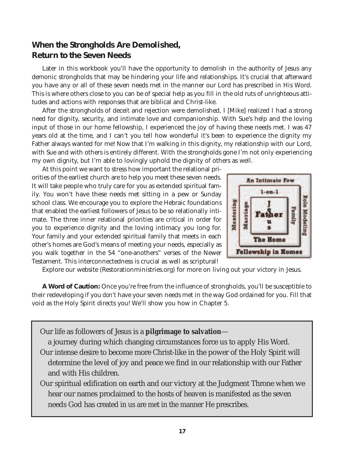### **When the Strongholds Are Demolished, Return to the Seven Needs**

Later in this workbook you'll have the opportunity to demolish in the authority of Jesus any demonic strongholds that may be hindering your life and relationships. It's crucial that afterward you have any or all of these seven needs met in the manner our Lord has prescribed in His Word. This is where others close to you can be of special help as you fill in the old ruts of unrighteous attitudes and actions with responses that are biblical and Christ-like.

After the strongholds of deceit and rejection were demolished, I [Mike] realized I had a strong need for dignity, security, and intimate love and companionship. With Sue's help and the loving input of those in our home fellowship, I experienced the joy of having these needs met. I was 47 years old at the time, and I can't you tell how wonderful it's been to experience the dignity my Father always wanted for me! Now that I'm walking in this dignity, my relationship with our Lord, with Sue and with others is entirely different. With the strongholds gone I'm not only experiencing my own dignity, but I'm able to lovingly uphold the dignity of others as well.

At this point we want to stress how important the relational priorities of the earliest church are to help you meet these seven needs. It will take people who truly care for you as extended spiritual family. You won't have these needs met sitting in a pew or Sunday school class. We encourage you to explore the Hebraic foundations that enabled the earliest followers of Jesus to be so relationally intimate. The three inner relational priorities are critical in order for you to experience dignity and the loving intimacy you long for. Your family and your extended spiritual family that meets in each other's homes are God's means of meeting your needs, especially as you walk together in the 54 "one-anothers" verses of the Newer Testament. This interconnectedness is crucial as well as scriptural!



Explore our website (Restorationministries.org) for more on living out your victory in Jesus.

**A Word of Caution:** Once you're free from the influence of strongholds, you'll be susceptible to their redeveloping if you *don't* have your seven needs met in the way God ordained for you. Fill that void as the Holy Spirit directs you! We'll show you how in Chapter 5.

Our life as followers of Jesus is a **pilgrimage to salvation**—

a journey during which changing circumstances force us to apply His Word.

Our intense desire to become more Christ-like in the power of the Holy Spirit will determine the level of joy and peace we find in our relationship with our Father and with His children.

Our spiritual edification on earth and our victory at the Judgment Throne when we hear our names proclaimed to the hosts of heaven is manifested as the seven needs God has created in us are met in the manner He prescribes.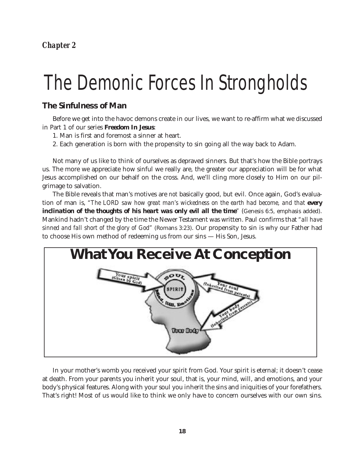# *The Demonic Forces In Strongholds*

**The Sinfulness of Man**

Before we get into the havoc demons create in our lives, we want to re-affirm what we discussed in Part 1 of our series *Freedom In Jesus*:

- 1. Man is first and foremost a sinner at heart.
- 2. Each generation is born with the propensity to sin going all the way back to Adam.

Not many of us like to think of ourselves as depraved sinners. But that's how the Bible portrays us. The more we appreciate how sinful we really are, the greater our appreciation will be for what Jesus accomplished on our behalf on the cross. And, we'll cling more closely to Him on our pilgrimage to salvation.

The Bible reveals that man's motives are *not* basically good, but evil. Once again, God's evaluation of man is, "The LORD saw how great man's wickedness on the earth had become, and that every *inclination of the thoughts of his heart was only evil all the time<sup><i>"*</sup> (Genesis 6:5, emphasis added). Mankind hadn't changed by the time the Newer Testament was written. Paul confirms that *"all have sinned and fall short of the glory of God"* (Romans 3:23). Our propensity to sin is why our Father had to choose His own method of redeeming us from our sins — His Son, Jesus.



In your mother's womb you received your spirit from God. Your spirit is eternal; it doesn't cease at death. From your parents you inherit your soul, that is, your mind, will, and emotions, and your body's physical features. Along with your soul you inherit the sins and iniquities of your forefathers. That's right! Most of us would like to think we only have to concern ourselves with our own sins.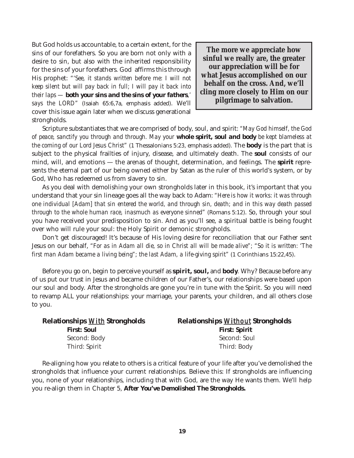But God holds us accountable, to a certain extent, for the sins of our forefathers. So you are born not only with a desire to sin, but also with the inherited responsibility for the sins of your forefathers. God affirms this through His prophet: *"'See, it stands written before me: I will not keep silent but will pay back in full; I will pay it back into their laps — both your sins and the sins of your fathers,' says the LORD"* (Isaiah 65:6,7a, emphasis added). We'll cover this issue again later when we discuss generational strongholds.

**The more we appreciate how sinful we really are, the greater our appreciation will be for what Jesus accomplished on our behalf on the cross. And, we'll cling more closely to Him on our pilgrimage to salvation.**

Scripture substantiates that we are comprised of body, soul, and spirit: *"May God himself, the God of peace, sanctify you through and through. May your whole spirit, soul and body be kept blameless at the coming of our Lord Jesus Christ"* (1 Thessalonians 5:23, emphasis added). The **body** is the part that is subject to the physical frailties of injury, disease, and ultimately death. The **soul** consists of our mind, will, and emotions — the arenas of thought, determination, and feelings. The **spirit** represents the eternal part of our being owned either by Satan as the ruler of this world's system, or by God, Who has redeemed us from slavery to sin.

As you deal with demolishing your own strongholds later in this book, it's important that you understand that your sin lineage goes all the way back to Adam: *"Here is how it works: it was through one individual [Adam] that sin entered the world, and through sin, death; and in this way death passed through to the whole human race, inasmuch as everyone sinned"* (Romans 5:12). So, through your soul you have received your predisposition to sin. And as you'll see, a spiritual battle is being fought over who will rule your soul: the Holy Spirit or demonic strongholds.

Don't get discouraged! It's because of His loving desire for reconciliation that our Father sent Jesus on our behalf, *"For as in Adam all die, so in Christ all will be made alive"; "So it is written: 'The first man Adam became a living being"; the last Adam, a life-giving spirit"* (1 Corinthians 15:22,45).

Before you go on, begin to perceive yourself as *spirit, soul***,** and *body.* Why? Because before any of us put our trust in Jesus and became children of our Father's, our relationships were based upon our soul and body. After the strongholds are gone you're in tune with the Spirit. So you will need to revamp ALL your relationships: your marriage, your parents, your children, and all others close to you.

| Relationships With Strongholds | Relationships Without Strongholds |  |  |
|--------------------------------|-----------------------------------|--|--|
| <b>First: Soul</b>             | <b>First: Spirit</b>              |  |  |
| Second: Body                   | Second: Soul                      |  |  |
| Third: Spirit                  | Third: Body                       |  |  |

Re-aligning how you relate to others is a critical feature of your life after you've demolished the strongholds that influence your current relationships. Believe this: If strongholds are influencing you, none of your relationships, including that with God, are the way He wants them. We'll help you re-align them in Chapter 5, *After You've Demolished The Strongholds.*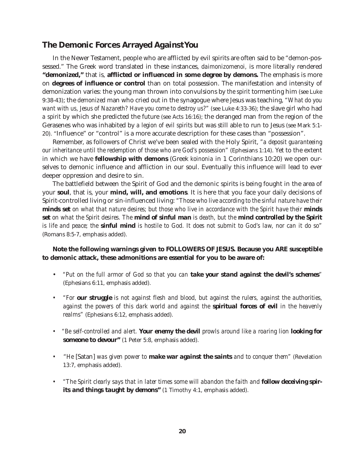#### **The Demonic Forces Arrayed Against You**

In the Newer Testament, people who are afflicted by evil spirits are often said to be "demon-possessed." The Greek word translated in these instances, *daimonizomenoi,* is more literally rendered **"demonized,"** that is, **afflicted or influenced in some degree by demons.** The emphasis is more on **degrees of influence or control** than on total possession. The manifestation and intensity of demonization varies: the young man thrown into convulsions by *the spirit* tormenting him (see Luke 9:38-43); the *demonized* man who cried out in the synagogue where Jesus was teaching, *"What do you want with us, Jesus of Nazareth? Have you come to destroy us?"* (see Luke 4:33-36); the slave girl who had *a spirit* by which she predicted the future (see Acts 16:16); the deranged man from the region of the Gerasenes who was inhabited by *a legion of evil spirits* but was still able to run to Jesus (see Mark 5:1- 20). "Influence" or "control" is a more accurate description for these cases than "possession".

Remember, as followers of Christ we've been sealed with the Holy Spirit, *"a deposit guaranteeing our inheritance until the redemption of those who are God's possession"* (Ephesians 1:14). Yet to the extent in which we have **fellowship with demons** (Greek *koinonia* in 1 Corinthians 10:20) we open ourselves to demonic influence and affliction in our soul. Eventually this influence will lead to ever deeper oppression and desire to sin.

The battlefield between the Spirit of God and the demonic spirits is being fought in the area of your **soul**, that is, your **mind, will, and emotions**. It is here that you face your daily decisions of Spirit-controlled living or sin-influenced living: *"Those who live according to the sinful nature have their minds set on what that nature desires; but those who live in accordance with the Spirit have their minds set on what the Spirit desires. The mind of sinful man is death, but the mind controlled by the Spirit is life and peace; the sinful mind is hostile to God. It does not submit to God's law, nor can it do so"* (Romans 8:5-7, emphasis added).

**Note the following warnings given to FOLLOWERS OF JESUS. Because you ARE susceptible to demonic attack, these admonitions are essential for you to be aware of:**

- *"Put on the full armor of God so that you can take your stand against the devil's schemes"* (Ephesians 6:11, emphasis added).
- *"For our struggle is not against flesh and blood, but against the rulers, against the authorities, against the powers of this dark world and against the spiritual forces of evil in the heavenly realms"* (Ephesians 6:12, emphasis added).
- *"Be self-controlled and alert. Your enemy the devil prowls around like a roaring lion looking for someone to devour"* (1 Peter 5:8, emphasis added).
- *"He* [Satan] *was given power to make war against the saints and to conquer them"* (Revelation 13:7, emphasis added).
- *"The Spirit clearly says that in later times some will abandon the faith and follow deceiving spir*its and things taught by demons" (1 Timothy 4:1, emphasis added).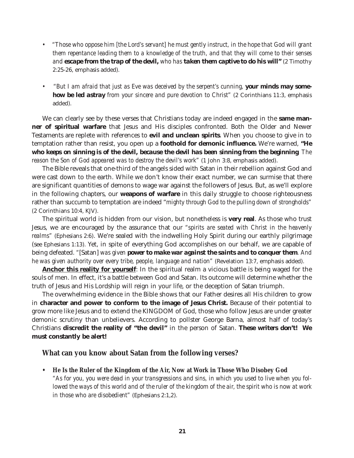- *"Those who oppose him [the Lord's servant] he must gently instruct, in the hope that God will grant them repentance leading them to a knowledge of the truth, and that they will come to their senses and escape from the trap of the devil, who has taken them captive to do his will"* (2 Timothy 2:25-26, emphasis added).
- *<sup><i>•</sup>But I am afraid that just as Eve was deceived by the serpent's cunning, your minds may some-*</sup> *how be led astray from your sincere and pure devotion to Christ"* (2 Corinthians 11:3, emphasis added).

We can clearly see by these verses that Christians today are indeed engaged in the **same manner of spiritual warfare** that Jesus and His disciples confronted. Both the Older and Newer Testaments are replete with references to **evil and unclean spirits**. When you choose to give in to temptation rather than resist, you open up a **foothold for demonic influence.** We're warned, *"He who keeps on sinning is of the devil, because the devil has been sinning from the beginning. The reason the Son of God appeared was to destroy the devil's work"* (1 John 3:8, emphasis added).

The Bible reveals that one-third of the angels sided with Satan in their rebellion against God and were cast down to the earth. While we don't know their exact number, we can surmise that there are significant quantities of demons to wage war against the followers of Jesus. But, as we'll explore in the following chapters, our **weapons of warfare** in this daily struggle to choose righteousness rather than succumb to temptation are indeed "*mighty through God to the pulling down of strongholds"* (2 Corinthians 10:4, KJV).

The spiritual world is hidden from our vision, but nonetheless is **very real**. As those who trust Jesus, we are encouraged by the assurance that our *"spirits are seated with Christ in the heavenly realms"* (Ephesians 2:6). We're sealed with the indwelling Holy Spirit during our earthly pilgrimage (see Ephesians 1:13). Yet, in spite of everything God accomplishes on our behalf, we are capable of being defeated. *"*[Satan] *was given power to make war against the saints and to conquer them. And he was given authority over every tribe, people, language and nation"* (Revelation 13:7, emphasis added).

**Anchor this reality for yourself**: In the spiritual realm a vicious battle is being waged for the souls of men. In effect, it's a battle between God and Satan. Its outcome will determine whether the truth of Jesus and His Lordship will reign in your life, or the deception of Satan triumph.

The overwhelming evidence in the Bible shows that our Father desires all His children to grow in **character and power to conform to the image of Jesus Christ.** Because of their potential to grow more like Jesus and to extend the KINGDOM of God, those who follow Jesus are under greater demonic scrutiny than unbelievers. According to pollster George Barna, almost half of today's Christians **discredit the reality of "the devil"** in the person of Satan. *These writers don't!* **We must constantly be alert!**

**What can you know about Satan from the following verses?**

**• He Is the Ruler of the Kingdom of the Air, Now at Work in Those Who Disobey God**  *"As for you, you were dead in your transgressions and sins, in which you used to live when you followed the ways of this world and of the ruler of the kingdom of the air, the spirit who is now at work in those who are disobedient"* (Ephesians 2:1,2).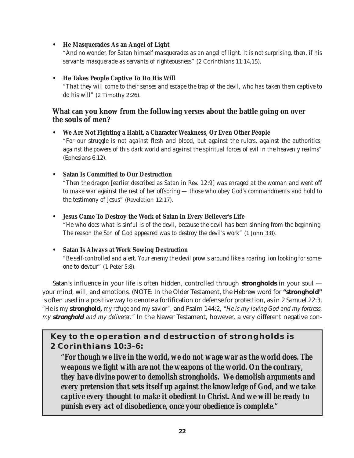- **He Masquerades As an Angel of Light** *"And no wonder, for Satan himself masquerades as an angel of light. It is not surprising, then, if his servants masquerade as servants of righteousness"* (2 Corinthians 11:14,15).
- **He Takes People Captive To Do His Will**  *"That they will come to their senses and escape the trap of the devil, who has taken them captive to do his will"* (2 Timothy 2:26).

**What can you know from the following verses about the battle going on over the souls of men?**

- **We Are Not Fighting a Habit, a Character Weakness, Or Even Other People**  *"For our struggle is not against flesh and blood, but against the rulers, against the authorities, against the powers of this dark world and against the spiritual forces of evil in the heavenly realms"* (Ephesians 6:12).
- **Satan Is Committed to Our Destruction** *"Then the dragon [earlier described as Satan in Rev. 12:9] was enraged at the woman and went off to make war against the rest of her offspring — those who obey God's commandments and hold to the testimony of Jesus"* (Revelation 12:17).
- **Jesus Came To Destroy the Work of Satan in Every Believer's Life**  *"He who does what is sinful is of the devil, because the devil has been sinning from the beginning. The reason the Son of God appeared was to destroy the devil's work"* (1 John 3:8).
- **Satan Is Always at Work Sowing Destruction** *"Be self-controlled and alert. Your enemy the devil prowls around like a roaring lion looking for someone to devour"* (1 Peter 5:8).

Satan's influence in your life is often hidden, controlled through **strongholds** in your soul your mind, will, and emotions. (NOTE: In the Older Testament, the Hebrew word for **"stronghold"** is often used in a positive way to denote a fortification or defense for protection, as in 2 Samuel 22:3, *"He is my stronghold, my refuge and my savior",* and Psalm 144:2, *"He is my loving God and my fortress, my stronghold and my deliverer."* In the Newer Testament, however, a very different negative con-

**Key to the operation and destruction of strongholds is 2 Corinthians 10:3-6:**

*"For though we live in the world, we do not wage war as the world does. The weapons we fight with are not the weapons of the world. On the contrary, they have divine power to demolish strongholds. We demolish arguments and every pretension that sets itself up against the knowledge of God, and we take captive every thought to make it obedient to Christ. And we will be ready to punish every act of disobedience, once your obedience is complete."*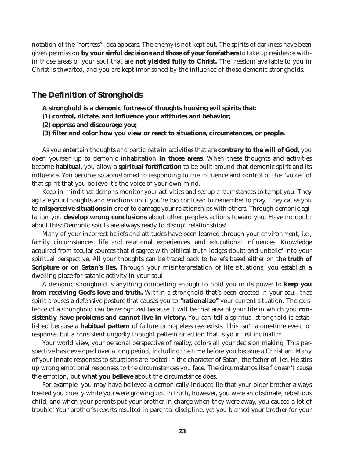notation of the "fortress" idea appears. The enemy is not kept out. The spirits of darkness have been given permission **by your sinful decisions and those of your forefathers** to take up residence within those areas of your soul that are **not yielded fully to Christ.** The freedom available to you in Christ is thwarted, and you are kept imprisoned by the influence of those demonic strongholds.

#### **The Definition of Strongholds**

- **A stronghold is a demonic fortress of thoughts housing evil spirits that:**
- **(1) control, dictate, and influence your attitudes and behavior;**
- **(2) oppress and discourage you;**
- **(3) filter and color how you view or react to situations, circumstances, or people.**

As you entertain thoughts and participate in activities that are **contrary to the will of God,** you open yourself up to demonic inhabitation **in those areas**. When these thoughts and activities become **habitual,** you allow a **spiritual fortification** to be built around that demonic spirit and its influence. You become so accustomed to responding to the influence and control of the "voice" of that spirit that you believe it's the voice of your own mind.

Keep in mind that demons monitor your activities and set up circumstances to tempt you. They agitate your thoughts and emotions until you're too confused to remember to pray. They cause you to **misperceive situations** in order to damage your relationships with others. Through demonic agitation you **develop wrong conclusions** about other people's actions toward you. Have no doubt about this: Demonic spirits are always ready to disrupt relationships!

Many of your incorrect beliefs and attitudes have been learned through your environment, i.e., family circumstances, life and relational experiences, and educational influences. Knowledge acquired from secular sources that disagree with biblical truth lodges doubt and unbelief into your spiritual perspective. All your thoughts can be traced back to beliefs based either on the **truth of Scripture or on Satan's lies.** Through your misinterpretation of life situations, you establish a dwelling place for satanic activity in your soul.

A demonic stronghold is anything compelling enough to hold you in its power to **keep you from receiving God's love and truth.** Within a stronghold that's been erected in your soul, that spirit arouses a defensive posture that causes you to **"rationalize"** your current situation. The existence of a stronghold can be recognized because it will be that area of your life in which you **consistently have problems** and **cannot live in victory.** You can tell a spiritual stronghold is established because a **habitual pattern** of failure or hopelessness exists. This isn't a one-time event or response, but a consistent ungodly thought pattern or action that is your *first inclination*.

Your world view, your personal perspective of reality, colors all your decision making. This perspective has developed over a long period, including the time before you became a Christian. Many of your innate responses to situations are rooted in the character of Satan, the father of lies. He stirs up wrong emotional responses to the circumstances you face. The circumstance itself doesn't cause the emotion, but **what you believe** about the circumstance does.

For example, you may have believed a demonically-induced lie that your older brother always treated you cruelly while you were growing up. In truth, however, you were an obstinate, rebellious child, and when your parents put your brother in charge when they were away, you caused a lot of trouble! Your brother's reports resulted in parental discipline, yet you blamed your brother for your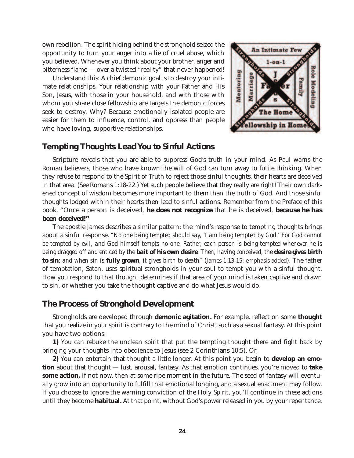own rebellion. The spirit hiding behind the stronghold seized the opportunity to turn your anger into a lie of cruel abuse, which you believed. Whenever you think about your brother, anger and bitterness flame — over a twisted "reality" that never happened!

Understand this: A chief demonic goal is to destroy your intimate relationships. Your relationship with your Father and His Son, Jesus, with those in your household, and with those with whom you share close fellowship are targets the demonic forces seek to destroy. Why? Because emotionally isolated people are easier for them to influence, control, and oppress than people who have loving, supportive relationships.



#### **Tempting Thoughts Lead You to Sinful Actions**

Scripture reveals that you are able to suppress God's truth in your mind. As Paul warns the Roman believers, those who have known the will of God can turn away to futile thinking. When they refuse to respond to the Spirit of Truth to reject those sinful thoughts, their hearts are deceived in that area. (See Romans 1:18-22.) Yet such people believe that they really are right! Their own darkened concept of wisdom becomes more important to them than the truth of God. And those sinful thoughts lodged within their hearts then lead to sinful actions. Remember from the Preface of this book, "Once a person is deceived, *he does not recognize* that he is deceived, *because he has been deceived!"*

The apostle James describes a similar pattern: the mind's response to tempting thoughts brings about a sinful response. *"No one being tempted should say, 'I am being tempted by God.' For God cannot be tempted by evil, and God himself tempts no one. Rather, each person is being tempted whenever he is being dragged off and enticed by the bait of his own desire. Then, having conceived, the desire gives birth to sin; and when sin is fully grown, it gives birth to death"* (James 1:13-15; emphasis added). The father of temptation, Satan, uses spiritual strongholds in your soul to tempt you with a sinful thought. How you respond to that thought determines if that area of your mind is taken captive and drawn to sin, or whether you take the thought captive and do what Jesus would do.

#### **The Process of Stronghold Development**

Strongholds are developed through **demonic agitation.** For example, reflect on some **thought** that you realize in your spirit is contrary to the mind of Christ, such as a sexual fantasy. At this point you have two options:

**1)** You can rebuke the unclean spirit that put the tempting thought there and fight back by bringing your thoughts into obedience to Jesus (see 2 Corinthians 10:5). Or,

**2)** You can entertain that thought a little longer. At this point you begin to **develop an emotion** about that thought — lust, arousal, fantasy. As that emotion continues, you're moved to **take some action,** if not now, then at some ripe moment in the future. The seed of fantasy will eventually grow into an opportunity to fulfill that emotional longing, and a sexual enactment may follow. If you choose to ignore the warning conviction of the Holy Spirit, you'll continue in these actions until they become **habitual.** At that point, without God's power released in you by your repentance,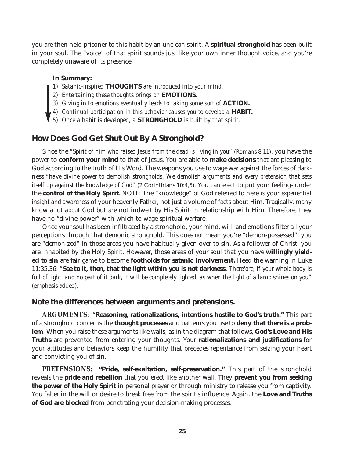you are then held prisoner to this habit by an unclean spirit. A **spiritual stronghold** has been built in your soul. The "voice" of that spirit sounds just like your own inner thought voice, and you're completely unaware of its presence.

#### **In Summary:**

- *1) Satanic-inspired THOUGHTS are introduced into your mind.*
- *2) Entertaining these thoughts brings on EMOTIONS.*
- *3) Giving in to emotions eventually leads to taking some sort of ACTION.*
- *4) Continual participation in this behavior causes you to develop a HABIT.*
- *5) Once a habit is developed, a STRONGHOLD is built by that spirit.*

#### **How Does God Get Shut Out By A Stronghold?**

Since the *"Spirit of him who raised Jesus from the dead is living in you"* (Romans 8:11), you have the power to **conform your mind** to that of Jesus. You are able to **make decisions** that are pleasing to God according to the truth of His Word. The weapons you use to wage war against the forces of darkness *"have divine power to demolish strongholds. We demolish arguments and every pretension that sets itself up against the knowledge of God"* (2 Corinthians 10:4,5). You can elect to put your feelings under the **control of the Holy Spirit**. NOTE: The "knowledge" of God referred to here is your *experiential insight and awareness* of your heavenly Father, not just a volume of facts about Him. Tragically, many know a lot *about* God but are not indwelt by His Spirit in relationship with Him. Therefore, they have no "divine power" with which to wage spiritual warfare.

Once your soul has been infiltrated by a stronghold, your mind, will, and emotions filter all your perceptions through that demonic stronghold. This does *not* mean you're "demon-possessed"; you are "demonized" in those areas you have habitually given over to sin. As a follower of Christ, you are inhabited by the Holy Spirit. However, those areas of your soul that you have **willingly yielded to sin** are fair game to become **footholds for satanic involvement.** Heed the warning in Luke 11:35,36: *"See to it, then, that the light within you is not darkness. Therefore, if your whole body is full of light, and no part of it dark, it will be completely lighted, as when the light of a lamp shines on you"* (emphasis added).

#### **Note the differences between arguments and pretensions.**

**ARGUMENTS: "Reasoning, rationalizations, intentions hostile to God's truth."** This part of a stronghold concerns the **thought processes** and patterns you use to **deny that there is a problem**. When you raise these arguments like walls, as in the diagram that follows, **God's Love and His Truths** are prevented from entering your thoughts. Your **rationalizations and justifications** for your attitudes and behaviors keep the humility that precedes repentance from seizing your heart and convicting you of sin.

**PRETENSIONS: "Pride, self-exaltation, self-preservation."** This part of the stronghold reveals the **pride and rebellion** that you erect like another wall. They **prevent you from seeking the power of the Holy Spirit** in personal prayer or through ministry to release you from captivity. You falter in the will or desire to break free from the spirit's influence. Again, the **Love and Truths of God are blocked** from penetrating your decision-making processes.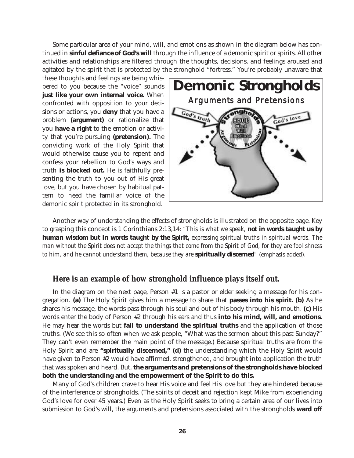Some particular area of your mind, will, and emotions as shown in the diagram below has continued in **sinful defiance of God's will** through the influence of a demonic spirit or spirits. All other activities and relationships are filtered through the thoughts, decisions, and feelings aroused and agitated by the spirit that is protected by the stronghold "fortress." You're probably unaware that

these thoughts and feelings are being whispered to you because the "voice" sounds **just like your own internal voice.** When confronted with opposition to your decisions or actions, you **deny** that you have a problem **(argument)** or rationalize that you **have a right** to the emotion or activity that you're pursuing **(pretension).** The convicting work of the Holy Spirit that would otherwise cause you to repent and confess your rebellion to God's ways and truth **is blocked out.** He is faithfully presenting the truth to you out of His great love, but you have chosen by habitual pattern to heed the familiar voice of the demonic spirit protected in its stronghold.



Another way of understanding the effects of strongholds is illustrated on the opposite page. Key to grasping this concept is 1 Corinthians 2:13,14: *"This is what we speak, not in words taught us by human wisdom but in words taught by the Spirit, expressing spiritual truths in spiritual words. The man without the Spirit does not accept the things that come from the Spirit of God, for they are foolishness to him, and he cannot understand them, because they are spiritually discerned"* (emphasis added).

#### **Here is an example of how stronghold influence plays itself out.**

In the diagram on the next page, Person #1 is a pastor or elder seeking a message for his congregation. **(a)** The Holy Spirit gives him a message to share that **passes into his spirit. (b)** As he shares his message, the words pass through his soul and out of his body through his mouth. **(c)** His words enter the body of Person #2 through his ears and thus **into his mind, will, and emotions.** He may hear the words but **fail to understand the spiritual truths** and the application of those truths. (We see this so often when we ask people, "What was the sermon about this past Sunday?" They can't even remember the main point of the message.) Because spiritual truths are from the Holy Spirit and are **"spiritually discerned," (d)** the understanding which the Holy Spirit would have given to Person #2 would have affirmed, strengthened, and brought into application the truth that was spoken and heard. But, **the arguments and pretensions of the strongholds have blocked both the understanding and the empowerment of the Spirit to do this.**

Many of God's children crave to hear His voice and feel His love but they are hindered because of the interference of strongholds. (The spirits of deceit and rejection kept Mike from experiencing God's love for over 45 years.) Even as the Holy Spirit seeks to bring a certain area of our lives into submission to God's will, the arguments and pretensions associated with the strongholds **ward off**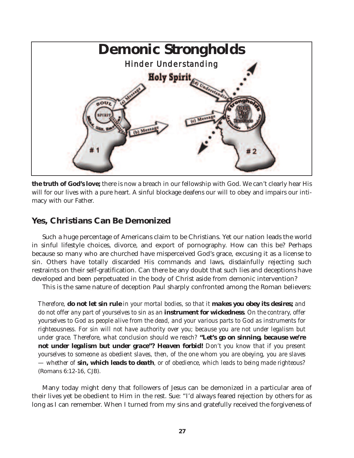

**the truth of God's love;** there is now a breach in our fellowship with God. We can't clearly hear His will for our lives with a pure heart. A sinful blockage deafens our will to obey and impairs our intimacy with our Father.

#### **Yes, Christians Can Be Demonized**

Such a huge percentage of Americans claim to be Christians. Yet our nation leads the world in sinful lifestyle choices, divorce, and export of pornography. How can this be? Perhaps because so many who are churched have misperceived God's grace, excusing it as a license to sin. Others have totally discarded His commands and laws, disdainfully rejecting such restraints on their self-gratification. Can there be any doubt that such lies and deceptions have developed and been perpetuated in the body of Christ aside from demonic intervention?

This is the same nature of deception Paul sharply confronted among the Roman believers:

*Therefore, do not let sin rule in your mortal bodies, so that it makes you obey its desires; and do not offer any part of yourselves to sin as an instrument for wickedness. On the contrary, offer yourselves to God as people alive from the dead, and your various parts to God as instruments for righteousness. For sin will not have authority over you; because you are not under legalism but under grace. Therefore, what conclusion should we reach? "Let's go on sinning, because we're not under legalism but under grace"? Heaven forbid! Don't you know that if you present yourselves to someone as obedient slaves, then, of the one whom you are obeying, you are slaves — whether of sin, which leads to death, or of obedience, which leads to being made righteous?* (Romans 6:12-16, CJB).

Many today might deny that followers of Jesus can be demonized in a particular area of their lives yet be obedient to Him in the rest. Sue: "I'd always feared rejection by others for as long as I can remember. When I turned from my sins and gratefully received the forgiveness of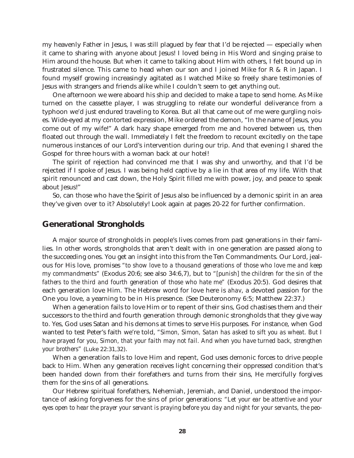my heavenly Father in Jesus, I was still plagued by fear that I'd be rejected — especially when it came to sharing with anyone about Jesus! I loved being in His Word and singing praise to Him around the house. But when it came to talking about Him with others, I felt bound up in frustrated silence. This came to head when our son and I joined Mike for R & R in Japan. I found myself growing increasingly agitated as I watched Mike so freely share testimonies of Jesus with strangers and friends alike while I couldn't seem to get anything out.

One afternoon we were aboard his ship and decided to make a tape to send home. As Mike turned on the cassette player, I was struggling to relate our wonderful deliverance from a typhoon we'd just endured traveling to Korea. But all that came out of me were gurgling noises. Wide-eyed at my contorted expression, Mike ordered the demon, "In the name of Jesus, you come out of my wife!" A dark hazy shape emerged from me and hovered between us, then floated out through the wall. Immediately I felt the freedom to recount excitedly on the tape numerous instances of our Lord's intervention during our trip. And that evening I shared the Gospel for three hours with a woman back at our hotel!

The spirit of rejection had convinced me that I was shy and unworthy, and that I'd be rejected if I spoke of Jesus. I was being held captive by a lie in that area of my life. With that spirit renounced and cast down, the Holy Spirit filled me with power, joy, and peace to speak about Jesus!"

So, can those who have the Spirit of Jesus also be influenced by a demonic spirit in an area they've given over to it? Absolutely! Look again at pages 20-22 for further confirmation.

#### **Generational Strongholds**

A major source of strongholds in people's lives comes from past generations in their families. In other words, strongholds that aren't dealt with in one generation are passed along to the succeeding ones. You get an insight into this from the Ten Commandments. Our Lord, jealous for His love, promises *"to show love to a thousand generations of those who love me and keep my commandments"* (Exodus 20:6; see also 34:6,7), but to *"[punish] the children for the sin of the fathers to the third and fourth generation of those who hate me"* (Exodus 20:5). God desires that each generation love Him. The Hebrew word for love here is *ahav*, a devoted passion for the One you love, a yearning to be in His presence. (See Deuteronomy 6:5; Matthew 22:37.)

When a generation fails to love Him or to repent of their sins, God chastises them and their successors to the third and fourth generation through demonic strongholds that they give way to. Yes, God uses Satan and his demons at times to serve His purposes. For instance, when God wanted to test Peter's faith we're told, *"Simon, Simon, Satan has asked to sift you as wheat. But I have prayed for you, Simon, that your faith may not fail. And when you have turned back, strengthen your brothers"* (Luke 22:31,32).

When a generation fails to love Him and repent, God uses demonic forces to drive people back to Him. When any generation receives light concerning their oppressed condition that's been handed down from their forefathers and turns from their sins, He mercifully forgives them for the sins of all generations.

Our Hebrew spiritual forefathers, Nehemiah, Jeremiah, and Daniel, understood the importance of asking forgiveness for the sins of prior generations: *"Let your ear be attentive and your eyes open to hear the prayer your servant is praying before you day and night for your servants, the peo-*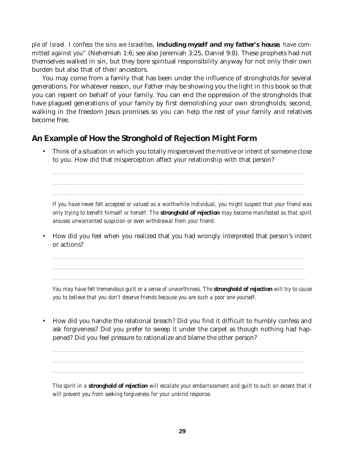*ple of Israel. I confess the sins we Israelites, including myself and my father's house, have committed against you"* (Nehemiah 1:6; see also Jeremiah 3:25, Daniel 9:8). These prophets had not themselves walked in sin, but they bore spiritual responsibility anyway for not only their own burden but also that of their ancestors.

You may come from a family that has been under the influence of strongholds for several generations. For whatever reason, our Father may be showing you the light in this book so that you can repent on behalf of your family. You can end the oppression of the strongholds that have plagued generations of your family by first demolishing your own strongholds; second, walking in the freedom Jesus promises so you can help the rest of your family and relatives become free.

# **An Example of How the Stronghold of Rejection Might Form**

• Think of a situation in which you totally misperceived the motive or intent of someone close to you. How did that misperception affect your relationship with that person?

\_\_\_\_\_\_\_\_\_\_\_\_\_\_\_\_\_\_\_\_\_\_\_\_\_\_\_\_\_\_\_\_\_\_\_\_\_\_\_\_\_\_\_\_\_\_\_\_\_\_\_\_\_\_\_\_\_\_\_\_\_\_\_\_\_\_\_\_\_\_\_\_\_ \_\_\_\_\_\_\_\_\_\_\_\_\_\_\_\_\_\_\_\_\_\_\_\_\_\_\_\_\_\_\_\_\_\_\_\_\_\_\_\_\_\_\_\_\_\_\_\_\_\_\_\_\_\_\_\_\_\_\_\_\_\_\_\_\_\_\_\_\_\_\_\_\_ \_\_\_\_\_\_\_\_\_\_\_\_\_\_\_\_\_\_\_\_\_\_\_\_\_\_\_\_\_\_\_\_\_\_\_\_\_\_\_\_\_\_\_\_\_\_\_\_\_\_\_\_\_\_\_\_\_\_\_\_\_\_\_\_\_\_\_\_\_\_\_\_\_

*If you have never felt accepted or valued as a worthwhile individual, you might suspect that your friend was only trying to benefit himself or herself. The stronghold of rejection may become manifested as that spirit arouses unwarranted suspicion or even withdrawal from your friend.*

• How did you feel when you realized that you had wrongly interpreted that person's intent or actions?

\_\_\_\_\_\_\_\_\_\_\_\_\_\_\_\_\_\_\_\_\_\_\_\_\_\_\_\_\_\_\_\_\_\_\_\_\_\_\_\_\_\_\_\_\_\_\_\_\_\_\_\_\_\_\_\_\_\_\_\_\_\_\_\_\_\_\_\_\_\_\_\_\_ \_\_\_\_\_\_\_\_\_\_\_\_\_\_\_\_\_\_\_\_\_\_\_\_\_\_\_\_\_\_\_\_\_\_\_\_\_\_\_\_\_\_\_\_\_\_\_\_\_\_\_\_\_\_\_\_\_\_\_\_\_\_\_\_\_\_\_\_\_\_\_\_\_ \_\_\_\_\_\_\_\_\_\_\_\_\_\_\_\_\_\_\_\_\_\_\_\_\_\_\_\_\_\_\_\_\_\_\_\_\_\_\_\_\_\_\_\_\_\_\_\_\_\_\_\_\_\_\_\_\_\_\_\_\_\_\_\_\_\_\_\_\_\_\_\_\_

*You may have felt tremendous guilt or a sense of unworthiness. The stronghold of rejection will try to cause you to believe that you don't deserve friends because you are such a poor one yourself.*

• How did you handle the relational breach? Did you find it difficult to humbly confess and ask forgiveness? Did you prefer to sweep it under the carpet as though nothing had happened? Did you feel pressure to rationalize and blame the other person?

\_\_\_\_\_\_\_\_\_\_\_\_\_\_\_\_\_\_\_\_\_\_\_\_\_\_\_\_\_\_\_\_\_\_\_\_\_\_\_\_\_\_\_\_\_\_\_\_\_\_\_\_\_\_\_\_\_\_\_\_\_\_\_\_\_\_\_\_\_\_\_\_\_ \_\_\_\_\_\_\_\_\_\_\_\_\_\_\_\_\_\_\_\_\_\_\_\_\_\_\_\_\_\_\_\_\_\_\_\_\_\_\_\_\_\_\_\_\_\_\_\_\_\_\_\_\_\_\_\_\_\_\_\_\_\_\_\_\_\_\_\_\_\_\_\_\_ \_\_\_\_\_\_\_\_\_\_\_\_\_\_\_\_\_\_\_\_\_\_\_\_\_\_\_\_\_\_\_\_\_\_\_\_\_\_\_\_\_\_\_\_\_\_\_\_\_\_\_\_\_\_\_\_\_\_\_\_\_\_\_\_\_\_\_\_\_\_\_\_\_

*The spirit in a stronghold of rejection will escalate your embarrassment and guilt to such an extent that it will prevent you from seeking forgiveness for your unkind response.*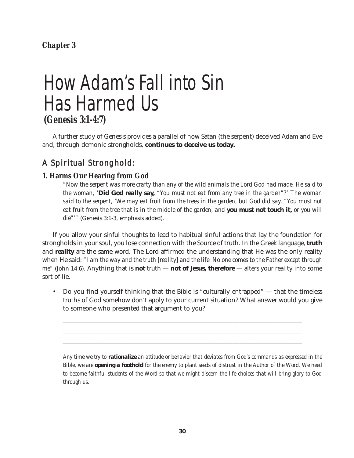*Chapter 3*

# *How Adam's Fall into Sin Has Harmed Us*

**(Genesis 3:1-4:7)**

A further study of Genesis provides a parallel of how Satan (the serpent) deceived Adam and Eve and, through demonic strongholds, **continues to deceive us today.**

# A Spiritual Stronghold:

## **1. Harms Our Hearing from God**

*"Now the serpent was more crafty than any of the wild animals the Lord God had made. He said to the woman, 'Did God really say, "You must not eat from any tree in the garden"?' The woman said to the serpent, 'We may eat fruit from the trees in the garden, but God did say, "You must not eat fruit from the tree that is in the middle of the garden, and you must not touch it, or you will die"'"* (Genesis 3:1-3, emphasis added).

If you allow your sinful thoughts to lead to habitual sinful actions that lay the foundation for strongholds in your soul, you lose connection with the Source of truth. In the Greek language, *truth* and *reality* are the same word. The Lord affirmed the understanding that He was the only reality when He said: *"I am the way and the truth [reality] and the life. No one comes to the Father except through me"* (John 14:6). Anything that is **not** truth — **not of Jesus, therefore** — alters your reality into some sort of lie.

• Do you find yourself thinking that the Bible is "culturally entrapped" — that the timeless truths of God somehow don't apply to your current situation? What answer would you give to someone who presented that argument to you?

\_\_\_\_\_\_\_\_\_\_\_\_\_\_\_\_\_\_\_\_\_\_\_\_\_\_\_\_\_\_\_\_\_\_\_\_\_\_\_\_\_\_\_\_\_\_\_\_\_\_\_\_\_\_\_\_\_\_\_\_\_\_\_\_\_\_\_\_\_ \_\_\_\_\_\_\_\_\_\_\_\_\_\_\_\_\_\_\_\_\_\_\_\_\_\_\_\_\_\_\_\_\_\_\_\_\_\_\_\_\_\_\_\_\_\_\_\_\_\_\_\_\_\_\_\_\_\_\_\_\_\_\_\_\_\_\_\_\_ \_\_\_\_\_\_\_\_\_\_\_\_\_\_\_\_\_\_\_\_\_\_\_\_\_\_\_\_\_\_\_\_\_\_\_\_\_\_\_\_\_\_\_\_\_\_\_\_\_\_\_\_\_\_\_\_\_\_\_\_\_\_\_\_\_\_\_\_\_

*Any time we try to rationalize an attitude or behavior that deviates from God's commands as expressed in the Bible, we are opening a foothold for the enemy to plant seeds of distrust in the Author of the Word. We need to become faithful students of the Word so that we might discern the life choices that will bring glory to God through us.*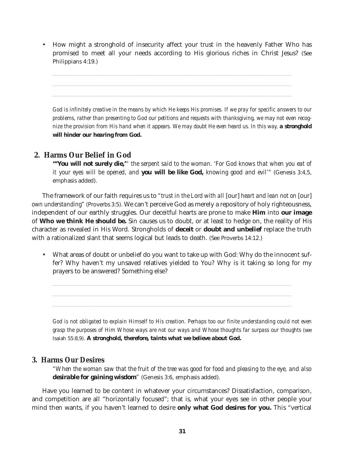• How might a stronghold of insecurity affect your trust in the heavenly Father Who has promised to meet all your needs according to His glorious riches in Christ Jesus? (See Philippians 4:19.)

\_\_\_\_\_\_\_\_\_\_\_\_\_\_\_\_\_\_\_\_\_\_\_\_\_\_\_\_\_\_\_\_\_\_\_\_\_\_\_\_\_\_\_\_\_\_\_\_\_\_\_\_\_\_\_\_\_\_\_\_\_\_\_\_\_\_\_\_\_ \_\_\_\_\_\_\_\_\_\_\_\_\_\_\_\_\_\_\_\_\_\_\_\_\_\_\_\_\_\_\_\_\_\_\_\_\_\_\_\_\_\_\_\_\_\_\_\_\_\_\_\_\_\_\_\_\_\_\_\_\_\_\_\_\_\_\_\_\_ \_\_\_\_\_\_\_\_\_\_\_\_\_\_\_\_\_\_\_\_\_\_\_\_\_\_\_\_\_\_\_\_\_\_\_\_\_\_\_\_\_\_\_\_\_\_\_\_\_\_\_\_\_\_\_\_\_\_\_\_\_\_\_\_\_\_\_\_\_

*God is infinitely creative in the means by which He keeps His promises. If we pray for specific answers to our problems, rather than presenting to God our petitions and requests with thanksgiving, we may not even recognize the provision from His hand when it appears. We may doubt He even heard us. In this way, a stronghold will hinder our hearing from God.*

#### **2. Harms Our Belief in God**

*"'You will not surely die,'" the serpent said to the woman. 'For God knows that when you eat of it your eyes will be opened, and you will be like God, knowing good and evil'"* (Genesis 3:4,5, emphasis added).

The framework of our faith requires us to *"trust in the Lord with all* [our] *heart and lean not on* [our] *own understanding"* (Proverbs 3:5). We can't perceive God as merely a repository of holy righteousness, independent of our earthly struggles. Our deceitful hearts are prone to make **Him** into **our image** of **Who we think He should be.** Sin causes us to doubt, or at least to hedge on, the reality of His character as revealed in His Word. Strongholds of **deceit** or **doubt and unbelief** replace the truth with a rationalized slant that seems logical but leads to death. (See Proverbs 14:12.)

• What areas of doubt or unbelief do you want to take up with God: Why do the innocent suffer? Why haven't my unsaved relatives yielded to You? Why is it taking so long for my prayers to be answered? Something else?

\_\_\_\_\_\_\_\_\_\_\_\_\_\_\_\_\_\_\_\_\_\_\_\_\_\_\_\_\_\_\_\_\_\_\_\_\_\_\_\_\_\_\_\_\_\_\_\_\_\_\_\_\_\_\_\_\_\_\_\_\_\_\_\_\_\_\_\_\_ \_\_\_\_\_\_\_\_\_\_\_\_\_\_\_\_\_\_\_\_\_\_\_\_\_\_\_\_\_\_\_\_\_\_\_\_\_\_\_\_\_\_\_\_\_\_\_\_\_\_\_\_\_\_\_\_\_\_\_\_\_\_\_\_\_\_\_\_\_ \_\_\_\_\_\_\_\_\_\_\_\_\_\_\_\_\_\_\_\_\_\_\_\_\_\_\_\_\_\_\_\_\_\_\_\_\_\_\_\_\_\_\_\_\_\_\_\_\_\_\_\_\_\_\_\_\_\_\_\_\_\_\_\_\_\_\_\_\_

*God is not obligated to explain Himself to His creation. Perhaps too our finite understanding could not even grasp the purposes of Him Whose ways are not our ways and Whose thoughts far surpass our thoughts* (see Isaiah 55:8,9)*. A stronghold, therefore, taints what we believe about God.*

#### **3. Harms Our Desires**

*"When the woman saw that the fruit of the tree was good for food and pleasing to the eye, and also desirable for gaining wisdom"* (Genesis 3:6, emphasis added).

Have you learned to be content in whatever your circumstances? Dissatisfaction, comparison, and competition are all "horizontally focused"; that is, what your eyes see in other people your mind then wants, if you haven't learned to desire **only what God desires for you.** This "vertical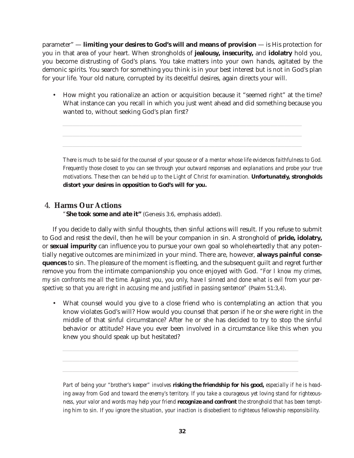parameter" — **limiting your desires to God's will and means of provision** — is His protection for you in that area of your heart. When strongholds of **jealousy, insecurity,** and **idolatry** hold you, you become distrusting of God's plans. You take matters into your own hands, agitated by the demonic spirits. You search for something you think is in your best interest but is not in God's plan for your life. Your old nature, corrupted by its deceitful desires, again directs your will.

• How might you rationalize an action or acquisition because it "seemed right" at the time? What instance can you recall in which you just went ahead and did something because you wanted to, without seeking God's plan first?

\_\_\_\_\_\_\_\_\_\_\_\_\_\_\_\_\_\_\_\_\_\_\_\_\_\_\_\_\_\_\_\_\_\_\_\_\_\_\_\_\_\_\_\_\_\_\_\_\_\_\_\_\_\_\_\_\_\_\_\_\_\_\_\_\_\_\_\_\_ \_\_\_\_\_\_\_\_\_\_\_\_\_\_\_\_\_\_\_\_\_\_\_\_\_\_\_\_\_\_\_\_\_\_\_\_\_\_\_\_\_\_\_\_\_\_\_\_\_\_\_\_\_\_\_\_\_\_\_\_\_\_\_\_\_\_\_\_\_ \_\_\_\_\_\_\_\_\_\_\_\_\_\_\_\_\_\_\_\_\_\_\_\_\_\_\_\_\_\_\_\_\_\_\_\_\_\_\_\_\_\_\_\_\_\_\_\_\_\_\_\_\_\_\_\_\_\_\_\_\_\_\_\_\_\_\_\_\_

*There is much to be said for the counsel of your spouse or of a mentor whose life evidences faithfulness to God. Frequently those closest to you can see through your outward responses and explanations and probe your true motivations. These then can be held up to the Light of Christ for examination. Unfortunately, strongholds distort your desires in opposition to God's will for you.*

#### 4. **Harms Our Actions**

*"She took some and ate it"* (Genesis 3:6, emphasis added).

If you decide to dally with sinful thoughts, then sinful actions will result. If you refuse to submit to God and resist the devil, then he will be your companion in sin. A stronghold of **pride, idolatry,** or **sexual impurity** can influence you to pursue your own goal so wholeheartedly that any potentially negative outcomes are minimized in your mind. There are, however, **always painful consequences** to sin. The pleasure of the moment is fleeting, and the subsequent guilt and regret further remove you from the intimate companionship you once enjoyed with God. *"For I know my crimes, my sin confronts me all the time. Against you, you only, have I sinned and done what is evil from your perspective; so that you are right in accusing me and justified in passing sentence"* (Psalm 51:3,4).

• What counsel would you give to a close friend who is contemplating an action that you know violates God's will? How would you counsel that person if he or she were right in the middle of that sinful circumstance? After he or she has decided to try to stop the sinful behavior or attitude? Have you ever been involved in a circumstance like this when you knew you should speak up but hesitated?

\_\_\_\_\_\_\_\_\_\_\_\_\_\_\_\_\_\_\_\_\_\_\_\_\_\_\_\_\_\_\_\_\_\_\_\_\_\_\_\_\_\_\_\_\_\_\_\_\_\_\_\_\_\_\_\_\_\_\_\_\_\_\_\_\_\_\_\_ \_\_\_\_\_\_\_\_\_\_\_\_\_\_\_\_\_\_\_\_\_\_\_\_\_\_\_\_\_\_\_\_\_\_\_\_\_\_\_\_\_\_\_\_\_\_\_\_\_\_\_\_\_\_\_\_\_\_\_\_\_\_\_\_\_\_\_\_ \_\_\_\_\_\_\_\_\_\_\_\_\_\_\_\_\_\_\_\_\_\_\_\_\_\_\_\_\_\_\_\_\_\_\_\_\_\_\_\_\_\_\_\_\_\_\_\_\_\_\_\_\_\_\_\_\_\_\_\_\_\_\_\_\_\_\_\_

*Part of being your "brother's keeper" involves risking the friendship for his good, especially if he is heading away from God and toward the enemy's territory. If you take a courageous yet loving stand for righteousness, your valor and words may help your friend recognize and confront the stronghold that has been tempting him to sin. If you ignore the situation, your inaction is disobedient to righteous fellowship responsibility.*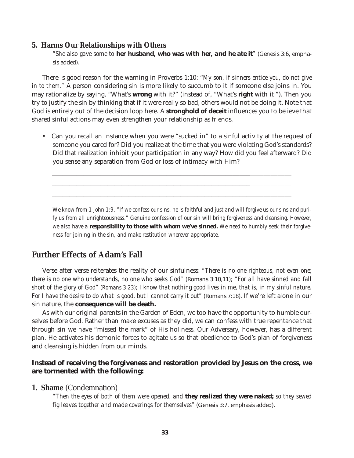#### **5. Harms Our Relationships with Others**

*"She also gave some to her husband, who was with her, and he ate it"* (Genesis 3:6, emphasis added).

There is good reason for the warning in Proverbs 1:10: "*My son, if sinners entice you, do not give in to them."* A person considering sin is more likely to succumb to it if someone else joins in. You may rationalize by saying, "What's **wrong** with it?" (instead of, "What's **right** with it!"). Then you try to justify the sin by thinking that if it were really so bad, others would not be doing it. Note that God is entirely out of the decision loop here. A **stronghold of deceit** influences you to believe that shared sinful actions may even strengthen your relationship as friends.

• Can you recall an instance when you were "sucked in" to a sinful activity at the request of someone you cared for? Did you realize at the time that you were violating God's standards? Did that realization inhibit your participation in any way? How did you feel afterward? Did you sense any separation from God or loss of intimacy with Him?

\_\_\_\_\_\_\_\_\_\_\_\_\_\_\_\_\_\_\_\_\_\_\_\_\_\_\_\_\_\_\_\_\_\_\_\_\_\_\_\_\_\_\_\_\_\_\_\_\_\_\_\_\_\_\_\_\_\_\_\_\_\_\_\_\_\_\_\_\_ \_\_\_\_\_\_\_\_\_\_\_\_\_\_\_\_\_\_\_\_\_\_\_\_\_\_\_\_\_\_\_\_\_\_\_\_\_\_\_\_\_\_\_\_\_\_\_\_\_\_\_\_\_\_\_\_\_\_\_\_\_\_\_\_\_\_\_\_\_ \_\_\_\_\_\_\_\_\_\_\_\_\_\_\_\_\_\_\_\_\_\_\_\_\_\_\_\_\_\_\_\_\_\_\_\_\_\_\_\_\_\_\_\_\_\_\_\_\_\_\_\_\_\_\_\_\_\_\_\_\_\_\_\_\_\_\_\_\_

*We know from 1 John 1:9, "If we confess our sins, he is faithful and just and will forgive us our sins and purify us from all unrighteousness." Genuine confession of our sin will bring forgiveness and cleansing. However, we also have a responsibility to those with whom we've sinned. We need to humbly seek their forgiveness for joining in the sin, and make restitution wherever appropriate.*

#### **Further Effects of Adam's Fall**

Verse after verse reiterates the reality of our sinfulness: *"There is no one righteous, not even one; there is no one who understands, no one who seeks God"* (Romans 3:10,11); *"For all have sinned and fall short of the glory of God" (Romans 3:23); I know that nothing good lives in me, that is, in my sinful nature. For I have the desire to do what is good, but I cannot carry it out"* (Romans 7:18). If we're left alone in our sin nature, the **consequence will be death.** 

As with our original parents in the Garden of Eden, we too have the opportunity to humble ourselves before God. Rather than make excuses as they did, we can confess with true repentance that through sin we have "missed the mark" of His holiness. Our Adversary, however, has a different plan. He activates his demonic forces to agitate us so that obedience to God's plan of forgiveness and cleansing is hidden from our minds.

#### **Instead of receiving the forgiveness and restoration provided by Jesus on the cross, we are tormented with the following:**

#### **1. Shame** (Condemnation)

*"Then the eyes of both of them were opened, and they realized they were naked; so they sewed fig leaves together and made coverings for themselves"* (Genesis 3:7, emphasis added).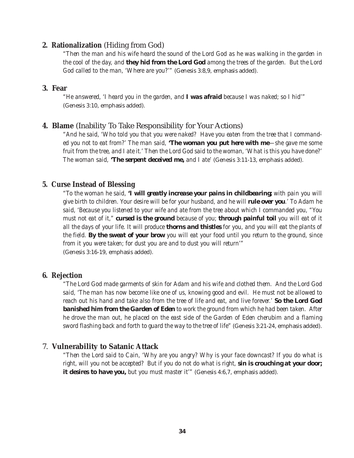#### **2. Rationalization** (Hiding from God)

*"Then the man and his wife heard the sound of the Lord God as he was walking in the garden in the cool of the day, and they hid from the Lord God among the trees of the garden. But the Lord God called to the man, 'Where are you?'"* (Genesis 3:8,9, emphasis added).

#### **3. Fear**

*"He answered, 'I heard you in the garden, and I was afraid because I was naked; so I hid'"*  (Genesis 3:10, emphasis added).

#### **4. Blame** (Inability To Take Responsibility for Your Actions)

*"And he said, 'Who told you that you were naked? Have you eaten from the tree that I commanded you not to eat from?' The man said, 'The woman you put here with me—she gave me some fruit from the tree, and I ate it.' Then the Lord God said to the woman, 'What is this you have done?' The woman said, 'The serpent deceived me, and I ate'* (Genesis 3:11-13, emphasis added).

#### **5. Curse Instead of Blessing**

*"To the woman he said, 'I will greatly increase your pains in childbearing; with pain you will give birth to children. Your desire will be for your husband, and he will rule over you.' To Adam he said, 'Because you listened to your wife and ate from the tree about which I commanded you, "You must not eat of it," cursed is the ground because of you; through painful toil you will eat of it all the days of your life. It will produce thorns and thistles for you, and you will eat the plants of the field. By the sweat of your brow you will eat your food until you return to the ground, since from it you were taken; for dust you are and to dust you will return'"* (Genesis 3:16-19, emphasis added).

#### **6. Rejection**

*"The Lord God made garments of skin for Adam and his wife and clothed them. And the Lord God said, 'The man has now become like one of us, knowing good and evil. He must not be allowed to reach out his hand and take also from the tree of life and eat, and live forever.' So the Lord God banished him from the Garden of Eden to work the ground from which he had been taken. After he drove the man out, he placed on the east side of the Garden of Eden cherubim and a flaming sword flashing back and forth to guard the way to the tree of life"* (Genesis 3:21-24, emphasis added).

#### 7. **Vulnerability to Satanic Attack**

*"Then the Lord said to Cain, 'Why are you angry? Why is your face downcast? If you do what is right, will you not be accepted? But if you do not do what is right, sin is crouching at your door;* it desires to have you, but you must master it" (Genesis 4:6,7, emphasis added).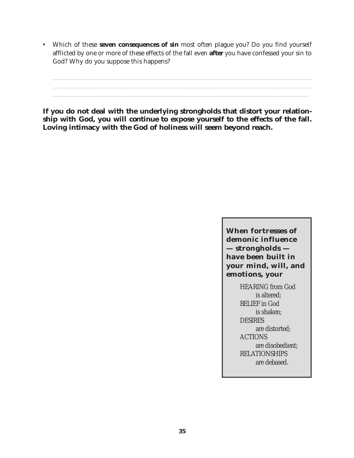• Which of these **seven consequences of sin** most often plague you? Do you find yourself afflicted by one or more of these effects of the fall even **after** you have confessed your sin to God? Why do you suppose this happens?

\_\_\_\_\_\_\_\_\_\_\_\_\_\_\_\_\_\_\_\_\_\_\_\_\_\_\_\_\_\_\_\_\_\_\_\_\_\_\_\_\_\_\_\_\_\_\_\_\_\_\_\_\_\_\_\_\_\_\_\_\_\_\_\_\_\_\_\_\_\_\_\_\_\_\_\_\_\_\_\_\_\_\_\_\_  $\_$  , and the set of the set of the set of the set of the set of the set of the set of the set of the set of the set of the set of the set of the set of the set of the set of the set of the set of the set of the set of th  $\_$  , and the set of the set of the set of the set of the set of the set of the set of the set of the set of the set of the set of the set of the set of the set of the set of the set of the set of the set of the set of th

**If you do not deal with the underlying strongholds that distort your relationship with God, you will** *continue* **to expose yourself to the effects of the fall. Loving intimacy with the God of holiness will seem beyond reach.**

#### **When fortresses of demonic influence — strongholds have been built in your mind, will, and emotions, your**

HEARING from God is altered; BELIEF in God is shaken; DESIRES are distorted; ACTIONS are disobedient; RELATIONSHIPS are debased.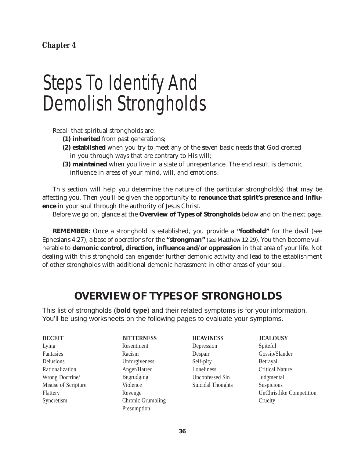*Chapter 4*

# *Steps To Identify And Demolish Strongholds*

Recall that spiritual strongholds are:

- **(1) inherited** from past generations;
- **(2) established** when you try to meet any of the **s**even basic needs that God created in you through ways that are contrary to His will;
- **(3) maintained** when you live in a state of unrepentance. The end result is demonic influence in areas of your mind, will, and emotions.

This section will help you determine the nature of the particular stronghold(s) that may be affecting you. Then you'll be given the opportunity to **renounce that spirit's presence and influence** in your soul through the authority of Jesus Christ.

Before we go on, glance at the **Overview of Types of Strongholds** below and on the next page.

**REMEMBER:** Once a stronghold is established, you provide a **"foothold"** for the devil (see Ephesians 4:27), a base of operations for the **"strongman"** (see Matthew 12:29). You then become vulnerable to **demonic control, direction, influence and/or oppression** in that area of your life. Not dealing with this stronghold can engender further demonic activity and lead to the establishment of other strongholds with additional demonic harassment in other areas of your soul.

# **OVERVIEW OF TYPES OF STRONGHOLDS**

This list of strongholds (**bold type**) and their related symptoms is for your information. You'll be using worksheets on the following pages to evaluate your symptoms.

| <b>DECEIT</b>       | <b>BITTERNESS</b>                   | <b>HEAVINESS</b>  | <b>JEALOUSY</b>        |
|---------------------|-------------------------------------|-------------------|------------------------|
| Lying               | Resentment                          | Depression        | Spiteful               |
| Fantasies           | Racism                              | Despair           | Gossip/Slander         |
| Delusions           | Unforgiveness                       | Self-pity         | Betrayal               |
| Rationalization     | Anger/Hatred                        | Loneliness        | <b>Critical Nature</b> |
| Wrong Doctrine/     | Begrudging                          | Unconfessed Sin   | Judgmental             |
| Misuse of Scripture | Violence                            | Suicidal Thoughts | Suspicious             |
| Flattery            | UnChristlike Competition<br>Revenge |                   |                        |
| Syncretism          | Chronic Grumbling                   |                   | Cruelty                |
|                     | Presumption                         |                   |                        |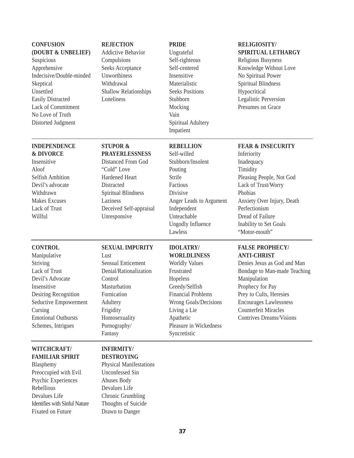| <b>CONFUSION</b><br>(DOUBT & UNBELIEF)<br>Suspicious<br>Apprehensive<br>Indecisive/Double-minded<br>Skeptical<br>Unsettled<br>Easily Distracted<br>Lack of Commitment<br>No Love of Truth<br>Distorted Judgment | <b>REJECTION</b><br><b>Addictive Behavior</b><br>Compulsions<br>Seeks Acceptance<br>Unworthiness<br>Withdrawal<br>Shallow Relationships<br>Loneliness                                                  | <b>PRIDE</b><br>Ungrateful<br>Self-righteous<br>Self-centered<br>Insensitive<br>Materialistic<br><b>Seeks Positions</b><br>Stubborn<br>Mocking<br>Vain<br>Spiritual Adultery<br>Impatient         | <b>RELIGIOSITY/</b><br>SPIRITUAL LETHARGY<br>Religious Busyness<br>Knowledge Without Love<br>No Spiritual Power<br>Spiritual Blindness<br>Hypocritical<br>Legalistic Perversion<br>Presumes on Grace                                              |
|-----------------------------------------------------------------------------------------------------------------------------------------------------------------------------------------------------------------|--------------------------------------------------------------------------------------------------------------------------------------------------------------------------------------------------------|---------------------------------------------------------------------------------------------------------------------------------------------------------------------------------------------------|---------------------------------------------------------------------------------------------------------------------------------------------------------------------------------------------------------------------------------------------------|
| <b>INDEPENDENCE</b><br><b>&amp; DIVORCE</b><br>Insensitive<br>Aloof<br><b>Selfish Ambition</b><br>Devil's advocate<br>Withdrawn<br><b>Makes Excuses</b><br>Lack of Trust<br>Willful                             | <b>STUPOR &amp;</b><br><b>PRAYERLESSNESS</b><br>Distanced From God<br>"Cold" Love<br>Hardened Heart<br>Distracted<br><b>Spiritual Blindness</b><br>Laziness<br>Deceived Self-appraisal<br>Unresponsive | <b>REBELLION</b><br>Self-willed<br>Stubborn/Insolent<br>Pouting<br>Strife<br>Factious<br>Divisive<br>Anger Leads to Argument<br>Independent<br>Unteachable<br><b>Ungodly Influence</b><br>Lawless | <b>FEAR &amp; INSECURITY</b><br>Inferiority<br>Inadequacy<br>Timidity<br>Pleasing People, Not God<br>Lack of Trust/Worry<br>Phobias<br>Anxiety Over Injury, Death<br>Perfectionism<br>Dread of Failure<br>Inability to Set Goals<br>"Motor-mouth" |
| <b>CONTROL</b><br>Manipulative<br>Striving<br>Lack of Trust<br>Devil's Advocate<br>Insensitive<br>Desiring Recognition<br>Seductive Empowerment                                                                 | <b>SEXUAL IMPURITY</b><br>Lust<br><b>Sensual Enticement</b><br>Denial/Rationalization<br>Control<br>Masturbation<br>Fornication<br>Adultery                                                            | <b>IDOLATRY/</b><br><b>WORLDLINESS</b><br><b>Worldly Values</b><br>Frustrated<br>Hopeless<br>Greedy/Selfish<br><b>Financial Problems</b><br>Wrong Goals/Decisions                                 | <b>FALSE PROPHECY/</b><br><b>ANTI-CHRIST</b><br>Denies Jesus as God and Man<br>Bondage to Man-made Teaching<br>Manipulation<br>Prophecy for Pay<br>Prey to Cults, Heresies<br><b>Encourages Lawlessness</b>                                       |

#### **WITCHCRAFT/ FAMILIAR SPIRIT**

Emotional Outbursts Schemes, Intrigues

Cursing

Blasphemy Preoccupied with Evil Psychic Experiences Rebellious Devalues Life Identifies with Sinful Nature Fixated on Future

#### **INFIRMITY/ DESTROYING**

Frigidity Homosexuality Pornography/ Fantasy

Physical Manifestations Unconfessed Sin Abuses Body Devalues Life Chronic Grumbling Thoughts of Suicide Drawn to Danger

Living a Lie Apathetic

Syncretistic

Pleasure in Wickedness

Counterfeit Miracles Contrives Dreams/Visions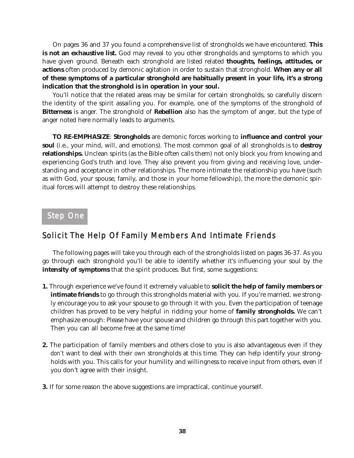On pages 36 and 37 you found a comprehensive list of strongholds we have encountered. **This** is not an exhaustive list. God may reveal to you other strongholds and symptoms to which you have given ground. Beneath each stronghold are listed related **thoughts, feelings, attitudes, or actions** often produced by demonic agitation in order to sustain that stronghold. **When any or all of these symptoms of a particular stronghold are** *habitually present* **in your life, it's a strong indication that the stronghold is in operation in your soul.**

You'll notice that the related areas may be similar for certain strongholds, so carefully discern the identity of the spirit assailing you. For example, one of the symptoms of the stronghold of **Bitterness** is anger. The stronghold of **Rebellion** also has the symptom of anger, but the type of anger noted here normally leads to arguments.

**TO RE-EMPHASIZE**: **Strongholds** are demonic forces working to **influence and control your soul** (i.e., your mind, will, and emotions). The most common goal of all strongholds is to **destroy relationships.** Unclean spirits (as the Bible often calls them) not only block you from knowing and experiencing God's truth and love. They also prevent you from giving and receiving love, understanding and acceptance in other relationships. The more intimate the relationship you have (such as with God, your spouse, family, and those in your home fellowship), the more the demonic spiritual forces will attempt to destroy these relationships.

# **Step One**

# Solicit The Help Of Family Members And Intimate Friends

The following pages will take you through each of the strongholds listed on pages 36-37. As you go through each stronghold you'll be able to identify whether it's influencing your soul by the **intensity of symptoms** that the spirit produces. But first, some suggestions:

- **1.** Through experience we've found it extremely valuable to **solicit the help of family members or intimate friends** to go through this strongholds material with you. If you're married, we strongly encourage you to ask your spouse to go through it with you. Even the participation of teenage children has proved to be very helpful in ridding your home of **family strongholds.** We can't emphasize enough: Please have your spouse and children go through this part together with you. Then you can all become free at the same time!
- **2.** The participation of family members and others close to you is also advantageous even if they *don't* want to deal with their *own* strongholds at this time. They can help identify your strongholds with you. This calls for your humility and willingness to receive input from others, even if you don't agree with their insight.
- **3.** If for some reason the above suggestions are impractical, continue yourself.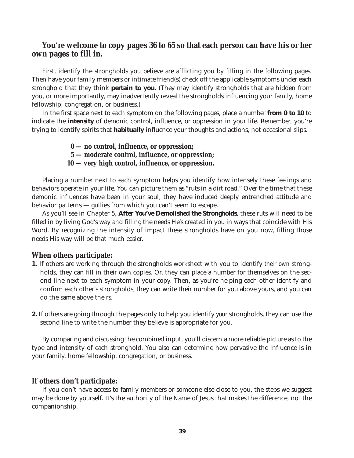**You're welcome to copy pages 36 to 65 so that each person can have his or her own pages to fill in.**

First, identify the strongholds you believe are afflicting you by filling in the following pages. Then have your family members or intimate friend(s) check off the applicable symptoms under each stronghold that they think **pertain to you.** (They may identify strongholds that are hidden from you, or more importantly, may inadvertently reveal the strongholds influencing your family, home fellowship, congregation, or business.)

In the first space next to each symptom on the following pages, place a number **from 0 to 10** to indicate the **intensity** of demonic control, influence, or oppression in your life. Remember, you're trying to identify spirits that **habitually** influence your thoughts and actions, not occasional slips.

- **0 no control, influence, or oppression;**
- **5 moderate control, influence, or oppression;**
- **10 very high control, influence, or oppression.**

Placing a number next to each symptom helps you identify how intensely these feelings and behaviors operate in your life. You can picture them as "ruts in a dirt road." Over the time that these demonic influences have been in your soul, they have induced deeply entrenched attitude and behavior patterns — gullies from which you can't seem to escape.

As you'll see in Chapter 5, *After You've Demolished the Strongholds*, these ruts will need to be filled in by living God's way and filling the needs He's created in you in ways that coincide with His Word. By recognizing the intensity of impact these strongholds have on you now, filling those needs His way will be that much easier.

**When others participate:**

- **1.** If others are working through the strongholds worksheet with you to identify *their own* strongholds, they can fill in their own copies. Or, they can place a number for themselves on the second line next to each symptom in your copy. Then, as you're helping each other identify and confirm each other's strongholds, they can write their number for you above yours, and you can do the same above theirs.
- **2.** If others are going through the pages only to help you identify *your* strongholds, they can use the second line to write the number they believe is appropriate for you.

By comparing and discussing the combined input, you'll discern a more reliable picture as to the type and intensity of each stronghold. You also can determine how pervasive the influence is in your family, home fellowship, congregation, or business.

#### **If others don't participate:**

If you don't have access to family members or someone else close to you, the steps we suggest may be done by yourself. It's the authority of the Name of Jesus that makes the difference, not the companionship.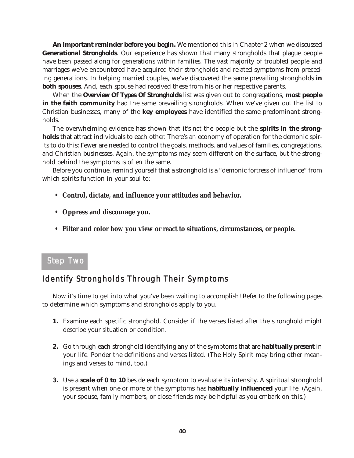**An important reminder before you begin.** We mentioned this in Chapter 2 when we discussed *Generational Strongholds*. Our experience has shown that many strongholds that plague people have been passed along for generations within families. The vast majority of troubled people and marriages we've encountered have acquired their strongholds and related symptoms from preceding generations. In helping married couples, we've discovered the same prevailing strongholds **in both spouses**. And, each spouse had received these from his or her respective parents.

When the *Overview Of Types Of Strongholds* list was given out to congregations, **most people in the faith community** had the same prevailing strongholds. When we've given out the list to Christian businesses, many of the **key employees** have identified the same predominant strongholds.

The overwhelming evidence has shown that it's *not* the people but the **spirits in the strongholds** that attract individuals to each other. There's an economy of operation for the demonic spirits to do this: Fewer are needed to control the goals, methods, and values of families, congregations, and Christian businesses. Again, the symptoms may seem different on the surface, but the stronghold behind the symptoms is often the same.

Before you continue, remind yourself that a stronghold is a "demonic fortress of influence" from which spirits function in your soul to:

- **Control, dictate, and influence your attitudes and behavior.**
- **Oppress and discourage you.**
- **Filter and color how you view or react to situations, circumstances, or people.**

# Step Two

# Identify Strongholds Through Their Symptoms

Now it's time to get into what you've been waiting to accomplish! Refer to the following pages to determine which symptoms and strongholds apply to you.

- **1.** Examine each specific stronghold. Consider if the verses listed after the stronghold might describe your situation or condition.
- **2.** Go through each stronghold identifying any of the symptoms that are *habitually present* in your life. Ponder the definitions and verses listed. (The Holy Spirit may bring other meanings and verses to mind, too.)
- **3.** Use a **scale of 0 to 10** beside each symptom to evaluate its intensity. A spiritual stronghold is present when one or more of the symptoms has **habitually influenced** your life. (Again, your spouse, family members, or close friends may be helpful as you embark on this.)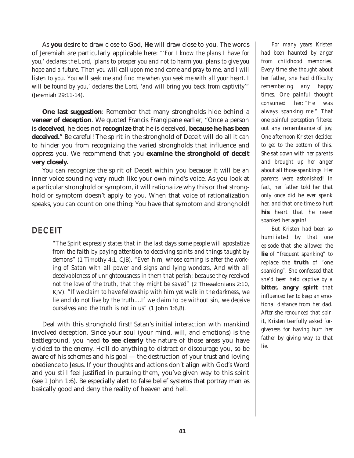As **you** desire to draw close to God, **He** will draw close to you. The words of Jeremiah are particularly applicable here: *"'For I know the plans I have for you,' declares the Lord, 'plans to prosper you and not to harm you, plans to give you hope and a future. Then you will call upon me and come and pray to me, and I will listen to you. You will seek me and find me when you seek me with all your heart. I will be found by you,' declares the Lord, 'and will bring you back from captivity'"* (Jeremiah 29:11-14).

**One last suggestion**: Remember that many strongholds hide behind a **veneer of deception**. We quoted Francis Frangipane earlier, "Once a person is **deceived**, he does not **recognize** that he is deceived, **because he has been deceived.**" Be careful! The spirit in the stronghold of Deceit will do all it can to hinder you from recognizing the varied strongholds that influence and oppress you. We recommend that you **examine the stronghold of deceit very closely.**

You can recognize the spirit of Deceit within you because it will be an inner voice sounding very much like your own mind's voice. As you look at a particular stronghold or symptom, it will rationalize why this or that stronghold or symptom doesn't apply to you. When that voice of rationalization speaks, you can count on one thing: You have that symptom and stronghold!

#### DECEIT

*"The Spirit expressly states that in the last days some people will apostatize from the faith by paying attention to deceiving spirits and things taught by demons"* (1 Timothy 4:1, CJB). *"Even him, whose coming is after the working of Satan with all power and signs and lying wonders, And with all deceivableness of unrighteousness in them that perish; because they received not the love of the truth, that they might be saved"* (2 Thessalonians 2:10, KJV). *"If we claim to have fellowship with him yet walk in the darkness, we lie and do not live by the truth....If we claim to be without sin, we deceive ourselves and the truth is not in us"* (1 John 1:6,8).

Deal with this stronghold first! Satan's initial interaction with mankind involved deception. Since your soul (your mind, will, and emotions) is the battleground, you need **to see clearly** the nature of those areas you have yielded to the enemy. He'll do anything to distract or discourage you, so be aware of his schemes and his goal — the destruction of your trust and loving obedience to Jesus. If your thoughts and actions don't align with God's Word and you still feel justified in pursuing them, you've given way to this spirit (see 1 John 1:6). Be especially alert to false belief systems that portray man as basically good and deny the reality of heaven and hell.

*For many years Kristen had been haunted by anger from childhood memories. Every time she thought about her father, she had difficulty remembering any happy times. One painful thought consumed her: "He was always spanking me!" That one painful perception filtered out any remembrance of joy. One afternoon Kristen decided to get to the bottom of this. She sat down with her parents and brought up her anger about all those spankings. Her parents were astonished! In fact, her father told her that only once did he ever spank her, and that one time so hurt his heart that he never spanked her again!* 

*But Kristen had been so humiliated by that one episode that she allowed the lie of "frequent spanking" to replace the truth of "one spanking". She confessed that she'd been held captive by a bitter, angry spirit that influenced her to keep an emotional distance from her dad. After she renounced that spirit, Kristen tearfully asked forgiveness for having hurt her father by giving way to that lie.*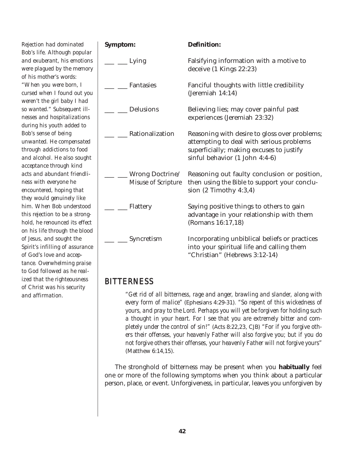*Rejection had dominated Bob's life. Although popular and exuberant, his emotions were plagued by the memory of his mother's words: "When you were born, I cursed when I found out you weren't the girl baby I had so wanted." Subsequent illnesses and hospitalizations during his youth added to Bob's sense of being unwanted. He compensated through addictions to food and alcohol. He also sought acceptance through kind acts and abundant friendliness with everyone he encountered, hoping that they would genuinely like him. When Bob understood this rejection to be a stronghold, he renounced its effect on his life through the blood of Jesus, and sought the Spirit's infilling of assurance of God's love and acceptance. Overwhelming praise to God followed as he realized that the righteousness of Christ was his security and affirmation.*

# **Symptom: Definition:** Lying Falsifying information with a motive to deceive (1 Kings 22:23) Fantasies Fanciful thoughts with little credibility (Jeremiah 14:14) Delusions Believing lies; may cover painful past experiences (Jeremiah 23:32) Rationalization Reasoning with desire to gloss over problems; attempting to deal with serious problems superficially; making excuses to justify sinful behavior (1 John 4:4-6) Wrong Doctrine/ Reasoning out faulty conclusion or position, Misuse of Scripture then using the Bible to support your conclusion (2 Timothy 4:3,4) Flattery Saying positive things to others to gain advantage in your relationship with them (Romans 16:17,18) Syncretism Incorporating unbiblical beliefs or practices into your spiritual life and calling them "Christian" (Hebrews 3:12-14)

## **BITTERNESS**

*"Get rid of all bitterness, rage and anger, brawling and slander, along with every form of malice"* (Ephesians 4:29-31). *"So repent of this wickedness of yours, and pray to the Lord. Perhaps you will yet be forgiven for holding such a thought in your heart. For I see that you are extremely bitter and completely under the control of sin!"* (Acts 8:22,23, CJB) *"For if you forgive others their offenses, your heavenly Father will also forgive you; but if you do not forgive others their offenses, your heavenly Father will not forgive yours"* (Matthew 6:14,15).

The stronghold of bitterness may be present when you **habitually** feel one or more of the following symptoms when you think about a particular person, place, or event. Unforgiveness, in particular, leaves you unforgiven by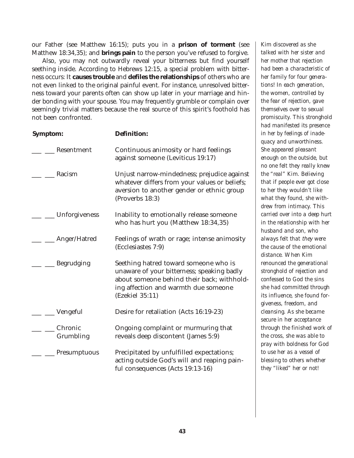our Father (see Matthew 16:15); puts you in a **prison of torment** (see Matthew 18:34,35); and **brings pain** to the person you've refused to forgive.

Also, you may not outwardly reveal your bitterness but find yourself seething inside. According to Hebrews 12:15, a special problem with bitterness occurs: It **causes trouble** and **defiles the relationships** of others who are not even linked to the original painful event. For instance, unresolved bitterness toward your parents often can show up later in your marriage and hinder bonding with your spouse. You may frequently grumble or complain over seemingly trivial matters because the real source of this spirit's foothold has not been confronted.

| Symptom:             | <b>Definition:</b>                                                                                                                                                                           |
|----------------------|----------------------------------------------------------------------------------------------------------------------------------------------------------------------------------------------|
| Resentment           | Continuous animosity or hard feelings<br>against someone (Leviticus 19:17)                                                                                                                   |
| Racism               | Unjust narrow-mindedness; prejudice against<br>whatever differs from your values or beliefs;<br>aversion to another gender or ethnic group<br>(Proverbs 18:3)                                |
| Unforgiveness        | Inability to emotionally release someone<br>who has hurt you (Matthew 18:34,35)                                                                                                              |
| Anger/Hatred         | Feelings of wrath or rage; intense animosity<br>(Ecclesiastes 7:9)                                                                                                                           |
| <b>Begrudging</b>    | Seething hatred toward someone who is<br>unaware of your bitterness; speaking badly<br>about someone behind their back; withhold-<br>ing affection and warmth due someone<br>(Ezekiel 35:11) |
| Vengeful             | Desire for retaliation (Acts 16:19-23)                                                                                                                                                       |
| Chronic<br>Grumbling | Ongoing complaint or murmuring that<br>reveals deep discontent (James 5:9)                                                                                                                   |
| Presumptuous         | Precipitated by unfulfilled expectations;<br>acting outside God's will and reaping pain-<br>ful consequences (Acts 19:13-16)                                                                 |

*Kim discovered as she talked with her sister and her mother that rejection had been a characteristic of her family for four generations! In each generation, the women, controlled by the fear of rejection, gave themselves over to sexual promiscuity. This stronghold had manifested its presence in her by feelings of inadequacy and unworthiness. She appeared pleasant enough on the outside, but no one felt they really knew the "real" Kim. Believing that if people ever got close to her they wouldn't like what they found, she withdrew from intimacy. This carried over into a deep hurt in the relationship with her husband and son, who always felt that they were the cause of the emotional distance. When Kim renounced the generational stronghold of rejection and confessed to God the sins she had committed through its influence, she found forgiveness, freedom, and cleansing. As she became secure in her acceptance through the finished work of the cross, she was able to pray with boldness for God to use her as a vessel of blessing to others whether they "liked" her or not!*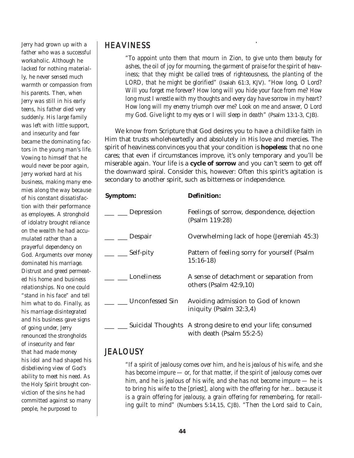*Jerry had grown up with a father who was a successful workaholic. Although he lacked for nothing materially, he never sensed much warmth or compassion from his parents. Then, when Jerry was still in his early teens, his father died very suddenly. His large family was left with little support, and insecurity and fear became the dominating factors in the young man's life. Vowing to himself that he would never be poor again, Jerry worked hard at his business, making many enemies along the way because of his constant dissatisfaction with their performance as employees. A stronghold of idolatry brought reliance on the wealth he had accumulated rather than a prayerful dependency on God. Arguments over money dominated his marriage. Distrust and greed permeated his home and business relationships. No one could "stand in his face" and tell him what to do. Finally, as his marriage disintegrated and his business gave signs of going under, Jerry renounced the strongholds of insecurity and fear that had made money his idol and had shaped his disbelieving view of God's ability to meet his need. As the Holy Spirit brought conviction of the sins he had committed against so many people, he purposed to*

# **HEAVINESS**

*"To appoint unto them that mourn in Zion, to give unto them beauty for ashes, the oil of joy for mourning, the garment of praise for the spirit of heaviness; that they might be called trees of righteousness, the planting of the LORD, that he might be glorified"* (Isaiah 61:3, KJV). *"How long, O Lord? Will you forget me forever? How long will you hide your face from me? How long must I wrestle with my thoughts and every day have sorrow in my heart? How long will my enemy triumph over me? Look on me and answer, O Lord my God. Give light to my eyes or I will sleep in death"* (Psalm 13:1-3, CJB).

We know from Scripture that God desires you to have a childlike faith in Him that trusts wholeheartedly and absolutely in His love and mercies. The spirit of heaviness convinces you that your condition is **hopeless**: that no one cares; that even if circumstances improve, it's only temporary and you'll be miserable again. Your life is a **cycle of sorrow** and you can't seem to get off the downward spiral. Consider this, however: Often this spirit's agitation is secondary to another spirit, such as bitterness or independence.

| Symptom:        | Definition:                                                                               |
|-----------------|-------------------------------------------------------------------------------------------|
| Depression      | Feelings of sorrow, despondence, dejection<br>(Psalm 119:28)                              |
| Despair         | Overwhelming lack of hope (Jeremiah 45:3)                                                 |
| Self-pity       | Pattern of feeling sorry for yourself (Psalm<br>$15:16-18$                                |
| Loneliness      | A sense of detachment or separation from<br>others (Psalm $42:9,10$ )                     |
| Unconfessed Sin | Avoiding admission to God of known<br>iniquity (Psalm 32:3,4)                             |
|                 | Suicidal Thoughts A strong desire to end your life; consumed<br>with death (Psalm 55:2-5) |

# **JEALOUSY**

*"If a spirit of jealousy comes over him, and he is jealous of his wife, and she has become impure — or, for that matter, if the spirit of jealousy comes over him, and he is jealous of his wife, and she has not become impure — he is to bring his wife to the [priest], along with the offering for her... because it is a grain offering for jealousy, a grain offering for remembering, for recalling guilt to mind"* (Numbers 5:14,15, CJB). *"Then the Lord said to Cain,*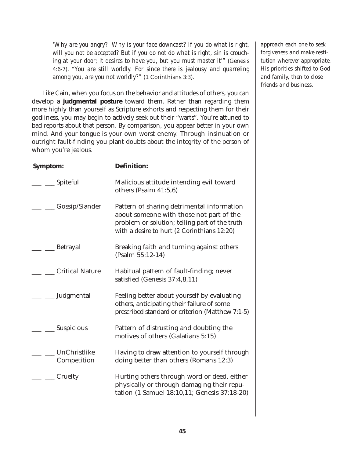*'Why are you angry? Why is your face downcast? If you do what is right, will you not be accepted? But if you do not do what is right, sin is crouching at your door; it desires to have you, but you must master it'"* (Genesis 4:6-7). *"You are still worldly. For since there is jealousy and quarreling among you, are you not worldly?"* (1 Corinthians 3:3).

Like Cain, when you focus on the behavior and attitudes of others, you can develop a **judgmental posture** toward them. Rather than regarding them more highly than yourself as Scripture exhorts and respecting them for their godliness, you may begin to actively seek out their "warts". You're attuned to bad reports about that person. By comparison, you appear better in your own mind. And your tongue is your own worst enemy. Through insinuation or outright fault-finding you plant doubts about the integrity of the person of whom you're jealous.

| Symptom:                    | <b>Definition:</b>                                                                                                                                                                      |
|-----------------------------|-----------------------------------------------------------------------------------------------------------------------------------------------------------------------------------------|
| Spiteful                    | Malicious attitude intending evil toward<br>others (Psalm 41:5,6)                                                                                                                       |
| Gossip/Slander              | Pattern of sharing detrimental information<br>about someone with those not part of the<br>problem or solution; telling part of the truth<br>with a desire to hurt (2 Corinthians 12:20) |
| <b>Betrayal</b>             | Breaking faith and turning against others<br>(Psalm 55:12-14)                                                                                                                           |
| <b>Critical Nature</b>      | Habitual pattern of fault-finding; never<br>satisfied (Genesis 37:4,8,11)                                                                                                               |
| Judgmental                  | Feeling better about yourself by evaluating<br>others, anticipating their failure of some<br>prescribed standard or criterion (Matthew 7:1-5)                                           |
| <b>Suspicious</b>           | Pattern of distrusting and doubting the<br>motives of others (Galatians 5:15)                                                                                                           |
| UnChristlike<br>Competition | Having to draw attention to yourself through<br>doing better than others (Romans 12:3)                                                                                                  |
| Cruelty                     | Hurting others through word or deed, either<br>physically or through damaging their repu-<br>tation (1 Samuel 18:10,11; Genesis 37:18-20)                                               |

*approach each one to seek forgiveness and make restitution wherever appropriate. His priorities shifted to God and family, then to close friends and business.*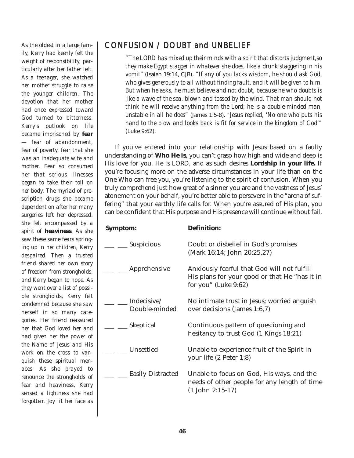*As the oldest in a large family, Kerry had keenly felt the weight of responsibility, particularly after her father left. As a teenager, she watched her mother struggle to raise the younger children. The devotion that her mother had once expressed toward God turned to bitterness. Kerry's outlook on life became imprisoned by fear — fear of abandonment, fear of poverty, fear that she was an inadequate wife and mother. Fear so consumed her that serious illnesses began to take their toll on her body. The myriad of prescription drugs she became dependent on after her many surgeries left her depressed. She felt encompassed by a spirit of heaviness. As she saw these same fears springing up in her children, Kerry despaired. Then a trusted friend shared her own story of freedom from strongholds, and Kerry began to hope. As they went over a list of possible strongholds, Kerry felt condemned because she saw herself in so many categories. Her friend reassured her that God loved her and had given her the power of the Name of Jesus and His work on the cross to vanquish these spiritual menaces. As she prayed to renounce the strongholds of fear and heaviness, Kerry sensed a lightness she had forgotten. Joy lit her face as*

# CONFUSION / DOUBT and UNBELIEF

*"The LORD has mixed up their minds with a spirit that distorts judgment,so they make Egypt stagger in whatever she does, like a drunk staggering in his vomit"* (Isaiah 19:14, CJB). *"If any of you lacks wisdom, he should ask God, who gives generously to all without finding fault, and it will be given to him. But when he asks, he must believe and not doubt, because he who doubts is like a wave of the sea, blown and tossed by the wind. That man should not think he will receive anything from the Lord; he is a double-minded man, unstable in all he does"* (James 1:5-8). *"Jesus replied, 'No one who puts his hand to the plow and looks back is fit for service in the kingdom of God'"* (Luke 9:62).

If you've entered into your relationship with Jesus based on a faulty understanding of **Who He is**, you can't grasp how high and wide and deep is His love for you. He is LORD, and as such desires **Lordship in your life.** If you're focusing more on the adverse circumstances in your life than on the One Who can free you, you're listening to the spirit of confusion. When you truly comprehend just how great of a sinner you are and the vastness of Jesus' atonement on your behalf, you're better able to persevere in the "arena of suffering" that your earthly life calls for. When you're assured of His plan, you can be confident that His purpose and His presence will continue without fail.

#### **Symptom: Definition:**

| <b>Suspicious</b>            | Doubt or disbelief in God's promises<br>(Mark 16:14; John 20:25,27)                                                  |
|------------------------------|----------------------------------------------------------------------------------------------------------------------|
| Apprehensive                 | Anxiously fearful that God will not fulfill<br>His plans for your good or that He "has it in<br>for you" (Luke 9:62) |
| Indecisive/<br>Double-minded | No intimate trust in Jesus; worried anguish<br>over decisions (James 1:6,7)                                          |
| <b>Skeptical</b>             | Continuous pattern of questioning and<br>hesitancy to trust God (1 Kings 18:21)                                      |
| Unsettled                    | Unable to experience fruit of the Spirit in<br>your life (2 Peter 1:8)                                               |
| <b>Easily Distracted</b>     | Unable to focus on God, His ways, and the<br>needs of other people for any length of time<br>$(1$ John 2:15-17)      |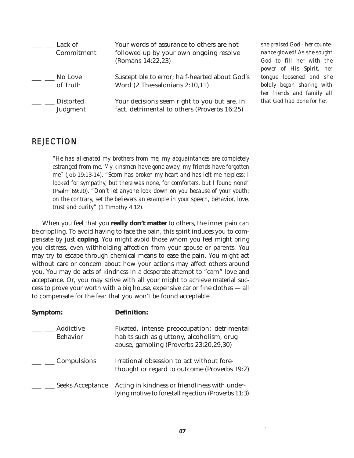| Lack of<br>Commitment | Your words of assurance to others are not<br>followed up by your own ongoing resolve<br>(Romans 14:22,23) |
|-----------------------|-----------------------------------------------------------------------------------------------------------|
| No Love               | Susceptible to error; half-hearted about God's                                                            |
| of Truth              | Word (2 Thessalonians 2:10,11)                                                                            |
| <b>Distorted</b>      | Your decisions seem right to you but are, in                                                              |
| Judgment              | fact, detrimental to others (Proverbs 16:25)                                                              |

*she praised God - her countenance glowed! As she sought God to fill her with the power of His Spirit, her tongue loosened and she boldly began sharing with her friends and family all that God had done for her.*

#### REJECTION

*"He has alienated my brothers from me; my acquaintances are completely estranged from me. My kinsmen have gone away, my friends have forgotten me"* (Job 19:13-14). *"Scorn has broken my heart and has left me helpless; I looked for sympathy, but there was none, for comforters, but I found none"* (Psalm 69:20). *"Don't let anyone look down on you because of your youth; on the contrary, set the believers an example in your speech, behavior, love, trust and purity"* (1 Timothy 4:12).

When you feel that you **really don't matter** to others, the inner pain can be crippling. To avoid having to face the pain, this spirit induces you to compensate by just **coping**. You might avoid those whom you feel might bring you distress, even withholding affection from your spouse or parents. You may try to escape through chemical means to ease the pain. You might act without care or concern about how your actions may affect others around you. You may do acts of kindness in a desperate attempt to "earn" love and acceptance. Or, you may strive with all your might to achieve material success to prove your worth with a big house, expensive car or fine clothes — all to compensate for the fear that you won't be found acceptable.

**Symptom: Definition:** Addictive Fixated, intense preoccupation; detrimental Behavior habits such as gluttony, alcoholism, drug abuse, gambling (Proverbs 23:20,29,30) Compulsions Irrational obsession to act without forethought or regard to outcome (Proverbs 19:2) Seeks Acceptance Acting in kindness or friendliness with underlying motive to forestall rejection (Proverbs 11:3)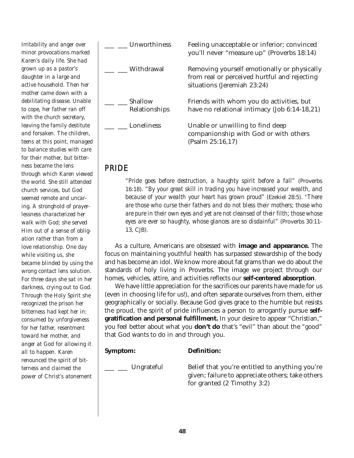*Irritability and anger over minor provocations marked Karen's daily life. She had grown up as a pastor's daughter in a large and active household. Then her mother came down with a debilitating disease. Unable to cope, her father ran off with the church secretary, leaving the family destitute and forsaken. The children, teens at this point, managed to balance studies with care for their mother, but bitterness became the lens through which Karen viewed the world. She still attended church services, but God seemed remote and uncaring. A stronghold of prayerlessness characterized her walk with God; she served Him out of a sense of obligation rather than from a love relationship. One day while visiting us, she became blinded by using the wrong contact lens solution. For three days she sat in her darkness, crying out to God. Through the Holy Spirit she recognized the prison her bitterness had kept her in: consumed by unforgiveness for her father, resentment toward her mother, and anger at God for allowing it all to happen. Karen renounced the spirit of bitterness and claimed the power of Christ's atonement*

| Unworthiness             | Feeling unacceptable or inferior; convinced<br>you'll never "measure up" (Proverbs 18:14)                                  |
|--------------------------|----------------------------------------------------------------------------------------------------------------------------|
| Withdrawal               | Removing yourself emotionally or physically<br>from real or perceived hurtful and rejecting<br>situations (Jeremiah 23:24) |
| Shallow<br>Relationships | Friends with whom you do activities, but<br>have no relational intimacy (Job 6:14-18,21)                                   |
| Loneliness               | Unable or unwilling to find deep<br>companionship with God or with others<br>(Psalm 25:16,17)                              |

# PRIDE

*"Pride goes before destruction, a haughty spirit before a fall"* (Proverbs 16:18). *"By your great skill in trading you have increased your wealth, and because of your wealth your heart has grown proud"* (Ezekiel 28:5). *"There are those who curse their fathers and do not bless their mothers; those who are pure in their own eyes and yet are not cleansed of their filth; those whose eyes are ever so haughty, whose glances are so disdainful"* (Proverbs 30:11- 13, CJB).

As a culture, Americans are obsessed with **image and appearance.** The focus on maintaining youthful health has surpassed stewardship of the body and has become an idol. We know more about fat grams than we do about the standards of holy living in Proverbs. The image we project through our homes, vehicles, attire, and activities reflects our **self-centered absorption**.

We have little appreciation for the sacrifices our parents have made for us (even in choosing life for us!), and often separate ourselves from them, either geographically or socially. Because God gives grace to the humble but resists the proud, the spirit of pride influences a person to arrogantly pursue **selfgratification and personal fulfillment.** In your desire to appear "Christian," you feel better about what you **don't do** that's "evil" than about the "good" that God wants to do in and through you.

#### **Symptom: Definition:**

\_\_\_ \_\_\_ Ungrateful Belief that you're entitled to anything you're given; failure to appreciate others; take others for granted (2 Timothy 3:2)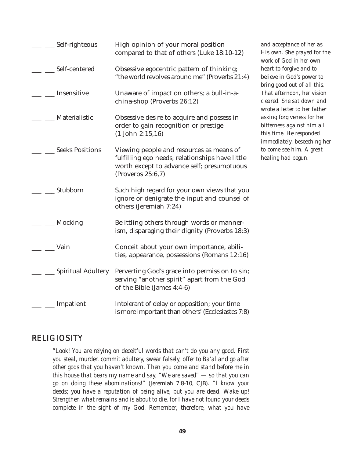| Self-righteous            | High opinion of your moral position<br>compared to that of others (Luke 18:10-12)                                                                                 |
|---------------------------|-------------------------------------------------------------------------------------------------------------------------------------------------------------------|
| Self-centered             | Obsessive egocentric pattern of thinking;<br>"the world revolves around me" (Proverbs 21:4)                                                                       |
| Insensitive               | Unaware of impact on others; a bull-in-a-<br>china-shop (Proverbs 26:12)                                                                                          |
| Materialistic             | Obsessive desire to acquire and possess in<br>order to gain recognition or prestige<br>$(1$ John $2:15,16)$                                                       |
| <b>Seeks Positions</b>    | Viewing people and resources as means of<br>fulfilling ego needs; relationships have little<br>worth except to advance self; presumptuous<br>(Proverbs $25:6,7$ ) |
| Stubborn                  | Such high regard for your own views that you<br>ignore or denigrate the input and counsel of<br>others (Jeremiah 7:24)                                            |
| Mocking                   | Belittling others through words or manner-<br>ism, disparaging their dignity (Proverbs 18:3)                                                                      |
| Vain                      | Conceit about your own importance, abili-<br>ties, appearance, possessions (Romans 12:16)                                                                         |
| <b>Spiritual Adultery</b> | Perverting God's grace into permission to sin;<br>serving "another spirit" apart from the God<br>of the Bible (James 4:4-6)                                       |
| Impatient                 | Intolerant of delay or opposition; your time<br>is more important than others' (Ecclesiastes 7:8)                                                                 |

# RELIGIOSITY

*"Look! You are relying on deceitful words that can't do you any good. First you steal, murder, commit adultery, swear falsely, offer to Ba'al and go after other gods that you haven't known. Then you come and stand before me in this house that bears my name and say, "We are saved" — so that you can go on doing these abominations!"* (Jeremiah 7:8-10, CJB). *"I know your deeds; you have a reputation of being alive, but you are dead. Wake up! Strengthen what remains and is about to die, for I have not found your deeds complete in the sight of my God. Remember, therefore, what you have*

*and acceptance of her as His own. She prayed for the work of God in her own heart to forgive and to believe in God's power to bring good out of all this. That afternoon, her vision cleared. She sat down and wrote a letter to her father asking forgiveness for her bitterness against him all this time. He responded immediately, beseeching her to come see him. A great healing had begun.*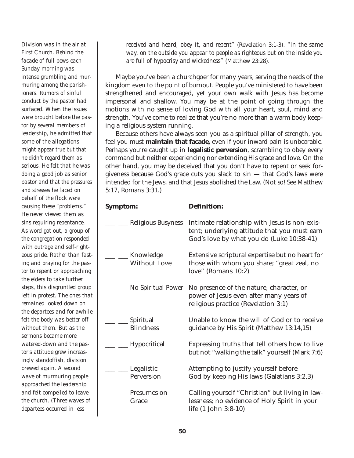*Division was in the air at First Church. Behind the facade of full pews each Sunday morning was intense grumbling and murmuring among the parishioners. Rumors of sinful conduct by the pastor had surfaced. When the issues were brought before the pastor by several members of leadership, he admitted that some of the allegations might appear true but that he didn't regard them as serious. He felt that he was doing a good job as senior pastor and that the pressures and stresses he faced on behalf of the flock were causing these "problems." He never viewed them as sins requiring repentance. As word got out, a group of the congregation responded with outrage and self-righteous pride. Rather than fasting and praying for the pastor to repent or approaching the elders to take further steps, this disgruntled group left in protest. The ones that remained looked down on the departees and for awhile felt the body was better off without them. But as the sermons became more watered-down and the pastor's attitude grew increasingly standoffish, division brewed again. A second wave of murmuring people approached the leadership and felt compelled to leave the church. (Three waves of departees occurred in less*

*received and heard; obey it, and repent"* (Revelation 3:1-3). *"In the same way, on the outside you appear to people as righteous but on the inside you are full of hypocrisy and wickedness"* (Matthew 23:28).

Maybe you've been a churchgoer for many years, serving the needs of the kingdom even to the point of burnout. People you've ministered to have been strengthened and encouraged, yet your own walk with Jesus has become impersonal and shallow. You may be at the point of going through the motions with no sense of loving God with all your heart, soul, mind and strength. You've come to realize that you're no more than a warm body keeping a religious system running.

Because others have always seen you as a spiritual pillar of strength, you feel you must **maintain that facade,** even if your inward pain is unbearable. Perhaps you're caught up in **legalistic perversion**, scrambling to obey every command but neither experiencing nor extending His grace and love. On the other hand, you may be deceived that you don't have to repent or seek forgiveness because God's grace cuts you slack to sin — that God's laws were intended for the Jews, and that Jesus abolished the Law. (Not so! See Matthew 5:17, Romans 3:31.)

| Symptom:                         | <b>Definition:</b>                                                                                                                         |
|----------------------------------|--------------------------------------------------------------------------------------------------------------------------------------------|
| <b>Religious Busyness</b>        | Intimate relationship with Jesus is non-exis-<br>tent; underlying attitude that you must earn<br>God's love by what you do (Luke 10:38-41) |
| Knowledge<br><b>Without Love</b> | Extensive scriptural expertise but no heart for<br>those with whom you share; "great zeal, no<br>love" (Romans 10:2)                       |
| No Spiritual Power               | No presence of the nature, character, or<br>power of Jesus even after many years of<br>religious practice (Revelation 3:1)                 |
| Spiritual<br><b>Blindness</b>    | Unable to know the will of God or to receive<br>guidance by His Spirit (Matthew 13:14,15)                                                  |
| <b>Hypocritical</b>              | Expressing truths that tell others how to live<br>but not "walking the talk" yourself (Mark 7:6)                                           |
| Legalistic<br>Perversion         | Attempting to justify yourself before<br>God by keeping His laws (Galatians 3:2,3)                                                         |
| Presumes on<br>Grace             | Calling yourself "Christian" but living in law-<br>lessness; no evidence of Holy Spirit in your<br>life (1 John 3:8-10)                    |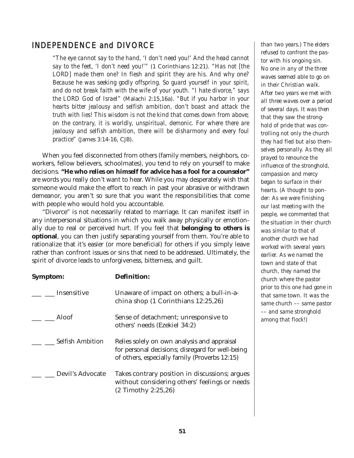# INDEPENDENCE and DIVORCE

*"The eye cannot say to the hand, 'I don't need you!' And the head cannot say to the feet, 'I don't need you!'"* (1 Corinthians 12:21). *"Has not [the LORD] made them one? In flesh and spirit they are his. And why one? Because he was seeking godly offspring. So guard yourself in your spirit, and do not break faith with the wife of your youth. "I hate divorce," says the LORD God of Israel"* (Malachi 2:15,16a). *"But if you harbor in your hearts bitter jealousy and selfish ambition, don't boast and attack the truth with lies! This wisdom is not the kind that comes down from above; on the contrary, it is worldly, unspiritual, demonic. For where there are jealousy and selfish ambition, there will be disharmony and every foul practice"* (James 3:14-16, CJB).

When you feel disconnected from others (family members, neighbors, coworkers, fellow believers, schoolmates), you tend to rely on yourself to make decisions. **"He who relies on himself for advice has a fool for a counselor"** are words you really don't want to hear. While you may desperately wish that someone would make the effort to reach in past your abrasive or withdrawn demeanor, you aren't so sure that you want the responsibilities that come with people who would hold you accountable.

"Divorce" is not necessarily related to marriage. It can manifest itself in any interpersonal situations in which you walk away physically or emotionally due to real or perceived hurt. If you feel that **belonging to others is optional**, you can then justify separating yourself from them. You're able to rationalize that it's easier (or more beneficial) for others if you simply leave rather than confront issues or sins that need to be addressed. Ultimately, the spirit of divorce leads to unforgiveness, bitterness, and guilt.

| Symptom: |                         | Definition:                                                                                                                                      |  |
|----------|-------------------------|--------------------------------------------------------------------------------------------------------------------------------------------------|--|
|          | Insensitive             | Unaware of impact on others; a bull-in-a-<br>china shop (1 Corinthians 12:25,26)                                                                 |  |
|          | Aloof                   | Sense of detachment; unresponsive to<br>others' needs (Ezekiel 34:2)                                                                             |  |
|          | <b>Selfish Ambition</b> | Relies solely on own analysis and appraisal<br>for personal decisions; disregard for well-being<br>of others, especially family (Proverbs 12:15) |  |
|          | Devil's Advocate        | Takes contrary position in discussions; argues<br>without considering others' feelings or needs<br>$(2$ Timothy $2:25,26)$                       |  |

*der: As we were finishing our last meeting with the people, we commented that the situation in their church was similar to that of another church we had worked with several years earlier. As we named the town and state of that church, they named the church where the pastor prior to this one had gone in that same town. It was the same church –– same pastor –– and same stronghold among that flock!)* 

*than two years.) The elders refused to confront the pastor with his ongoing sin. No one in any of the three waves seemed able to go on in their Christian walk. After two years we met with all three waves over a period of several days. It was then that they saw the stronghold of pride that was controlling not only the church they had fled but also themselves personally. As they all prayed to renounce the influence of the stronghold, compassion and mercy began to surface in their hearts. (A thought to pon-*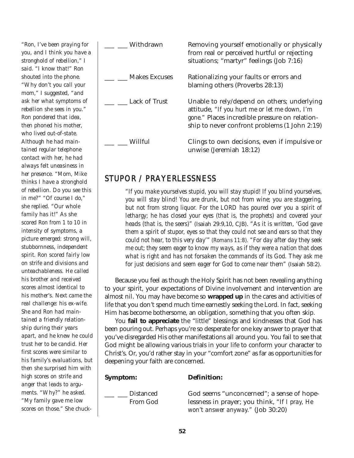*"Ron, I've been praying for you, and I think you have a stronghold of rebellion," I said. "I know that!" Ron shouted into the phone. "Why don't you call your mom," I suggested, "and ask her what symptoms of rebellion she sees in you." Ron pondered that idea, then phoned his mother, who lived out-of-state. Although he had maintained regular telephone contact with her, he had always felt uneasiness in her presence. "Mom, Mike thinks I have a stronghold of rebellion. Do you see this in me?" "Of course I do," she replied. "Our whole family has it!" As she scored Ron from 1 to 10 in intensity of symptoms, a picture emerged: strong will, stubbornness, independent spirit. Ron scored fairly low on strife and divisions and unteachableness. He called his brother and received scores almost identical to his mother's. Next came the real challenge: his ex-wife. She and Ron had maintained a friendly relationship during their years apart, and he knew he could trust her to be candid. Her first scores were similar to his family's evaluations, but then she surprised him with high scores on strife and anger that leads to arguments. "Why?" he asked. "My family gave me low scores on those." She chuck-*

| Withdrawn            | Removing yourself emotionally or physically<br>from real or perceived hurtful or rejecting<br>situations; "martyr" feelings (Job 7:16)                                                          |
|----------------------|-------------------------------------------------------------------------------------------------------------------------------------------------------------------------------------------------|
| <b>Makes Excuses</b> | Rationalizing your faults or errors and<br>blaming others (Proverbs 28:13)                                                                                                                      |
| <b>Lack of Trust</b> | Unable to rely/depend on others; underlying<br>attitude, "If you hurt me or let me down, I'm<br>gone." Places incredible pressure on relation-<br>ship to never confront problems (1 John 2:19) |
| Willful              | Clings to own decisions, even if impulsive or<br>unwise (Jeremiah 18:12)                                                                                                                        |

# STUPOR / PRAYERLESSNESS

*"If you make yourselves stupid, you will stay stupid! If you blind yourselves, you will stay blind! You are drunk, but not from wine; you are staggering, but not from strong liquor. For the LORD has poured over you a spirit of lethargy; he has closed your eyes (that is, the prophets) and covered your heads (that is, the seers)"* (Isaiah 29:9,10, CJB). *"As it is written, 'God gave them a spirit of stupor, eyes so that they could not see and ears so that they could not hear, to this very day'" (Romans 11:8). "For day after day they seek me out; they seem eager to know my ways, as if they were a nation that does what is right and has not forsaken the commands of its God. They ask me for just decisions and seem eager for God to come near them"* (Isaiah 58:2).

Because you feel as though the Holy Spirit has not been revealing anything to your spirit, your expectations of Divine involvement and intervention are almost nil. You may have become so **wrapped up** in the cares and activities of life that you don't spend much time earnestly seeking the Lord. In fact, seeking Him has become bothersome, an obligation, something that you often skip.

You **fail to appreciate** the "little" blessings and kindnesses that God has been pouring out. Perhaps you're so desperate for one key answer to prayer that you've disregarded His other manifestations all around you. You fail to see that God might be allowing various trials in your life to conform your character to Christ's. Or, you'd rather stay in your "comfort zone" as far as opportunities for deepening your faith are concerned.

#### **Symptom: Definition:**

Distanced God seems "unconcerned"; a sense of hope-From God lessness in prayer; you think, *"If I pray, He won't answer anyway."* (Job 30:20)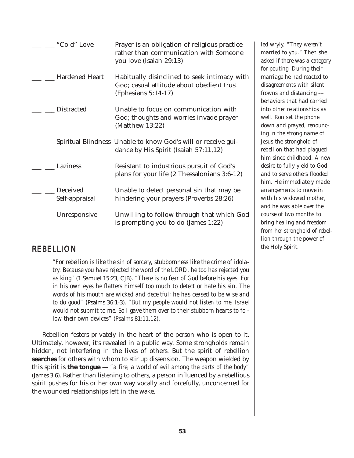| "Cold" Love                | Prayer is an obligation of religious practice<br>rather than communication with Someone<br>you love (Isaiah 29:13) |
|----------------------------|--------------------------------------------------------------------------------------------------------------------|
| <b>Hardened Heart</b>      | Habitually disinclined to seek intimacy with<br>God; casual attitude about obedient trust<br>$(Ephesians 5:14-17)$ |
| <b>Distracted</b>          | Unable to focus on communication with<br>God; thoughts and worries invade prayer<br>(Matthew 13:22)                |
|                            | Spiritual Blindness Unable to know God's will or receive gui-<br>dance by His Spirit (Isaiah 57:11,12)             |
| Laziness                   | Resistant to industrious pursuit of God's<br>plans for your life (2 Thessalonians 3:6-12)                          |
| Deceived<br>Self-appraisal | Unable to detect personal sin that may be<br>hindering your prayers (Proverbs 28:26)                               |
| Unresponsive               | Unwilling to follow through that which God<br>is prompting you to do (James 1:22)                                  |

#### *led wryly, "They weren't married to you." Then she asked if there was a category for pouting. During their marriage he had reacted to disagreements with silent frowns and distancing –– behaviors that had carried into other relationships as well. Ron set the phone down and prayed, renouncing in the strong name of Jesus the stronghold of rebellion that had plagued him since childhood. A new desire to fully yield to God and to serve others flooded him. He immediately made arrangements to move in with his widowed mother, and he was able over the course of two months to bring healing and freedom from her stronghold of rebellion through the power of the Holy Spirit.*

# REBELLION

*"For rebellion is like the sin of sorcery, stubbornness like the crime of idolatry. Because you have rejected the word of the LORD, he too has rejected you as king"* (1 Samuel 15:23, CJB). *"There is no fear of God before his eyes. For in his own eyes he flatters himself too much to detect or hate his sin. The words of his mouth are wicked and deceitful; he has ceased to be wise and to do good"* (Psalms 36:1-3). *"But my people would not listen to me; Israel would not submit to me. So I gave them over to their stubborn hearts to follow their own devices"* (Psalms 81:11,12).

Rebellion festers privately in the heart of the person who is open to it. Ultimately, however, it's revealed in a public way. Some strongholds remain hidden, not interfering in the lives of others. But the spirit of rebellion **searches** for others with whom to stir up dissension. The weapon wielded by this spirit is **the tongue** — *"a fire, a world of evil among the parts of the body"* (James 3:6). Rather than listening to others, a person influenced by a rebellious spirit pushes for his or her own way vocally and forcefully, unconcerned for the wounded relationships left in the wake.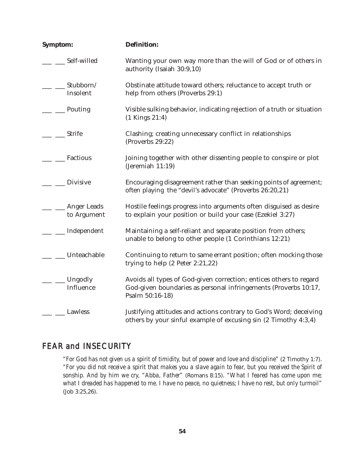| Symptom:                          | <b>Definition:</b>                                                                                                                                       |  |
|-----------------------------------|----------------------------------------------------------------------------------------------------------------------------------------------------------|--|
| Self-willed                       | Wanting your own way more than the will of God or of others in<br>authority (Isaiah 30:9,10)                                                             |  |
| Stubborn/<br>Insolent             | Obstinate attitude toward others; reluctance to accept truth or<br>help from others (Proverbs 29:1)                                                      |  |
| Pouting                           | Visible sulking behavior, indicating rejection of a truth or situation<br>$(1$ Kings $21:4)$                                                             |  |
| <b>Strife</b>                     | Clashing; creating unnecessary conflict in relationships<br>(Proverbs 29:22)                                                                             |  |
| Factious                          | Joining together with other dissenting people to conspire or plot<br>(Jeremiah $11:19$ )                                                                 |  |
| <b>Divisive</b>                   | Encouraging disagreement rather than seeking points of agreement;<br>often playing the "devil's advocate" (Proverbs 26:20,21)                            |  |
| <b>Anger Leads</b><br>to Argument | Hostile feelings progress into arguments often disguised as desire<br>to explain your position or build your case (Ezekiel 3:27)                         |  |
| Independent                       | Maintaining a self-reliant and separate position from others;<br>unable to belong to other people (1 Corinthians 12:21)                                  |  |
| Unteachable                       | Continuing to return to same errant position; often mocking those<br>trying to help $(2$ Peter $2:21,22)$                                                |  |
| Ungodly<br>Influence              | Avoids all types of God-given correction; entices others to regard<br>God-given boundaries as personal infringements (Proverbs 10:17,<br>Psalm 50:16-18) |  |
| Lawless                           | Justifying attitudes and actions contrary to God's Word; deceiving<br>others by your sinful example of excusing sin (2 Timothy 4:3,4)                    |  |

# FEAR and INSECURITY

*"For God has not given us a spirit of timidity, but of power and love and discipline"* (2 Timothy 1:7). *"For you did not receive a spirit that makes you a slave again to fear, but you received the Spirit of sonship. And by him we cry, "Abba, Father"* (Romans 8:15). *"What I feared has come upon me; what I dreaded has happened to me. I have no peace, no quietness; I have no rest, but only turmoil"* (Job 3:25,26).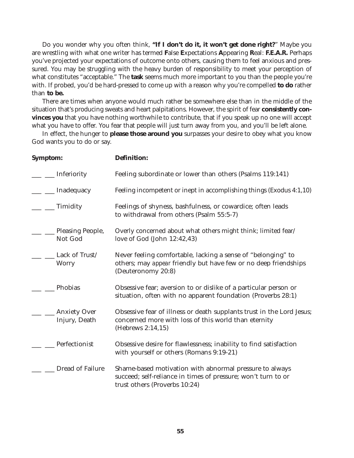Do you wonder why you often think, **"If I don't do it, it won't get done right?**" Maybe you are wrestling with what one writer has termed *F*alse *E*xpectations *A*ppearing *R*eal: **F.E.A.R.** Perhaps you've projected your expectations of outcome onto others, causing them to feel anxious and pressured. You may be struggling with the heavy burden of responsibility to meet your perception of what constitutes "acceptable." The **task** seems much more important to you than the people you're with. If probed, you'd be hard-pressed to come up with a reason why you're compelled **to do** rather than **to be.**

There are times when anyone would much rather be somewhere else than in the middle of the situation that's producing sweats and heart palpitations. However, the spirit of fear **consistently convinces you** that you have nothing worthwhile to contribute, that if you speak up no one will accept what you have to offer. You fear that people will just turn away from you, and you'll be left alone.

In effect, the hunger to **please those around you** surpasses your desire to obey what you know God wants you to do or say.

| Symptom:                             | <b>Definition:</b>                                                                                                                                        |  |
|--------------------------------------|-----------------------------------------------------------------------------------------------------------------------------------------------------------|--|
| Inferiority                          | Feeling subordinate or lower than others (Psalms 119:141)                                                                                                 |  |
| __ Inadequacy                        | Feeling incompetent or inept in accomplishing things (Exodus 4:1,10)                                                                                      |  |
| Timidity                             | Feelings of shyness, bashfulness, or cowardice; often leads<br>to withdrawal from others (Psalm 55:5-7)                                                   |  |
| <b>Pleasing People,</b><br>Not God   | Overly concerned about what others might think; limited fear/<br>love of God (John 12:42,43)                                                              |  |
| Lack of Trust/<br><b>Worry</b>       | Never feeling comfortable, lacking a sense of "belonging" to<br>others; may appear friendly but have few or no deep friendships<br>(Deuteronomy 20:8)     |  |
| Phobias                              | Obsessive fear; aversion to or dislike of a particular person or<br>situation, often with no apparent foundation (Proverbs 28:1)                          |  |
| <b>Anxiety Over</b><br>Injury, Death | Obsessive fear of illness or death supplants trust in the Lord Jesus;<br>concerned more with loss of this world than eternity<br>(Hebrews 2:14,15)        |  |
| Perfectionist                        | Obsessive desire for flawlessness; inability to find satisfaction<br>with yourself or others (Romans 9:19-21)                                             |  |
| Dread of Failure                     | Shame-based motivation with abnormal pressure to always<br>succeed; self-reliance in times of pressure; won't turn to or<br>trust others (Proverbs 10:24) |  |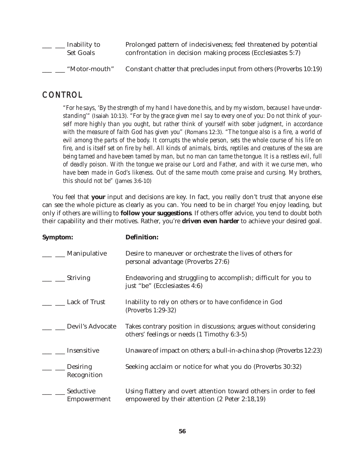| Inability to<br><b>Set Goals</b> | Prolonged pattern of indecisiveness; feel threatened by potential<br>confrontation in decision making process (Ecclesiastes 5:7) |
|----------------------------------|----------------------------------------------------------------------------------------------------------------------------------|
| "Motor-mouth"                    | Constant chatter that precludes input from others (Proverbs 10:19)                                                               |

# **CONTROL**

*"For he says, 'By the strength of my hand I have done this, and by my wisdom, because I have understanding'"* (Isaiah 10:13). *"For by the grace given me I say to every one of you: Do not think of yourself more highly than you ought, but rather think of yourself with sober judgment, in accordance with the measure of faith God has given you"* (Romans 12:3). *"The tongue also is a fire, a world of evil among the parts of the body. It corrupts the whole person, sets the whole course of his life on fire, and is itself set on fire by hell. All kinds of animals, birds, reptiles and creatures of the sea are being tamed and have been tamed by man, but no man can tame the tongue. It is a restless evil, full of deadly poison. With the tongue we praise our Lord and Father, and with it we curse men, who have been made in God's likeness. Out of the same mouth come praise and cursing. My brothers, this should not be"* (James 3:6-10)

You feel that **your** input and decisions are key. In fact, you really don't trust that anyone else can see the whole picture as clearly as you can. You need to be in charge! You enjoy leading, but only if others are willing to **follow your suggestions**. If others offer advice, you tend to doubt both their capability and their motives. Rather, you're **driven even harder** to achieve your desired goal.

| Symptom:                       | <b>Definition:</b>                                                                                                  |  |
|--------------------------------|---------------------------------------------------------------------------------------------------------------------|--|
| Manipulative                   | Desire to maneuver or orchestrate the lives of others for<br>personal advantage (Proverbs 27:6)                     |  |
| <b>Striving</b>                | Endeavoring and struggling to accomplish; difficult for you to<br>just "be" (Ecclesiastes 4:6)                      |  |
| Lack of Trust                  | Inability to rely on others or to have confidence in God<br>(Proverbs 1:29-32)                                      |  |
| Devil's Advocate               | Takes contrary position in discussions; argues without considering<br>others' feelings or needs (1 Timothy 6:3-5)   |  |
| Insensitive                    | Unaware of impact on others; a bull-in-a-china shop (Proverbs 12:23)                                                |  |
| <b>Desiring</b><br>Recognition | Seeking acclaim or notice for what you do (Proverbs 30:32)                                                          |  |
| Seductive<br>Empowerment       | Using flattery and overt attention toward others in order to feel<br>empowered by their attention (2 Peter 2:18,19) |  |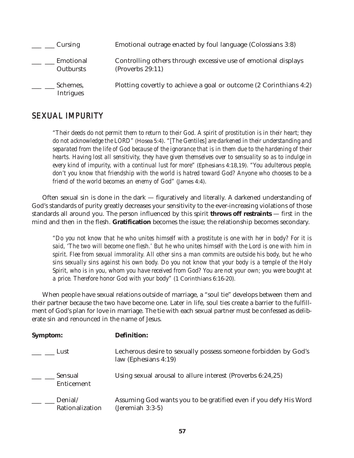| Cursing                       | Emotional outrage enacted by foul language (Colossians 3:8)                        |
|-------------------------------|------------------------------------------------------------------------------------|
| Emotional<br><b>Outbursts</b> | Controlling others through excessive use of emotional displays<br>(Proverbs 29:11) |
| Schemes,<br><b>Intrigues</b>  | Plotting covertly to achieve a goal or outcome (2 Corinthians 4:2)                 |

# SEXUAL IMPURITY

*"Their deeds do not permit them to return to their God. A spirit of prostitution is in their heart; they do not acknowledge the LORD"* (Hosea 5:4). *"[The Gentiles] are darkened in their understanding and separated from the life of God because of the ignorance that is in them due to the hardening of their hearts. Having lost all sensitivity, they have given themselves over to sensuality so as to indulge in every kind of impurity, with a continual lust for more"* (Ephesians 4:18,19). *"You adulterous people, don't you know that friendship with the world is hatred toward God? Anyone who chooses to be a friend of the world becomes an enemy of God"* (James 4:4).

Often sexual sin is done in the dark — figuratively and literally. A darkened understanding of God's standards of purity greatly decreases your sensitivity to the ever-increasing violations of those standards all around you. The person influenced by this spirit **throws off restraints** — first in the mind and then in the flesh. **Gratification** becomes the issue; the relationship becomes secondary.

*"Do you not know that he who unites himself with a prostitute is one with her in body? For it is said, 'The two will become one flesh.' But he who unites himself with the Lord is one with him in spirit. Flee from sexual immorality. All other sins a man commits are outside his body, but he who sins sexually sins against his own body. Do you not know that your body is a temple of the Holy Spirit, who is in you, whom you have received from God? You are not your own; you were bought at a price. Therefore honor God with your body"* (1 Corinthians 6:16-20).

When people have sexual relations outside of marriage, a "soul tie" develops between them and their partner because the two have become one. Later in life, soul ties create a barrier to the fulfillment of God's plan for love in marriage. The tie with each sexual partner must be confessed as deliberate sin and renounced in the name of Jesus.

| <b>Symptom:</b>              | <b>Definition:</b>                                                                      |
|------------------------------|-----------------------------------------------------------------------------------------|
| Lust                         | Lecherous desire to sexually possess someone forbidden by God's<br>law (Ephesians 4:19) |
| Sensual<br><b>Enticement</b> | Using sexual arousal to allure interest (Proverbs 6:24,25)                              |
| Denial/<br>Rationalization   | Assuming God wants you to be gratified even if you defy His Word<br>$(Jeremiah 3:3-5)$  |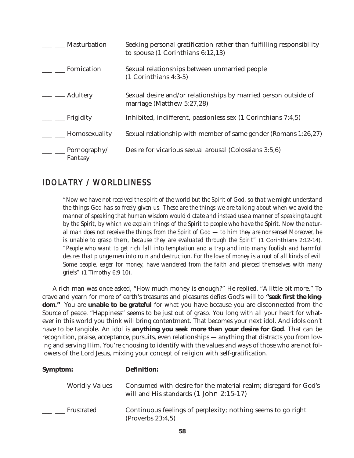| <b>Masturbation</b>                          | Seeking personal gratification rather than fulfilling responsibility<br>to spouse $(1$ Corinthians $6:12,13$ |
|----------------------------------------------|--------------------------------------------------------------------------------------------------------------|
| Fornication                                  | Sexual relationships between unmarried people<br>$(1$ Corinthians 4:3-5)                                     |
| — Adultery                                   | Sexual desire and/or relationships by married person outside of<br>marriage (Matthew 5:27,28)                |
| $\frac{1}{\sqrt{1-\frac{1}{2}}}$ Frigidity   | Inhibited, indifferent, passionless sex (1 Corinthians 7:4,5)                                                |
| Homosexuality                                | Sexual relationship with member of same gender (Romans 1:26,27)                                              |
| $\frac{1}{\sqrt{2}}$ Pornography/<br>Fantasy | Desire for vicarious sexual arousal (Colossians 3:5,6)                                                       |

# IDOLATRY / WORLDLINESS

*"Now we have not received the spirit of the world but the Spirit of God, so that we might understand the things God has so freely given us. These are the things we are talking about when we avoid the manner of speaking that human wisdom would dictate and instead use a manner of speaking taught by the Spirit, by which we explain things of the Spirit to people who have the Spirit. Now the natural man does not receive the things from the Spirit of God — to him they are nonsense! Moreover, he is unable to grasp them, because they are evaluated through the Spirit"* (1 Corinthians 2:12-14). *"People who want to get rich fall into temptation and a trap and into many foolish and harmful desires that plunge men into ruin and destruction. For the love of money is a root of all kinds of evil. Some people, eager for money, have wandered from the faith and pierced themselves with many griefs"* (1 Timothy 6:9-10).

A rich man was once asked, "How much money is enough?" He replied, "A little bit more." To crave and yearn for more of earth's treasures and pleasures defies God's will to *"seek first the kingdom."* You are **unable to be grateful** for what you have because you are disconnected from the Source of peace. "Happiness" seems to be just out of grasp. You long with all your heart for whatever in this world you think will bring contentment. That becomes your next idol. And idols don't have to be tangible. An idol is **anything you seek more than your desire for God**. That can be recognition, praise, acceptance, pursuits, even relationships — anything that distracts you from loving and serving Him. You're choosing to identify with the values and ways of those who are not followers of the Lord Jesus, mixing your concept of religion with self-gratification.

| <b>Symptom:</b>                                                                                                               | <b>Definition:</b>                                                                                          |  |
|-------------------------------------------------------------------------------------------------------------------------------|-------------------------------------------------------------------------------------------------------------|--|
| <b>Worldly Values</b><br>$\frac{1}{2} \left( \frac{1}{2} \right)^2 \left( \frac{1}{2} \right)^2 \left( \frac{1}{2} \right)^2$ | Consumed with desire for the material realm; disregard for God's<br>will and His standards (1 John 2:15-17) |  |
| Frustrated                                                                                                                    | Continuous feelings of perplexity; nothing seems to go right<br>(Proverbs 23:4,5)                           |  |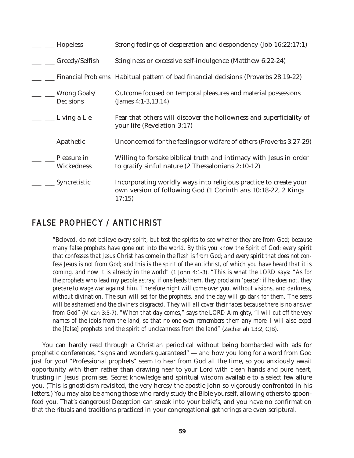| Hopeless                         | Strong feelings of desperation and despondency (Job 16:22;17:1)                                                                             |
|----------------------------------|---------------------------------------------------------------------------------------------------------------------------------------------|
| Greedy/Selfish                   | Stinginess or excessive self-indulgence (Matthew 6:22-24)                                                                                   |
|                                  | Financial Problems Habitual pattern of bad financial decisions (Proverbs 28:19-22)                                                          |
| Wrong Goals/<br><b>Decisions</b> | Outcome focused on temporal pleasures and material possessions<br>(James $4:1-3,13,14$ )                                                    |
| Living a Lie                     | Fear that others will discover the hollowness and superficiality of<br>your life (Revelation 3:17)                                          |
| Apathetic                        | Unconcerned for the feelings or welfare of others (Proverbs 3:27-29)                                                                        |
| Pleasure in<br>Wickedness        | Willing to forsake biblical truth and intimacy with Jesus in order<br>to gratify sinful nature $(2$ Thessalonians $2:10-12$ )               |
| Syncretistic                     | Incorporating worldly ways into religious practice to create your<br>own version of following God (1 Corinthians 10:18-22, 2 Kings<br>17:15 |

# FALSE PROPHECY / ANTICHRIST

*"Beloved, do not believe every spirit, but test the spirits to see whether they are from God; because many false prophets have gone out into the world. By this you know the Spirit of God: every spirit that confesses that Jesus Christ has come in the flesh is from God; and every spirit that does not confess Jesus is not from God; and this is the spirit of the antichrist, of which you have heard that it is coming, and now it is already in the world"* (1 John 4:1-3). *"This is what the LORD says: "As for the prophets who lead my people astray, if one feeds them, they proclaim 'peace'; if he does not, they prepare to wage war against him. Therefore night will come over you, without visions, and darkness, without divination. The sun will set for the prophets, and the day will go dark for them. The seers will be ashamed and the diviners disgraced. They will all cover their faces because there is no answer from God"* (Micah 3:5-7). *"When that day comes," says the LORD Almighty, "I will cut off the very names of the idols from the land, so that no one even remembers them any more. I will also expel the [false] prophets and the spirit of uncleanness from the land"* (Zechariah 13:2, CJB).

You can hardly read through a Christian periodical without being bombarded with ads for prophetic conferences, "signs and wonders guaranteed" — and how you long for a word from God just for you! "Professional prophets" seem to hear from God all the time, so you anxiously await opportunity with them rather than drawing near to your Lord with clean hands and pure heart, trusting in Jesus' promises. Secret knowledge and spiritual wisdom available to a select few allure you. (This is gnosticism revisited, the very heresy the apostle John so vigorously confronted in his letters.) You may also be among those who rarely study the Bible yourself, allowing others to spoonfeed you. That's dangerous! Deception can sneak into your beliefs, and you have no confirmation that the rituals and traditions practiced in your congregational gatherings are even scriptural.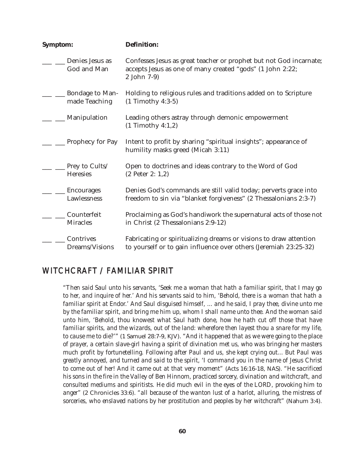| Symptom:                          |                                  | <b>Definition:</b>                                                                                                                             |  |
|-----------------------------------|----------------------------------|------------------------------------------------------------------------------------------------------------------------------------------------|--|
|                                   | Denies Jesus as<br>God and Man   | Confesses Jesus as great teacher or prophet but not God incarnate;<br>accepts Jesus as one of many created "gods" (1 John 2:22;<br>2 John 7-9) |  |
|                                   | Bondage to Man-<br>made Teaching | Holding to religious rules and traditions added on to Scripture<br>$(1$ Timothy 4:3-5)                                                         |  |
| Manipulation                      |                                  | Leading others astray through demonic empowerment<br>$(1$ Timothy $4:1,2)$                                                                     |  |
|                                   | Prophecy for Pay                 | Intent to profit by sharing "spiritual insights"; appearance of<br>humility masks greed (Micah 3:11)                                           |  |
| Prey to Cults/<br><b>Heresies</b> |                                  | Open to doctrines and ideas contrary to the Word of God<br>$(2$ Peter 2: 1,2)                                                                  |  |
| <b>Encourages</b><br>Lawlessness  |                                  | Denies God's commands are still valid today; perverts grace into<br>freedom to sin via "blanket forgiveness" (2 Thessalonians 2:3-7)           |  |
| Counterfeit<br><b>Miracles</b>    |                                  | Proclaiming as God's handiwork the supernatural acts of those not<br>in Christ (2 Thessalonians 2:9-12)                                        |  |
| Contrives                         | Dreams/Visions                   | Fabricating or spiritualizing dreams or visions to draw attention<br>to yourself or to gain influence over others (Jeremiah 23:25-32)          |  |

# WITCHCRAFT / FAMILIAR SPIRIT

*"Then said Saul unto his servants, 'Seek me a woman that hath a familiar spirit, that I may go to her, and inquire of her.' And his servants said to him, 'Behold, there is a woman that hath a familiar spirit at Endor.' And Saul disguised himself, ... and he said, I pray thee, divine unto me by the familiar spirit, and bring me him up, whom I shall name unto thee. And the woman said unto him, 'Behold, thou knowest what Saul hath done, how he hath cut off those that have familiar spirits, and the wizards, out of the land: wherefore then layest thou a snare for my life, to cause me to die?'"* (1 Samuel 28:7-9, KJV). *"And it happened that as we were going to the place of prayer, a certain slave-girl having a spirit of divination met us, who was bringing her masters much profit by fortunetelling. Following after Paul and us, she kept crying out... But Paul was greatly annoyed, and turned and said to the spirit, 'I command you in the name of Jesus Christ to come out of her! And it came out at that very moment"* (Acts 16:16-18, NAS). *"He sacrificed his sons in the fire in the Valley of Ben Hinnom, practiced sorcery, divination and witchcraft, and consulted mediums and spiritists. He did much evil in the eyes of the LORD, provoking him to anger"* (2 Chronicles 33:6). *"all because of the wanton lust of a harlot, alluring, the mistress of sorceries, who enslaved nations by her prostitution and peoples by her witchcraft"* (Nahum 3:4).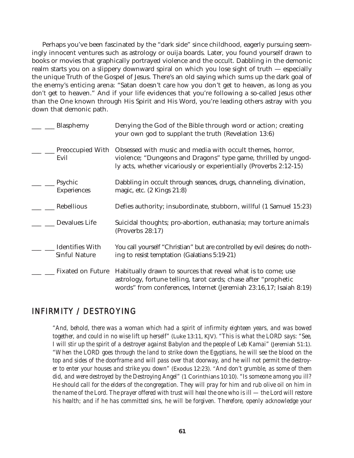Perhaps you've been fascinated by the "dark side" since childhood, eagerly pursuing seemingly innocent ventures such as astrology or ouija boards. Later, you found yourself drawn to books or movies that graphically portrayed violence and the occult. Dabbling in the demonic realm starts you on a slippery downward spiral on which you lose sight of truth — especially the unique Truth of the Gospel of Jesus. There's an old saying which sums up the dark goal of the enemy's enticing arena: "Satan doesn't care *how* you don't get to heaven, as long as you don't get to heaven." And if your life evidences that you're following a so-called Jesus other than the One known through His Spirit and His Word, you're leading others astray with you down that demonic path.

| Blasphemy                                      | Denying the God of the Bible through word or action; creating<br>your own god to supplant the truth (Revelation 13:6)                                                                                 |
|------------------------------------------------|-------------------------------------------------------------------------------------------------------------------------------------------------------------------------------------------------------|
| Preoccupied With<br>Evil                       | Obsessed with music and media with occult themes, horror,<br>violence; "Dungeons and Dragons" type game, thrilled by ungod-<br>ly acts, whether vicariously or experientially (Proverbs 2:12-15)      |
| Psychic<br><b>Experiences</b>                  | Dabbling in occult through seances, drugs, channeling, divination,<br>magic, etc. (2 Kings 21:8)                                                                                                      |
| Rebellious                                     | Defies authority; insubordinate, stubborn, willful (1 Samuel 15:23)                                                                                                                                   |
| <b>Devalues Life</b>                           | Suicidal thoughts; pro-abortion, euthanasia; may torture animals<br>(Proverbs $28:17$ )                                                                                                               |
| <b>Identifies With</b><br><b>Sinful Nature</b> | You call yourself "Christian" but are controlled by evil desires; do noth-<br>ing to resist temptation (Galatians 5:19-21)                                                                            |
| <b>Fixated on Future</b>                       | Habitually drawn to sources that reveal what is to come; use<br>astrology, fortune telling, tarot cards; chase after "prophetic<br>words" from conferences, Internet (Jeremiah 23:16,17; Isaiah 8:19) |

## INFIRMITY / DESTROYING

*"And, behold, there was a woman which had a spirit of infirmity eighteen years, and was bowed together, and could in no wise lift up herself"* (Luke 13:11, KJV). *"This is what the LORD says: "See, I will stir up the spirit of a destroyer against Babylon and the people of Leb Kamai"* (Jeremiah 51:1). *"When the LORD goes through the land to strike down the Egyptians, he will see the blood on the top and sides of the doorframe and will pass over that doorway, and he will not permit the destroyer to enter your houses and strike you down"* (Exodus 12:23). *"And don't grumble, as some of them did, and were destroyed by the Destroying Angel"* (1 Corinthians 10:10). *"Is someone among you ill? He should call for the elders of the congregation. They will pray for him and rub olive oil on him in the name of the Lord. The prayer offered with trust will heal the one who is ill — the Lord will restore his health; and if he has committed sins, he will be forgiven. Therefore, openly acknowledge your*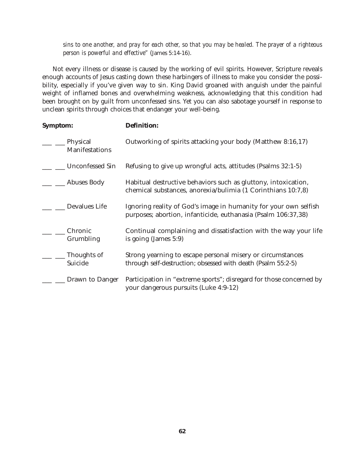*sins to one another, and pray for each other, so that you may be healed. The prayer of a righteous person is powerful and effective"* (James 5:14-16).

Not every illness or disease is caused by the working of evil spirits. However, Scripture reveals enough accounts of Jesus casting down these harbingers of illness to make you consider the possibility, especially if you've given way to sin. King David groaned with anguish under the painful weight of inflamed bones and overwhelming weakness, acknowledging that this condition had been brought on by guilt from unconfessed sins. Yet you can also sabotage yourself in response to unclean spirits through choices that endanger your well-being.

| Symptom:               |                        | <b>Definition:</b>                                                                                                                |  |
|------------------------|------------------------|-----------------------------------------------------------------------------------------------------------------------------------|--|
| Physical               | <b>Manifestations</b>  | Outworking of spirits attacking your body (Matthew 8:16,17)                                                                       |  |
|                        | <b>Unconfessed Sin</b> | Refusing to give up wrongful acts, attitudes (Psalms 32:1-5)                                                                      |  |
| <b>Abuses Body</b>     |                        | Habitual destructive behaviors such as gluttony, intoxication,<br>chemical substances, anorexia/bulimia (1 Corinthians 10:7,8)    |  |
| <b>Devalues Life</b>   |                        | Ignoring reality of God's image in humanity for your own selfish<br>purposes; abortion, infanticide, euthanasia (Psalm 106:37,38) |  |
| Chronic<br>Grumbling   |                        | Continual complaining and dissatisfaction with the way your life<br>is going $(James 5:9)$                                        |  |
| Thoughts of<br>Suicide |                        | Strong yearning to escape personal misery or circumstances<br>through self-destruction; obsessed with death (Psalm 55:2-5)        |  |
|                        | Drawn to Danger        | Participation in "extreme sports"; disregard for those concerned by<br>your dangerous pursuits (Luke 4:9-12)                      |  |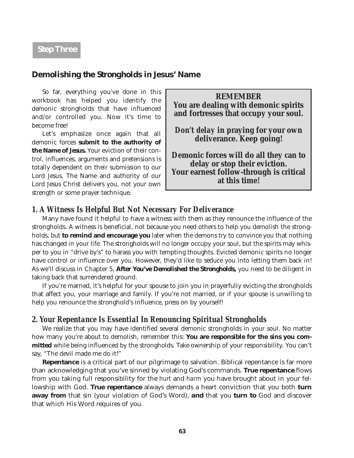# **Step Three**

#### **Demolishing the Strongholds in Jesus' Name**

So far, everything you've done in this workbook has helped you identify the demonic strongholds that have influenced and/or controlled you. Now it's time to become free!

Let's emphasize once again that all demonic forces **submit to the authority of the Name of Jesus.** Your eviction of their control, influences, arguments and pretensions is totally dependent on their submission to our Lord Jesus. The Name and authority of our Lord Jesus Christ delivers you, not your own strength or some prayer technique.

# **REMEMBER You are dealing with demonic spirits and fortresses that occupy your soul.**

*Don't delay* **in praying for your own deliverance. Keep going!** 

**Demonic forces will do all they can to delay or stop their eviction. Your earnest follow-through is critical at this time!**

#### *1. A Witness Is Helpful But Not Necessary For Deliverance*

Many have found it helpful to have a witness with them as they renounce the influence of the strongholds. A witness is beneficial, not because you need others to help you demolish the strongholds, but **to remind and encourage you** later when the demons try to convince you that nothing has changed in your life. The strongholds will no longer occupy your soul, but the spirits may whisper to you in "drive by's" to harass you with tempting thoughts. Evicted demonic spirits no longer have control or influence over you. However, they'd like to seduce you into letting them back in! As we'll discuss in Chapter 5, *After You've Demolished the Strongholds,* you need to be diligent in taking back that surrendered ground.

If you're married, it's helpful for your spouse to join you in prayerfully evicting the strongholds that affect you, your marriage and family. If you're not married, or if your spouse is unwilling to help you renounce the stronghold's influence, press on by yourself!

#### *2. Your Repentance Is Essential In Renouncing Spiritual Strongholds*

We realize that you may have identified several demonic strongholds in your soul. No matter how many you're about to demolish, remember this: **You are responsible for the sins you committed** while being influenced by the strongholds. Take ownership of your responsibility. You can't say, "The devil made me do it!"

**Repentance** is a critical part of our pilgrimage to salvation. Biblical repentance is far more than acknowledging that you've sinned by violating God's commands. **True repentance** flows from you taking full responsibility for the *hurt* and *harm* you have brought about in your fellowship with God. **True repentance** always demands a heart conviction that you both **turn away from** that sin (your violation of God's Word), *and* that you **turn to** God and discover that which His Word requires of you.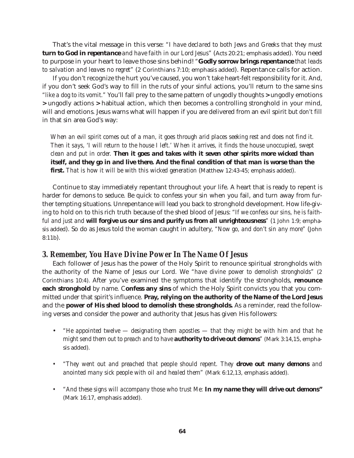That's the vital message in this verse: *"I have declared to both Jews and Greeks that they must turn to God in repentance and have faith in our Lord Jesus"* (Acts 20:21; emphasis added). You need to purpose in your heart to leave those sins behind! *"Godly sorrow brings repentance that leads to salvation and leaves no regret"* (2 Corinthians 7:10; emphasis added). Repentance calls for action.

If you don't recognize the hurt you've caused, you won't take heart-felt responsibility for it. And, if you don't seek God's way to fill in the ruts of your sinful actions, you'll return to the same sins *"like a dog to its vomit."* You'll fall prey to the same pattern of ungodly thoughts **>** ungodly emotions **>** ungodly actions **>** habitual action, which then becomes a controlling stronghold in your mind, will and emotions. Jesus warns what will happen if you are delivered from an evil spirit but *don't* fill in that sin area God's way:

*When an evil spirit comes out of a man, it goes through arid places seeking rest and does not find it. Then it says, 'I will return to the house I left.' When it arrives, it finds the house unoccupied, swept clean and put in order. Then it goes and takes with it seven other spirits more wicked than itself, and they go in and live there. And the final condition of that man is worse than the first. That is how it will be with this wicked generation* (Matthew 12:43-45; emphasis added).

Continue to stay immediately repentant throughout your life. A heart that is ready to repent is harder for demons to seduce. Be quick to confess your sin when you fail, and turn away from further tempting situations. Unrepentance will lead you back to stronghold development. How life-giving to hold on to this rich truth because of the shed blood of Jesus: *"If we confess our sins, he is faithful and just and will forgive us our sins and purify us from all unrighteousness"* (1 John 1:9; emphasis added). So do as Jesus told the woman caught in adultery, *"Now go, and don't sin any more"* (John 8:11b).

#### *3. Remember, You Have Divine Power In The Name Of Jesus*

Each follower of Jesus has the power of the Holy Spirit to renounce spiritual strongholds with the authority of the Name of Jesus our Lord. We *"have divine power to demolish strongholds"* (2 Corinthians 10:4). After you've examined the symptoms that identify the strongholds, **renounce each stronghold** by name. C**onfess any sins** of which the Holy Spirit convicts you that you committed under that spirit's influence. **Pray, relying on the authority of the Name of the Lord Jesus** and the **power of His shed blood to demolish these strongholds.** As a reminder, read the following verses and consider the power and authority that Jesus has given His followers:

- *"He appointed twelve designating them apostles that they might be with him and that he might send them out to preach and to have authority to drive out demons"* (Mark 3:14,15, emphasis added).
- *• "They went out and preached that people should repent. They drove out many demons and anointed many sick people with oil and healed them"* (Mark 6:12,13, emphasis added).
- *• "And these signs will accompany those who trust Me: In my name they will drive out demons"* (Mark 16:17, emphasis added).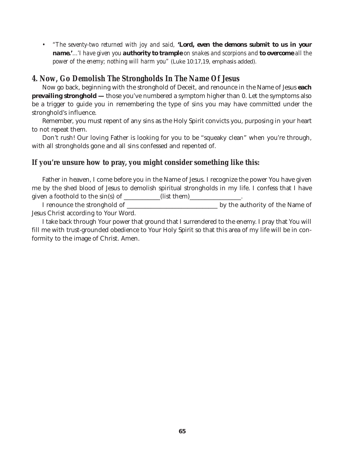*• "The seventy-two returned with joy and said, 'Lord, even the demons submit to us in your name.'...'I have given you authority to trample on snakes and scorpions and to overcome all the power of the enemy; nothing will harm you"* (Luke 10:17,19, emphasis added).

#### *4. Now, Go Demolish The Strongholds In The Name Of Jesus*

Now go back, beginning with the stronghold of Deceit, and renounce in the Name of Jesus **each prevailing stronghold —** those you've numbered a symptom higher than 0. Let the symptoms also be a trigger to guide you in remembering the type of sins you may have committed under the stronghold's influence.

Remember, you must repent of any sins as the Holy Spirit convicts you, purposing in your heart to not repeat them.

Don't rush! Our loving Father is looking for you to be "squeaky clean" when you're through, with all strongholds gone and all sins confessed and repented of.

**If you're unsure how to pray, you might consider something like this:**

Father in heaven, I come before you in the Name of Jesus. I recognize the power You have given me by the shed blood of Jesus to demolish spiritual strongholds in my life. I confess that I have given a foothold to the sin(s) of \_\_\_\_\_\_\_\_\_\_\_(list them)\_

I renounce the stronghold of \_\_\_\_\_\_\_\_\_\_\_\_\_\_\_\_\_\_\_\_\_\_\_\_\_\_\_\_\_\_ by the authority of the Name of Jesus Christ according to Your Word.

I take back through Your power that ground that I surrendered to the enemy. I pray that You will fill me with trust-grounded obedience to Your Holy Spirit so that this area of my life will be in conformity to the image of Christ. Amen.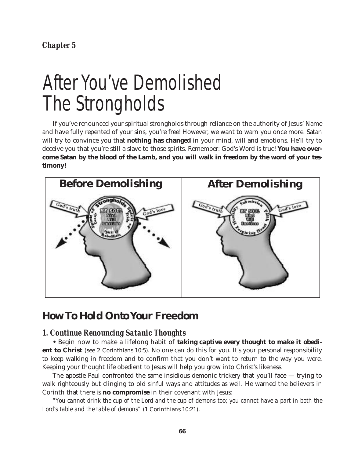*Chapter 5*

# *After You've Demolished The Strongholds*

If you've renounced your spiritual strongholds through reliance on the authority of Jesus' Name and have fully repented of your sins, you're free! However, we want to warn you once more. Satan will try to convince you that **nothing has changed** in your mind, will and emotions. He'll try to deceive you that you're still a slave to those spirits. Remember: God's Word is true! **You have overcome Satan by the blood of the Lamb, and you will walk in freedom by the word of your testimony!**



## **How To Hold Onto Your Freedom**

### *1. Continue Renouncing Satanic Thoughts*

**•** Begin now to make a lifelong habit of *taking captive every thought to make it obedient to Christ* (see 2 Corinthians 10:5). No one can do this for you. It's your personal responsibility to keep walking in freedom and to confirm that you don't want to return to the way you were. Keeping your thought life obedient to Jesus will help you grow into Christ's likeness.

The apostle Paul confronted the same insidious demonic trickery that you'll face — trying to walk righteously but clinging to old sinful ways and attitudes as well. He warned the believers in Corinth that there is **no compromise** in their covenant with Jesus:

*"You cannot drink the cup of the Lord and the cup of demons too; you cannot have a part in both the Lord's table and the table of demons"* (1 Corinthians 10:21).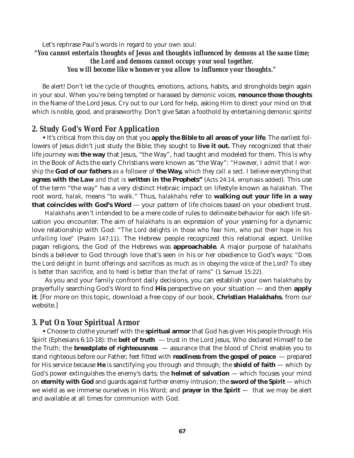Let's rephrase Paul's words in regard to your own soul: *"You cannot entertain thoughts of Jesus and thoughts influenced by demons at the same time; the Lord and demons cannot occupy your soul together. You will become like whomever you allow to influence your thoughts."*

Be alert! Don't let the cycle of thoughts, emotions, actions, habits, and strongholds begin again in your soul. When you're being tempted or harassed by demonic voices, **renounce those thoughts** in the Name of the Lord Jesus. Cry out to our Lord for help, asking Him to direct your mind on that which is noble, good, and praiseworthy. Don't give Satan a foothold by entertaining demonic spirits!

#### *2. Study God's Word For Application*

**•** It's critical from this day on that you **apply the Bible to all areas of your life**. The earliest followers of Jesus didn't just study the Bible; they sought to **live it out.** They recognized that their life journey was **the way** that Jesus, "the Way", had taught and modeled for them. This is why in the Book of Acts the early Christians were known as "the Way": *"However, I admit that I worship the God of our fathers as a follower of the Way, which they call a sect. I believe everything that agrees with the Law and that is written in the Prophets"* (Acts 24:14, emphasis added). This use of the term "the way" has a very distinct Hebraic impact on lifestyle known as *halakhah.* The root word, *halak,* means "to walk." Thus, *halakhahs* refer to **walking out your life in a** *way* **that coincides with God's Word** — your pattern of life choices based on your obedient trust.

*Halakhahs* aren't intended to be a mere code of rules to delineate behavior for each life situation you encounter. The aim of *halakhahs* is an expression of your yearning for a dynamic love relationship with God: *"The Lord delights in those who fear him, who put their hope in his unfailing love"* (Psalm 147:11). The Hebrew people recognized this relational aspect. Unlike pagan religions, the God of the Hebrews was **approachable**. A major purpose of *halakhahs* binds a believer to God through love that's seen in his or her obedience to God's ways: *"Does the Lord delight in burnt offerings and sacrifices as much as in obeying the voice of the Lord? To obey is better than sacrifice, and to heed is better than the fat of rams"* (1 Samuel 15:22).

As you and your family confront daily decisions, you can establish your own *halakhahs* by prayerfully searching God's Word to find **His** perspective on your situation — and then **apply it**. [For more on this topic, download a free copy of our book, *Christian Halakhahs,* from our website.]

#### *3. Put On Your Spiritual Armor*

**•** Choose to clothe yourself with the **spiritual armor** that God has given His people through His Spirit (Ephesians 6:10-18): the **belt of truth** — trust in the Lord Jesus, Who declared Himself to be the Truth; the **breastplate of righteousness** — assurance that the blood of Christ enables you to stand righteous before our Father; feet fitted with **readiness from the gospel of peace** — prepared for His service because **He** is sanctifying you through and through; the **shield of faith** — which by God's power extinguishes the enemy's darts; the **helmet of salvation** — which focuses your mind on **eternity with God** and guards against further enemy intrusion; the **sword of the Spirit** — which we wield as we immerse ourselves in His Word; and **prayer in the Spirit** — that we may be alert and available at all times for communion with God.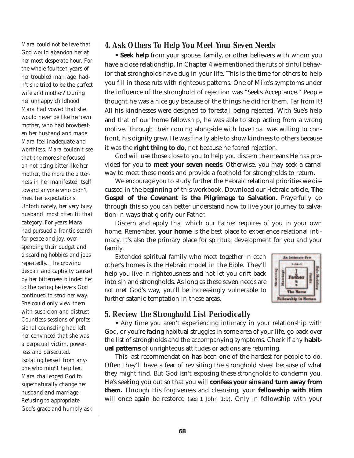*Mara could not believe that God would abandon her at her most desperate hour. For the whole fourteen years of her troubled marriage, hadn't she tried to be the perfect wife and mother? During her unhappy childhood Mara had vowed that she would never be like her own mother, who had browbeaten her husband and made Mara feel inadequate and worthless. Mara couldn't see that the more she focused on not being bitter like her mother, the more the bitterness in her manifested itself toward anyone who didn't meet her expectations. Unfortunately, her very busy husband most often fit that category. For years Mara had pursued a frantic search for peace and joy, overspending their budget and discarding hobbies and jobs repeatedly. The growing despair and captivity caused by her bitterness blinded her to the caring believers God continued to send her way. She could only view them with suspicion and distrust. Countless sessions of professional counseling had left her convinced that she was a perpetual victim, powerless and persecuted. Isolating herself from anyone who might help her, Mara challenged God to supernaturally change her husband and marriage. Refusing to appropriate God's grace and humbly ask*

### *4. Ask Others To Help You Meet Your Seven Needs*

**• Seek help** from your spouse, family, or other believers with whom you have a close relationship. In Chapter 4 we mentioned the ruts of sinful behavior that strongholds have dug in your life. This is the time for others to help you fill in those ruts with righteous patterns. One of Mike's symptoms under the influence of the stronghold of rejection was "Seeks Acceptance." People thought he was a nice guy because of the things he did for them. Far from it! All his kindnesses were designed to forestall being rejected. With Sue's help and that of our home fellowship, he was able to stop acting from a wrong motive. Through their coming alongside with love that was willing to confront, his dignity grew. He was finally able to show kindness to others because it was the **right thing to do,** not because he feared rejection.

God will use those close to you to help you discern the means He has provided for you to **meet your seven needs**. Otherwise, you may seek a carnal way to meet these needs and provide a foothold for strongholds to return.

We encourage you to study further the Hebraic relational priorities we discussed in the beginning of this workbook. Download our Hebraic article, *The Gospel of the Covenant is the Pilgrimage to Salvation.* Prayerfully go through this so you can better understand how to live your journey to salvation in ways that glorify our Father.

Discern and apply that which our Father requires of you in your own home. Remember, **your home** is the best place to experience relational intimacy. It's also the primary place for spiritual development for you and your family.

Extended spiritual family who meet together in each other's homes is the Hebraic model in the Bible. They'll help you live in righteousness and not let you drift back into sin and strongholds. As long as these seven needs are *not* met God's way, you'll be increasingly vulnerable to further satanic temptation in these areas.



### *5. Review the Stronghold List Periodically*

**•** Any time you aren't experiencing intimacy in your relationship with God, or you're facing habitual struggles in some area of your life, go back over the list of strongholds and the accompanying symptoms. Check if any **habitual patterns** of unrighteous attitudes or actions are returning.

This last recommendation has been one of the hardest for people to do. Often they'll have a fear of revisiting the stronghold sheet because of what they might find. But God isn't exposing these strongholds to condemn you. He's seeking you out so that you will **confess your sins and turn away from them.** Through His forgiveness and cleansing, your **fellowship with Him** will once again be restored (see 1 John 1:9). Only in fellowship with your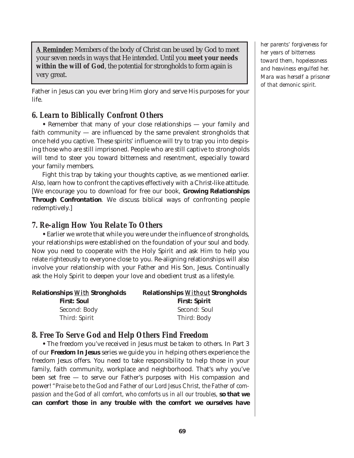**A Reminder:** Members of the body of Christ can be used by God to meet your seven needs in ways that He intended. Until you **meet your needs within the will of God**, the potential for strongholds to form again is very great.

Father in Jesus can you ever bring Him glory and serve His purposes for your life.

### *6. Learn to Biblically Confront Others*

• Remember that many of your close relationships — your family and faith community — are influenced by the same prevalent strongholds that once held you captive. These spirits' influence will try to trap you into despising those who are still imprisoned. People who are still captive to strongholds will tend to steer you toward bitterness and resentment, especially toward your family members.

Fight this trap by taking your thoughts captive, as we mentioned earlier. Also, learn how to confront the captives effectively with a Christ-like attitude. [We encourage you to download for free our book, *Growing Relationships Through Confrontation.* We discuss biblical ways of confronting people redemptively.]

### *7. Re-align How You Relate To Others*

**•** Earlier we wrote that while you were under the influence of strongholds, your relationships were established on the foundation of your soul and body. Now you need to cooperate with the Holy Spirit and ask Him to help you relate righteously to everyone close to you. Re-aligning relationships will also involve your relationship with your Father and His Son, Jesus. Continually ask the Holy Spirit to deepen your love and obedient trust as a lifestyle.

| Relationships With Strongholds | Relationships <b>Without</b> Strongholds |
|--------------------------------|------------------------------------------|
| <b>First: Soul</b>             | <b>First: Spirit</b>                     |
| Second: Body                   | Second: Soul                             |
| Third: Spirit                  | Third: Body                              |

### *8. Free To Serve God and Help Others Find Freedom*

**•** The freedom you've received in Jesus must be taken to others. In Part 3 of our *Freedom In Jesus* series we guide you in helping others experience the freedom Jesus offers. You need to take responsibility to help those in your family, faith community, workplace and neighborhood. That's why you've been set free — to serve our Father's purposes with His compassion and power! *"Praise be to the God and Father of our Lord Jesus Christ, the Father of compassion and the God of all comfort, who comforts us in all our troubles, so that we can comfort those in any trouble with the comfort we ourselves have* *her parents' forgiveness for her years of bitterness toward them, hopelessness and heaviness engulfed her. Mara was herself a prisoner of that demonic spirit.*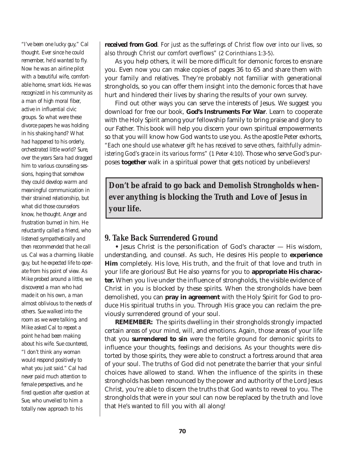*"I've been one lucky guy," Cal thought. Ever since he could remember, he'd wanted to fly. Now he was an airline pilot with a beautiful wife, comfortable home, smart kids. He was recognized in his community as a man of high moral fiber, active in influential civic groups. So what were these divorce papers he was holding in his shaking hand? What had happened to his orderly, orchestrated little world? Sure, over the years Sara had dragged him to various counseling sessions, hoping that somehow they could develop warm and meaningful communication in their strained relationship, but what did those counselors know, he thought. Anger and frustration burned in him. He reluctantly called a friend, who listened sympathetically and then recommended that he call us. Cal was a charming, likable guy, but he expected life to operate from his point of view. As Mike probed around a little, we discovered a man who had made it on his own, a man almost oblivious to the needs of others. Sue walked into the room as we were talking, and Mike asked Cal to repeat a point he had been making about his wife. Sue countered, "I don't think any woman would respond positively to what you just said." Cal had never paid much attention to female perspectives, and he fired question after question at Sue, who unveiled to him a totally new approach to his*

*received from God. For just as the sufferings of Christ flow over into our lives, so also through Christ our comfort overflows"* (2 Corinthians 1:3-5).

As you help others, it will be more difficult for demonic forces to ensnare you. Even now you can make copies of pages 36 to 65 and share them with your family and relatives. They're probably not familiar with generational strongholds, so you can offer them insight into the demonic forces that have hurt and hindered their lives by sharing the results of your own survey.

Find out other ways you can serve the interests of Jesus. We suggest you download for free our book, *God's Instruments For War*. Learn to cooperate with the Holy Spirit among your fellowship family to bring praise and glory to our Father. This book will help you discern your own spiritual empowerments so that you will know how God wants to use you. As the apostle Peter exhorts, *"Each one should use whatever gift he has received to serve others, faithfully administering God's grace in its various forms"* (1 Peter 4:10). Those who serve God's purposes **together** walk in a spiritual power that gets noticed by unbelievers!

**Don't be afraid to go back and** *Demolish Strongholds* **whenever anything is blocking the Truth and Love of Jesus in your life.**

#### *9. Take Back Surrendered Ground*

**•** Jesus Christ is the personification of God's character — His wisdom, understanding, and counsel. As such, He desires His people to **experience Him** completely. His love, His truth, and the fruit of that love and truth in your life are glorious! But He also yearns for you to **appropriate His character.** When you live under the influence of strongholds, the visible evidence of Christ in you is blocked by these spirits. When the strongholds have been demolished, you can **pray in agreement** with the Holy Spirit for God to produce His spiritual truths in you. Through His grace you can reclaim the previously surrendered ground of your soul.

**REMEMBER:** The spirits dwelling in their strongholds strongly impacted certain areas of your mind, will, and emotions. Again, those areas of your life that you **surrendered to sin** were the fertile ground for demonic spirits to influence your thoughts, feelings and decisions. As your thoughts were distorted by those spirits, they were able to construct a fortress around that area of your soul. The truths of God did not penetrate the barrier that your sinful choices have allowed to stand. When the influence of the spirits in these strongholds has been renounced by the power and authority of the Lord Jesus Christ, you're able to discern the truths that God wants to reveal to you. The strongholds that were in your soul can now be replaced by the truth and love that He's wanted to fill you with all along!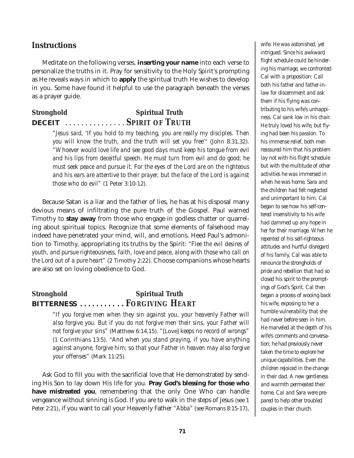#### **Instructions**

Meditate on the following verses, **inserting your name** into each verse to personalize the truths in it. Pray for sensitivity to the Holy Spirit's prompting as He reveals ways in which to **apply** the spiritual truth He wishes to develop in you. Some have found it helpful to use the paragraph beneath the verses as a prayer guide.

### **Stronghold Spiritual Truth DECEIT** . . . . . . . . . . . . . . . *SPIRIT OF TRUTH*

*"Jesus said, 'If you hold to my teaching, you are really my disciples. Then you will know the truth, and the truth will set you free'"* (John 8:31,32). *"Whoever would love life and see good days must keep his tongue from evil and his lips from deceitful speech. He must turn from evil and do good; he must seek peace and pursue it. For the eyes of the Lord are on the righteous and his ears are attentive to their prayer, but the face of the Lord is against those who do evil"* (1 Peter 3:10-12).

Because Satan is a liar and the father of lies, he has at his disposal many devious means of infiltrating the pure truth of the Gospel. Paul warned Timothy to **stay away** from those who engage in godless chatter or quarreling about spiritual topics. Recognize that some elements of falsehood may indeed have penetrated your mind, will, and emotions. Heed Paul's admonition to Timothy, appropriating its truths by the Spirit: *"Flee the evil desires of youth, and pursue righteousness, faith, love and peace, along with those who call on the Lord out of a pure heart"* (2 Timothy 2:22). Choose companions whose hearts are also set on loving obedience to God.

### **Stronghold Spiritual Truth BITTERNESS . . . . . . . . . . .** *FORGIVING HEART*

*"If you forgive men when they sin against you, your heavenly Father will also forgive you. But if you do not forgive men their sins, your Father will not forgive your sins"* (Matthew 6:14,15)*. "*[Love] *keeps no record of wrongs"* (1 Corinthians 13:5). "*And when you stand praying, if you have anything against anyone, forgive him; so that your Father in heaven may also forgive your offenses"* (Mark 11:25).

Ask God to fill you with the sacrificial love that He demonstrated by sending His Son to lay down His life for you. **Pray God's blessing for those who have mistreated you**, remembering that the only One Who can handle vengeance without sinning is God. If you are to walk in the steps of Jesus (see 1 Peter 2:21), if you want to call your Heavenly Father *"Abba"* (see Romans 8:15-17),

*wife. He was astonished, yet intrigued. Since his awkward flight schedule could be hindering his marriage, we confronted Cal with a proposition: Call both his father and father-inlaw for discernment and ask them if his flying was contributing to his wife's unhappiness. Cal sank low in his chair. He truly loved his wife, but flying had been his passion. To his immense relief, both men reassured him that his problem lay not with his flight schedule but with the multitude of other activities he was immersed in when he was home. Sara and the children had felt neglected and unimportant to him. Cal began to see how his self-centered insensitivity to his wife had dammed up any hope in her for their marriage. When he repented of his self-righteous attitudes and hurtful disregard of his family, Cal was able to renounce the strongholds of pride and rebellion that had so closed his spirit to the promptings of God's Spirit. Cal then began a process of wooing back his wife, exposing to her a humble vulnerability that she had never before seen in him. He marveled at the depth of his wife's comments and conversation; he had previously never taken the time to explore her unique capabilities. Even the children rejoiced in the change in their dad. A new gentleness and warmth permeated their home. Cal and Sara were prepared to help other troubled couples in their church.*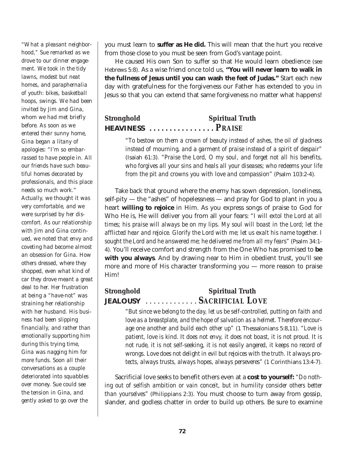*"What a pleasant neighborhood," Sue remarked as we drove to our dinner engagement. We took in the tidy lawns, modest but neat homes, and paraphernalia of youth: bikes, basketball hoops, swings. We had been invited by Jim and Gina, whom we had met briefly before. As soon as we entered their sunny home, Gina began a litany of apologies: "I'm so embarrassed to have people in. All our friends have such beautiful homes decorated by professionals, and this place needs so much work." Actually, we thought it was very comfortable, and we were surprised by her discomfort. As our relationship with Jim and Gina continued, we noted that envy and coveting had become almost an obsession for Gina. How others dressed, where they shopped, even what kind of car they drove meant a great deal to her. Her frustration at being a "have-not" was straining her relationship with her husband. His business had been slipping financially, and rather than emotionally supporting him during this trying time, Gina was nagging him for more funds. Soon all their conversations as a couple deteriorated into squabbles over money. Sue could see the tension in Gina, and gently asked to go over the*

you must learn to **suffer as He did.** This will mean that the hurt you receive from those close to you must be seen from God's vantage point.

He caused His own Son to suffer so that He would learn obedience (see Hebrews 5:8). As a wise friend once told us, **"You will never learn to walk in the fullness of Jesus until you can wash the feet of Judas."** Start each new day with gratefulness for the forgiveness our Father has extended to you in Jesus so that you can extend that same forgiveness no matter what happens!

**Stronghold Spiritual Truth HEAVINESS . . . . . . . . . . . . . . . .** *PRAISE*

> *"To bestow on them a crown of beauty instead of ashes, the oil of gladness instead of mourning, and a garment of praise instead of a spirit of despair"* (Isaiah 61:3)*. "Praise the Lord, O my soul, and forget not all his benefits, who forgives all your sins and heals all your diseases; who redeems your life from the pit and crowns you with love and compassion"* (Psalm 103:2-4).

Take back that ground where the enemy has sown depression, loneliness, self-pity — the "ashes" of hopelessness — and pray for God to plant in you a heart **willing to rejoice** in Him. As you express songs of praise to God for Who He is, He will deliver you from all your fears: *"I will extol the Lord at all times; his praise will always be on my lips. My soul will boast in the Lord; let the afflicted hear and rejoice. Glorify the Lord with me; let us exalt his name together. I sought the Lord and he answered me; he delivered me from all my fears"* (Psalm 34:1- 4). You'll receive comfort and strength from the One Who has promised to **be with you always**. And by drawing near to Him in obedient trust, you'll see more and more of His character transforming you — more reason to praise Him!

### **Stronghold Spiritual Truth JEALOUSY** . . . . . . . . . . . . . *SACRIFICIAL LOVE*

*"But since we belong to the day, let us be self-controlled, putting on faith and love as a breastplate, and the hope of salvation as a helmet. Therefore encourage one another and build each other up"* (1 Thessalonians 5:8,11). *"Love is patient, love is kind. It does not envy, it does not boast, it is not proud. It is not rude, it is not self-seeking, it is not easily angered, it keeps no record of wrongs. Love does not delight in evil but rejoices with the truth. It always protects, always trusts, always hopes, always perseveres"* (1 Corinthians 13:4-7).

Sacrificial love seeks to benefit others even at a **cost to yourself:** *"Do nothing out of selfish ambition or vain conceit, but in humility consider others better than yourselves"* (Philippians 2:3). You must choose to turn away from gossip, slander, and godless chatter in order to build up others. Be sure to examine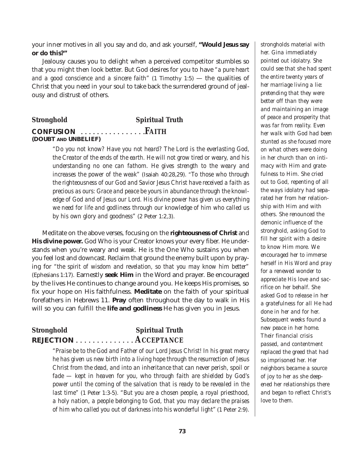your inner motives in all you say and do, and ask yourself, **"Would Jesus say or do this?"** 

Jealousy causes you to delight when a perceived competitor stumbles so that you might then look better. But God desires for you to have *"a pure heart and a good conscience and a sincere faith"* (1 Timothy 1:5) — the qualities of Christ that you need in your soul to take back the surrendered ground of jealousy and distrust of others.

#### **Stronghold Spiritual Truth**

**CONFUSION** . . . . . . . . . . . . . . . .*FAITH* **(DOUBT AND UNBELIEF)**

> *"Do you not know? Have you not heard? The Lord is the everlasting God, the Creator of the ends of the earth. He will not grow tired or weary, and his understanding no one can fathom. He gives strength to the weary and increases the power of the weak"* (Isaiah 40:28,29). *"To those who through the righteousness of our God and Savior Jesus Christ have received a faith as precious as ours: Grace and peace be yours in abundance through the knowledge of God and of Jesus our Lord. His divine power has given us everything we need for life and godliness through our knowledge of him who called us by his own glory and goodness"* (2 Peter 1:2,3).

Meditate on the above verses, focusing on the **righteousness of Christ** and **His divine power.** God Who is your Creator knows your every fiber. He understands when you're weary and weak. He is the One Who sustains you when you feel lost and downcast. Reclaim that ground the enemy built upon by praying for *"the spirit of wisdom and revelation, so that you may know him better"* (Ephesians 1:17). Earnestly **seek Him** in the Word and prayer. Be encouraged by the lives He continues to change around you. He keeps His promises, so fix your hope on His faithfulness. **Meditate** on the faith of your spiritual forefathers in Hebrews 11. **Pray** often throughout the day to walk in His will so you can fulfill the **life and godliness** He has given you in Jesus.

### **Stronghold Spiritual Truth REJECTION** . . . . . . . . . . . . . . *ACCEPTANCE*

*"Praise be to the God and Father of our Lord Jesus Christ! In his great mercy he has given us new birth into a living hope through the resurrection of Jesus Christ from the dead, and into an inheritance that can never perish, spoil or fade — kept in heaven for you, who through faith are shielded by God's power until the coming of the salvation that is ready to be revealed in the last time"* (1 Peter 1:3-5). *"But you are a chosen people, a royal priesthood, a holy nation, a people belonging to God, that you may declare the praises of him who called you out of darkness into his wonderful light"* (1 Peter 2:9).

*strongholds material with her. Gina immediately pointed out idolatry. She could see that she had spent the entire twenty years of her marriage living a lie: pretending that they were better off than they were and maintaining an image of peace and prosperity that was far from reality. Even her walk with God had been stunted as she focused more on what others were doing in her church than on intimacy with Him and gratefulness to Him. She cried out to God, repenting of all the ways idolatry had separated her from her relationship with Him and with others. She renounced the demonic influence of the stronghold, asking God to fill her spirit with a desire to know Him more. We encouraged her to immerse herself in His Word and pray for a renewed wonder to appreciate His love and sacrifice on her behalf. She asked God to release in her a gratefulness for all He had done in her and for her. Subsequent weeks found a new peace in her home. Their financial crisis passed, and contentment replaced the greed that had so imprisoned her. Her neighbors became a source of joy to her as she deepened her relationships there and began to reflect Christ's love to them.*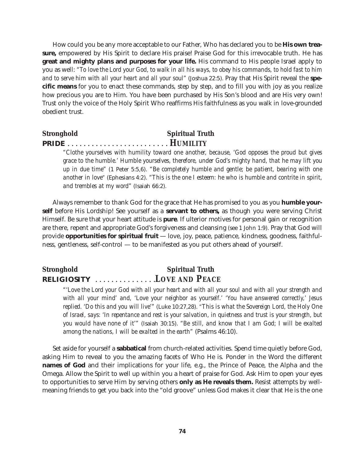How could you be any more acceptable to our Father, Who has declared you to be **His own treasure,** empowered by His Spirit to declare His praise! Praise God for this irrevocable truth. He has **great and mighty plans and purposes for your life.** His command to His people Israel apply to you as well: *"To love the Lord your God, to walk in all his ways, to obey his commands, to hold fast to him and to serve him with all your heart and all your soul"* (Joshua 22:5). Pray that His Spirit reveal the **specific means** for you to enact these commands, step by step, and to fill you with joy as you realize how precious you are to Him. You have been purchased by His Son's blood and are His very own! Trust only the voice of the Holy Spirit Who reaffirms His faithfulness as you walk in love-grounded obedient trust.

| Stronghold | <b>Spiritual Truth</b>                                  |
|------------|---------------------------------------------------------|
|            |                                                         |
|            | "Clothe vourselves with humility toward one another her |

*"Clothe yourselves with humility toward one another, because, 'God opposes the proud but gives grace to the humble.' Humble yourselves, therefore, under God's mighty hand, that he may lift you up in due time"* (1 Peter 5:5,6). *"Be completely humble and gentle; be patient, bearing with one another in love"* (Ephesians 4:2). *"This is the one I esteem: he who is humble and contrite in spirit, and trembles at my word"* (Isaiah 66:2).

Always remember to thank God for the grace that He has promised to you as you **humble yourself** before His Lordship! See yourself as a **servant to others,** as though you were serving Christ Himself. Be sure that your heart attitude is **pure**. If ulterior motives for personal gain or recognition are there, repent and appropriate God's forgiveness and cleansing (see 1 John 1:9). Pray that God will provide **opportunities for spiritual fruit** — love, joy, peace, patience, kindness, goodness, faithfulness, gentleness, self-control — to be manifested as you put others ahead of yourself.

### **Stronghold Spiritual Truth RELIGIOSITY** . . . . . . . . . . . . . . .*LOVE AND PEACE*

*"'Love the Lord your God with all your heart and with all your soul and with all your strength and with all your mind' and, 'Love your neighbor as yourself.' 'You have answered correctly,' Jesus replied. 'Do this and you will live'"* (Luke 10:27,28). *"This is what the Sovereign Lord, the Holy One of Israel, says: 'In repentance and rest is your salvation, in quietness and trust is your strength, but you would have none of it'"* (Isaiah 30:15). *"Be still, and know that I am God; I will be exalted among the nations, I will be exalted in the earth"* (Psalms 46:10).

Set aside for yourself a **sabbatical** from church-related activities. Spend time quietly before God, asking Him to reveal to you the amazing facets of Who He is. Ponder in the Word the different **names of God** and their implications for your life, e.g., the Prince of Peace, the Alpha and the Omega. Allow the Spirit to well up within you a heart of praise for God. Ask Him to open your eyes to opportunities to serve Him by serving others **only as He reveals them.** Resist attempts by wellmeaning friends to get you back into the "old groove" unless God makes it clear that He is the one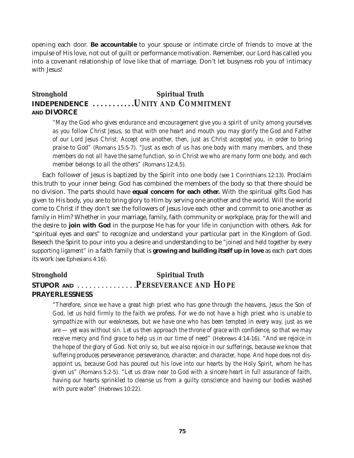opening each door. **Be accountable** to your spouse or intimate circle of friends to move at the impulse of His love, not out of guilt or performance motivation. Remember, our Lord has called you into a covenant relationship of love like that of marriage. Don't let busyness rob you of intimacy with Jesus!

**Stronghold Spiritual Truth INDEPENDENCE . . . . . . . . . . .***UNITY AND COMMITMENT* **AND DIVORCE**

> *"May the God who gives endurance and encouragement give you a spirit of unity among yourselves as you follow Christ Jesus, so that with one heart and mouth you may glorify the God and Father of our Lord Jesus Christ. Accept one another, then, just as Christ accepted you, in order to bring praise to God"* (Romans 15:5-7). *"Just as each of us has one body with many members, and these members do not all have the same function, so in Christ we who are many form one body, and each member belongs to all the others"* (Romans 12:4,5).

Each follower of Jesus is baptized by the Spirit into one body (see 1 Corinthians 12:13). Proclaim this truth to your inner being: God has combined the members of the body so that there should be no division. The parts should have **equal concern for each other.** With the spiritual gifts God has given to His body, you are to bring glory to Him by serving one another and the world. Will the world come to Christ if they don't see the followers of Jesus love each other and commit to one another as family in Him? Whether in your marriage, family, faith community or workplace, pray for the will and the desire to **join with God** in the purpose He has for your life in conjunction with others. Ask for "spiritual eyes and ears" to recognize and understand your particular part in the Kingdom of God. Beseech the Spirit to pour into you a desire and understanding to be *"joined and held together by every supporting ligament"* in a faith family that is **growing and building itself up in love** as each part does its work (see Ephesians 4:16).

### **Stronghold Spiritual Truth STUPOR AND** . . . . . . . . . . . . . . .*PERSEVERANCE AND HOPE* **PRAYERLESSNESS**

*"Therefore, since we have a great high priest who has gone through the heavens, Jesus the Son of God, let us hold firmly to the faith we profess. For we do not have a high priest who is unable to sympathize with our weaknesses, but we have one who has been tempted in every way, just as we are — yet was without sin. Let us then approach the throne of grace with confidence, so that we may receive mercy and find grace to help us in our time of need"* (Hebrews 4:14-16). *"And we rejoice in the hope of the glory of God. Not only so, but we also rejoice in our sufferings, because we know that suffering produces perseverance; perseverance, character; and character, hope. And hope does not disappoint us, because God has poured out his love into our hearts by the Holy Spirit, whom he has given us"* (Romans 5:2-5). *"Let us draw near to God with a sincere heart in full assurance of faith, having our hearts sprinkled to cleanse us from a guilty conscience and having our bodies washed with pure water"* (Hebrews 10:22).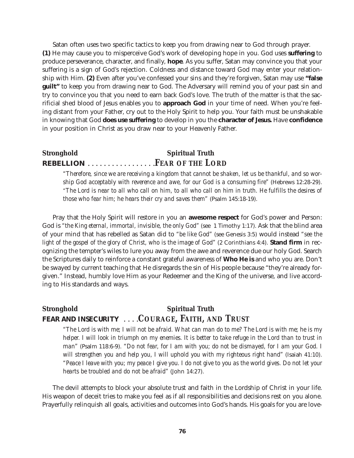Satan often uses two specific tactics to keep you from drawing near to God through prayer. **(1)** He may cause you to misperceive God's work of developing hope in you. God uses **suffering** to produce perseverance, character, and finally, **hope**. As you suffer, Satan may convince you that your suffering is a sign of God's rejection. Coldness and distance toward God may enter your relationship with Him. **(2)** Even after you've confessed your sins and they're forgiven, Satan may use **"false guilt"** to keep you from drawing near to God. The Adversary will remind you of your past sin and try to convince you that you need to earn back God's love. The truth of the matter is that the sacrificial shed blood of Jesus enables you to **approach God** in your time of need. When you're feeling distant from your Father, cry out to the Holy Spirit to help you. Your faith must be unshakable in knowing that God **does use suffering** to develop in you the **character of Jesus.** Have **confidence** in your position in Christ as you draw near to your Heavenly Father.

### **Stronghold Spiritual Truth REBELLION** . . . . . . . . . . . . . . . . .*FEAR OF THE LORD*

*"Therefore, since we are receiving a kingdom that cannot be shaken, let us be thankful, and so worship God acceptably with reverence and awe, for our God is a consuming fire"* (Hebrews 12:28-29). *"The Lord is near to all who call on him, to all who call on him in truth. He fulfills the desires of those who fear him; he hears their cry and saves them" (Psalm 145:18-19).* 

Pray that the Holy Spirit will restore in you an **awesome respect** for God's power and Person: God is *"the King eternal, immortal, invisible, the only God"* (see 1 Timothy 1:17). Ask that the blind area of your mind that has rebelled as Satan did to *"be like God"* (see Genesis 3:5) would instead *"see the light of the gospel of the glory of Christ, who is the image of God"* (2 Corinthians 4:4). **Stand firm** in recognizing the tempter's wiles to lure you away from the awe and reverence due our holy God. Search the Scriptures daily to reinforce a constant grateful awareness of **Who He is** and who you are. Don't be swayed by current teaching that He disregards the sin of His people because "they're already forgiven." Instead, humbly love Him as your Redeemer and the King of the universe, and live according to His standards and ways.

### **Stronghold Spiritual Truth FEAR AND INSECURITY** . . . .*COURAGE, FAITH, AND TRUST*

*"The Lord is with me; I will not be afraid. What can man do to me? The Lord is with me; he is my helper. I will look in triumph on my enemies. It is better to take refuge in the Lord than to trust in man"* (Psalm 118:6-9). *"Do not fear, for I am with you; do not be dismayed, for I am your God. I will strengthen you and help you, I will uphold you with my righteous right hand"* (Isaiah 41:10). *"Peace I leave with you; my peace I give you. I do not give to you as the world gives. Do not let your hearts be troubled and do not be afraid"* (John 14:27).

The devil attempts to block your absolute trust and faith in the Lordship of Christ in your life. His weapon of deceit tries to make you feel as if all responsibilities and decisions rest on you alone. Prayerfully relinquish all goals, activities and outcomes into God's hands. His goals for you are love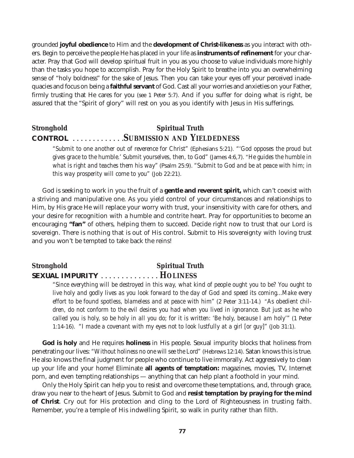grounded **joyful obedience** to Him and the **development of Christ-likeness** as you interact with others. Begin to perceive the people He has placed in your life as **instruments of refinement** for your character. Pray that God will develop spiritual fruit in you as you choose to value individuals more highly than the tasks you hope to accomplish. Pray for the Holy Spirit to breathe into you an overwhelming sense of "holy boldness" for the sake of Jesus. Then you can take your eyes off your perceived inadequacies and focus on being a **faithful servant** of God. Cast all your worries and anxieties on your Father, firmly trusting that He cares for you (see 1 Peter 5:7). And if you suffer for doing what is right, be assured that the "Spirit of glory" will rest on you as you identify with Jesus in His sufferings.

### **Stronghold Spiritual Truth CONTROL** . . . . . . . . . . . . .*SUBMISSION AND YIELDEDNESS*

*"Submit to one another out of reverence for Christ"* (Ephesians 5:21)*. "'God opposes the proud but gives grace to the humble.' Submit yourselves, then, to God"* (James 4:6,7). *"He guides the humble in what is right and teaches them his way"* (Psalm 25:9). *"Submit to God and be at peace with him; in this way prosperity will come to you"* (Job 22:21).

God is seeking to work in you the fruit of a **gentle and reverent spirit,** which can't coexist with a striving and manipulative one. As you yield control of your circumstances and relationships to Him, by His grace He will replace your worry with trust, your insensitivity with care for others, and your desire for recognition with a humble and contrite heart. Pray for opportunities to become an encouraging **"fan"** of others, helping them to succeed. Decide right now to trust that our Lord is sovereign. There is nothing that is out of His control. Submit to His sovereignty with loving trust and you won't be tempted to take back the reins!

## **Stronghold Spiritual Truth**

### **SEXUAL IMPURITY** . . . . . . . . . . . . . . *HOLINESS*

*"Since everything will be destroyed in this way, what kind of people ought you to be? You ought to live holy and godly lives as you look forward to the day of God and speed its coming...Make every effort to be found spotless, blameless and at peace with him"* (2 Peter 3:11-14.) *"As obedient children, do not conform to the evil desires you had when you lived in ignorance. But just as he who called you is holy, so be holy in all you do; for it is written: 'Be holy, because I am holy'"* (1 Peter 1:14-16). *"I made a covenant with my eyes not to look lustfully at a girl [or guy]"* (Job 31:1).

**God is holy** and He requires **holiness** in His people. Sexual impurity blocks that holiness from penetrating our lives: *"Without holiness no one will see the Lord"* (Hebrews 12:14). Satan knows this is true. He also knows the final judgment for people who continue to live immorally. Act aggressively to clean up your life and your home! Eliminate **all agents of temptation:** magazines, movies, TV, Internet porn, and even tempting relationships — anything that can help plant a foothold in your mind.

Only the Holy Spirit can help you to resist and overcome these temptations, and, through grace, draw you near to the heart of Jesus. Submit to God and **resist temptation by praying for the mind of Christ**. Cry out for His protection and cling to the Lord of Righteousness in trusting faith. Remember, you're a temple of His indwelling Spirit, so walk in purity rather than filth.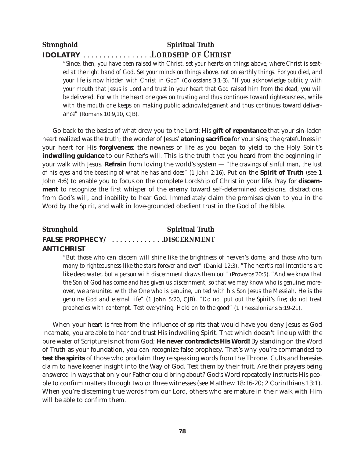### **Stronghold Spiritual Truth IDOLATRY** . . . . . . . . . . . . . . . . .*LORDSHIP OF CHRIST*

*"Since, then, you have been raised with Christ, set your hearts on things above, where Christ is seated at the right hand of God. Set your minds on things above, not on earthly things. For you died, and your life is now hidden with Christ in God"* (Colossians 3:1-3). *"If you acknowledge publicly with your mouth that Jesus is Lord and trust in your heart that God raised him from the dead, you will be delivered. For with the heart one goes on trusting and thus continues toward righteousness, while with the mouth one keeps on making public acknowledgement and thus continues toward deliverance"* (Romans 10:9,10, CJB).

Go back to the basics of what drew you to the Lord: His **gift of repentance** that your sin-laden heart realized was the truth; the wonder of Jesus' **atoning sacrifice** for your sins; the gratefulness in your heart for His **forgiveness**; the newness of life as you began to yield to the Holy Spirit's **indwelling guidance** to our Father's will. This is the truth that you heard from the beginning in your walk with Jesus. **Refrain** from loving the world's system — *"the cravings of sinful man, the lust of his eyes and the boasting of what he has and does"* (1 John 2:16). Put on the **Spirit of Truth** (see 1 John 4:6) to enable you to focus on the complete Lordship of Christ in your life. Pray for **discernment** to recognize the first whisper of the enemy toward self-determined decisions, distractions from God's will, and inability to hear God. Immediately claim the promises given to you in the Word by the Spirit, and walk in love-grounded obedient trust in the God of the Bible.

### **Stronghold Spiritual Truth FALSE PROPHECY/** . . . . . . . . . . . . .*DISCERNMENT* **ANTICHRIST**

*"But those who can discern will shine like the brightness of heaven's dome, and those who turn many to righteousness like the stars forever and ever"* (Daniel 12:3). *"The heart's real intentions are like deep water, but a person with discernment draws them out"* (Proverbs 20:5). *"And we know that the Son of God has come and has given us discernment, so that we may know who is genuine; moreover, we are united with the One who is genuine, united with his Son Jesus the Messiah. He is the genuine God and eternal life"* (1 John 5:20, CJB). *"Do not put out the Spirit's fire; do not treat prophecies with contempt. Test everything. Hold on to the good"* (1 Thessalonians 5:19-21).

When your heart is free from the influence of spirits that would have you deny Jesus as God incarnate, you are able to hear and trust His indwelling Spirit. That which doesn't line up with the pure water of Scripture is not from God; **He never contradicts His Word!** By standing on the Word of Truth as your foundation, you can recognize false prophecy. That's why you're commanded to **test the spirits** of those who proclaim they're speaking words from the Throne. Cults and heresies claim to have keener insight into the Way of God. Test them by their fruit. Are their prayers being answered in ways that only our Father could bring about? God's Word repeatedly instructs His people to confirm matters through two or three witnesses (see Matthew 18:16-20; 2 Corinthians 13:1). When you're discerning true words from our Lord, others who are mature in their walk with Him will be able to confirm them.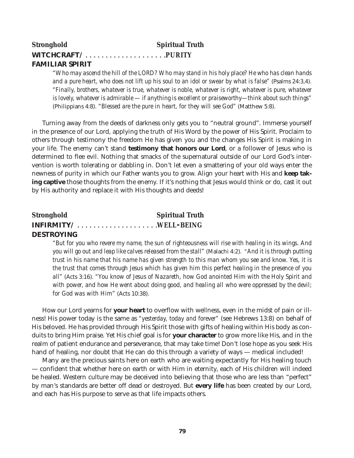#### **Stronghold Spiritual Truth WITCHCRAFT/** . . . . . . . . . . . . . . . . . . . .*PURITY* **FAMILIAR SPIRIT**

*"Who may ascend the hill of the LORD? Who may stand in his holy place? He who has clean hands and a pure heart, who does not lift up his soul to an idol or swear by what is false"* (Psalms 24:3,4). *"Finally, brothers, whatever is true, whatever is noble, whatever is right, whatever is pure, whatever is lovely, whatever is admirable — if anything is excellent or praiseworthy—think about such things"* (Philippians 4:8)*. "Blessed are the pure in heart, for they will see God"* (Matthew 5:8).

Turning away from the deeds of darkness only gets you to "neutral ground". Immerse yourself in the presence of our Lord, applying the truth of His Word by the power of His Spirit. Proclaim to others through testimony the freedom He has given you and the changes His Spirit is making in your life. The enemy can't stand **testimony that honors our Lord**, or a follower of Jesus who is determined to flee evil. Nothing that smacks of the supernatural outside of our Lord God's intervention is worth tolerating or dabbling in. Don't let even a smattering of your old ways enter the newness of purity in which our Father wants you to grow. Align your heart with His and **keep taking captive** those thoughts from the enemy. If it's nothing that Jesus would think or do, cast it out by His authority and replace it with His thoughts and deeds!

| Stronghold            | <b>Spiritual Truth</b> |
|-----------------------|------------------------|
| INFIRMITY/ WELL-BEING |                        |
| <b>DESTROYING</b>     |                        |

*"But for you who revere my name, the sun of righteousness will rise with healing in its wings. And you will go out and leap like calves released from the stall"* (Malachi 4:2). *"And it is through putting trust in his name that his name has given strength to this man whom you see and know. Yes, it is the trust that comes through Jesus which has given him this perfect healing in the presence of you all"* (Acts 3:16). *"You know of Jesus of Nazareth, how God anointed Him with the Holy Spirit and with power, and how He went about doing good, and healing all who were oppressed by the devil; for God was with Him"* (Acts 10:38).

How our Lord yearns for **your heart** to overflow with wellness, even in the midst of pain or illness! His power today is the same as *"yesterday, today and forever"* (see Hebrews 13:8) on behalf of His beloved. He has provided through His Spirit those with gifts of healing within His body as conduits to bring Him praise. Yet His chief goal is for **your character** to grow more like His, and in the realm of patient endurance and perseverance, that may take time! Don't lose hope as you seek His hand of healing, nor doubt that He can do this through a variety of ways — medical included!

Many are the precious saints here on earth who are waiting expectantly for His healing touch — confident that whether here on earth or with Him in eternity, each of His children will indeed be healed. Western culture may be deceived into believing that those who are less than "perfect" by man's standards are better off dead or destroyed. But **every life** has been created by our Lord, and each has His purpose to serve as that life impacts others.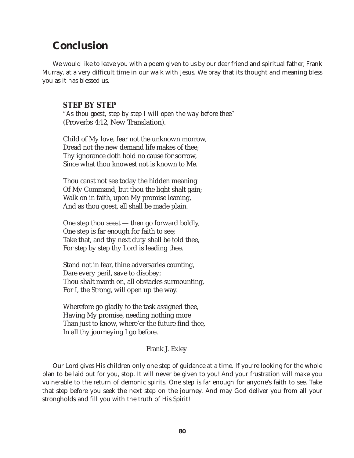### **Conclusion**

We would like to leave you with a poem given to us by our dear friend and spiritual father, Frank Murray, at a very difficult time in our walk with Jesus. We pray that its thought and meaning bless you as it has blessed us.

#### **STEP BY STEP**

*"As thou goest, step by step I will open the way before thee"*  (Proverbs 4:12, New Translation).

Child of My love, fear not the unknown morrow, Dread not the new demand life makes of thee; Thy ignorance doth hold no cause for sorrow, Since what thou knowest not is known to Me.

Thou canst not see today the hidden meaning Of My Command, but thou the light shalt gain; Walk on in faith, upon My promise leaning, And as thou goest, all shall be made plain.

One step thou seest — then go forward boldly, One step is far enough for faith to see; Take that, and thy next duty shall be told thee, For step by step thy Lord is leading thee.

Stand not in fear, thine adversaries counting, Dare every peril, save to disobey; Thou shalt march on, all obstacles surmounting, For I, the Strong, will open up the way.

Wherefore go gladly to the task assigned thee, Having My promise, needing nothing more Than just to know, where'er the future find thee, In all thy journeying I go before.

#### Frank J. Exley

Our Lord gives His children only one step of guidance at a time. If you're looking for the whole plan to be laid out for you, stop. It will never be given to you! And your frustration will make you vulnerable to the return of demonic spirits. One step is far enough for anyone's faith to see. Take that step before you seek the next step on the journey. And may God deliver you from all your strongholds and fill you with the truth of His Spirit!